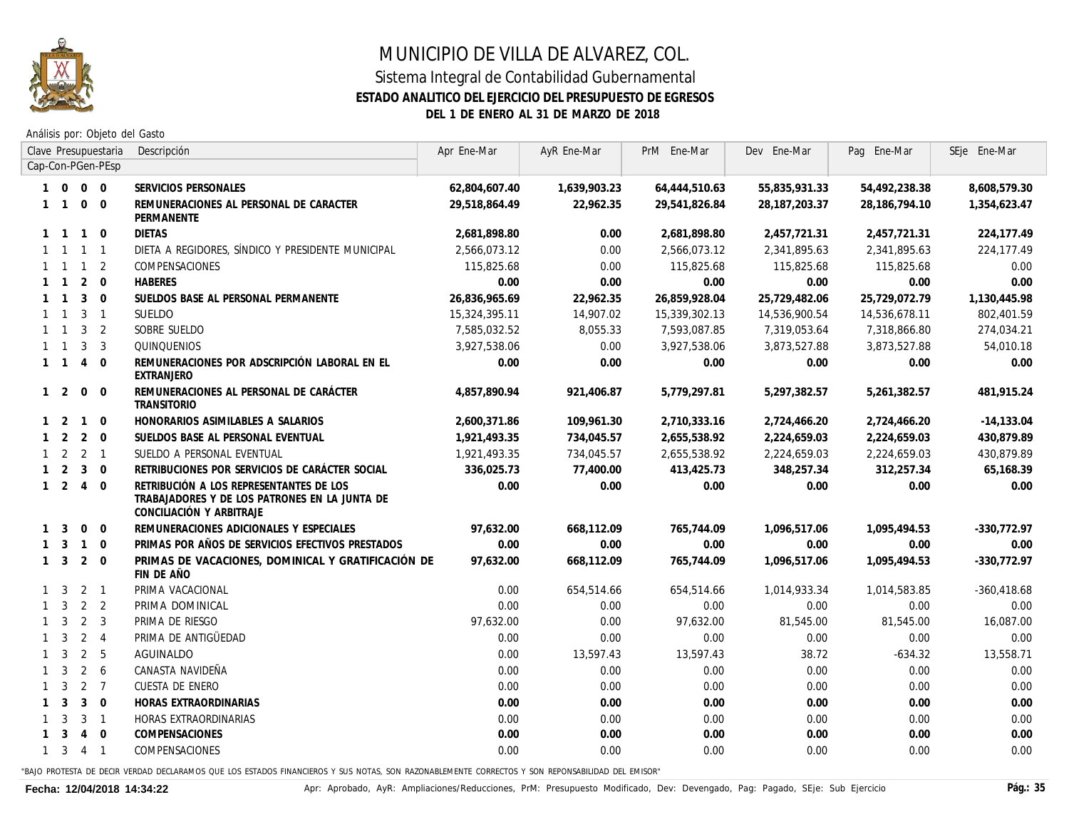

Análisis por: Objeto del Gasto

|              |                     |                             | Clave Presupuestaria    | Descripción                                                                                                          | Apr Ene-Mar   | AyR Ene-Mar  | PrM Ene-Mar   | Dev Ene-Mar   | Pag Ene-Mar   | SEje Ene-Mar  |
|--------------|---------------------|-----------------------------|-------------------------|----------------------------------------------------------------------------------------------------------------------|---------------|--------------|---------------|---------------|---------------|---------------|
|              |                     |                             | Cap-Con-PGen-PEsp       |                                                                                                                      |               |              |               |               |               |               |
|              | $1 \quad 0$         | $0\quad 0$                  |                         | SERVICIOS PERSONALES                                                                                                 | 62,804,607.40 | 1,639,903.23 | 64,444,510.63 | 55,835,931.33 | 54,492,238.38 | 8,608,579.30  |
|              |                     | $1 1 0 0$                   |                         | REMUNERACIONES AL PERSONAL DE CARACTER<br>PERMANENTE                                                                 | 29,518,864.49 | 22,962.35    | 29,541,826.84 | 28,187,203.37 | 28,186,794.10 | 1,354,623.47  |
|              | $1 \quad 1 \quad 1$ |                             | $\mathbf 0$             | <b>DIETAS</b>                                                                                                        | 2,681,898.80  | 0.00         | 2,681,898.80  | 2,457,721.31  | 2,457,721.31  | 224,177.49    |
|              | $1 \quad 1 \quad 1$ |                             | $\overline{1}$          | DIETA A REGIDORES, SÍNDICO Y PRESIDENTE MUNICIPAL                                                                    | 2,566,073,12  | 0.00         | 2,566,073.12  | 2,341,895.63  | 2,341,895.63  | 224, 177.49   |
|              | $1 \quad 1 \quad 1$ |                             | 2                       | COMPENSACIONES                                                                                                       | 115,825.68    | 0.00         | 115,825.68    | 115,825.68    | 115,825.68    | 0.00          |
|              | $1 \quad 1$         | 2                           | $\overline{0}$          | <b>HABERES</b>                                                                                                       | 0.00          | 0.00         | 0.00          | 0.00          | 0.00          | 0.00          |
|              | $1 \quad 1$         | $\overline{3}$              | $\overline{0}$          | SUELDOS BASE AL PERSONAL PERMANENTE                                                                                  | 26,836,965.69 | 22,962.35    | 26,859,928.04 | 25,729,482.06 | 25,729,072.79 | 1,130,445.98  |
|              | $1 \quad 1$         | $3 \quad 1$                 |                         | <b>SUELDO</b>                                                                                                        | 15,324,395.11 | 14,907.02    | 15,339,302.13 | 14,536,900.54 | 14,536,678.11 | 802,401.59    |
|              | $1 \quad 1$         | 3 <sub>2</sub>              |                         | SOBRE SUELDO                                                                                                         | 7,585,032.52  | 8,055.33     | 7,593,087.85  | 7,319,053.64  | 7,318,866.80  | 274,034.21    |
|              | $1 \quad 1$         | 3                           | 3                       | <b>QUINQUENIOS</b>                                                                                                   | 3,927,538.06  | 0.00         | 3,927,538.06  | 3,873,527.88  | 3,873,527.88  | 54,010.18     |
|              |                     | $1 \quad 1 \quad 4$         | $\overline{0}$          | REMUNERACIONES POR ADSCRIPCIÓN LABORAL EN EL<br>EXTRANJERO                                                           | 0.00          | 0.00         | 0.00          | 0.00          | 0.00          | 0.00          |
|              | $1\quad 2$          | $\mathbf 0$                 | $\mathbf 0$             | REMUNERACIONES AL PERSONAL DE CARÁCTER<br><b>TRANSITORIO</b>                                                         | 4,857,890.94  | 921,406.87   | 5,779,297.81  | 5,297,382.57  | 5,261,382.57  | 481,915.24    |
|              | $1\quad 2$          | $\overline{1}$              | $\mathbf 0$             | HONORARIOS ASIMILABLES A SALARIOS                                                                                    | 2,600,371.86  | 109,961.30   | 2,710,333.16  | 2,724,466.20  | 2,724,466.20  | $-14,133.04$  |
|              |                     | $1 \quad 2 \quad 2$         | $\overline{0}$          | SUELDOS BASE AL PERSONAL EVENTUAL                                                                                    | 1,921,493.35  | 734,045.57   | 2,655,538.92  | 2,224,659.03  | 2,224,659.03  | 430,879.89    |
|              |                     | $1 \quad 2 \quad 2 \quad 1$ |                         | SUELDO A PERSONAL EVENTUAL                                                                                           | 1,921,493.35  | 734,045.57   | 2,655,538.92  | 2,224,659.03  | 2,224,659.03  | 430,879.89    |
|              | $1\quad 2$          | $3 \quad 0$                 |                         | RETRIBUCIONES POR SERVICIOS DE CARÁCTER SOCIAL                                                                       | 336,025.73    | 77,400.00    | 413,425.73    | 348,257.34    | 312,257.34    | 65,168.39     |
|              |                     | $1 \quad 2 \quad 4$         | $\overline{0}$          | RETRIBUCIÓN A LOS REPRESENTANTES DE LOS<br>TRABAJADORES Y DE LOS PATRONES EN LA JUNTA DE<br>CONCILIACIÓN Y ARBITRAJE | 0.00          | 0.00         | 0.00          | 0.00          | 0.00          | 0.00          |
|              | $1 \quad 3$         | $\overline{0}$              | $\overline{0}$          | REMUNERACIONES ADICIONALES Y ESPECIALES                                                                              | 97,632.00     | 668,112.09   | 765,744.09    | 1,096,517.06  | 1,095,494.53  | $-330,772.97$ |
|              | $1 \quad 3$         | $\overline{1}$              | $\Omega$                | PRIMAS POR AÑOS DE SERVICIOS EFECTIVOS PRESTADOS                                                                     | 0.00          | 0.00         | 0.00          | 0.00          | 0.00          | 0.00          |
|              | $1 \quad 3$         | $2 \quad 0$                 |                         | PRIMAS DE VACACIONES, DOMINICAL Y GRATIFICACIÓN DE<br>FIN DE AÑO                                                     | 97,632.00     | 668,112.09   | 765,744.09    | 1,096,517.06  | 1,095,494.53  | $-330,772.97$ |
|              | $1 \quad 3$         | $2 \quad 1$                 |                         | PRIMA VACACIONAL                                                                                                     | 0.00          | 654,514.66   | 654,514.66    | 1,014,933.34  | 1,014,583.85  | $-360,418.68$ |
|              | $1 \quad 3$         | $2 \quad 2$                 |                         | PRIMA DOMINICAL                                                                                                      | 0.00          | 0.00         | 0.00          | 0.00          | 0.00          | 0.00          |
|              | $1 \quad 3$         | 2                           | 3                       | PRIMA DE RIESGO                                                                                                      | 97,632.00     | 0.00         | 97,632.00     | 81,545.00     | 81,545.00     | 16,087.00     |
|              | $1 \quad 3$         | $2 \quad 4$                 |                         | PRIMA DE ANTIGÜEDAD                                                                                                  | 0.00          | 0.00         | 0.00          | 0.00          | 0.00          | 0.00          |
|              | $1 \quad 3$         | 2                           | 5                       | AGUINALDO                                                                                                            | 0.00          | 13,597.43    | 13,597.43     | 38.72         | $-634.32$     | 13,558.71     |
|              | $1 \quad 3$         | $\overline{2}$              | 6                       | CANASTA NAVIDEÑA                                                                                                     | 0.00          | 0.00         | 0.00          | 0.00          | 0.00          | 0.00          |
|              | $1 \quad 3$         | 2                           | $\overline{7}$          | CUESTA DE ENERO                                                                                                      | 0.00          | 0.00         | 0.00          | 0.00          | 0.00          | 0.00          |
|              | $1 \quad 3$         | 3 <sup>1</sup>              | $\overline{\mathbf{0}}$ | HORAS EXTRAORDINARIAS                                                                                                | 0.00          | 0.00         | 0.00          | 0.00          | 0.00          | 0.00          |
| $\mathbf{1}$ | 3                   | 3                           | $\overline{1}$          | HORAS EXTRAORDINARIAS                                                                                                | 0.00          | 0.00         | 0.00          | 0.00          | 0.00          | 0.00          |
|              | $1 \quad 3$         | 4 0                         |                         | COMPENSACIONES                                                                                                       | 0.00          | 0.00         | 0.00          | 0.00          | 0.00          | 0.00          |
|              |                     | $1 \t3 \t4 \t1$             |                         | <b>COMPENSACIONES</b>                                                                                                | 0.00          | 0.00         | 0.00          | 0.00          | 0.00          | 0.00          |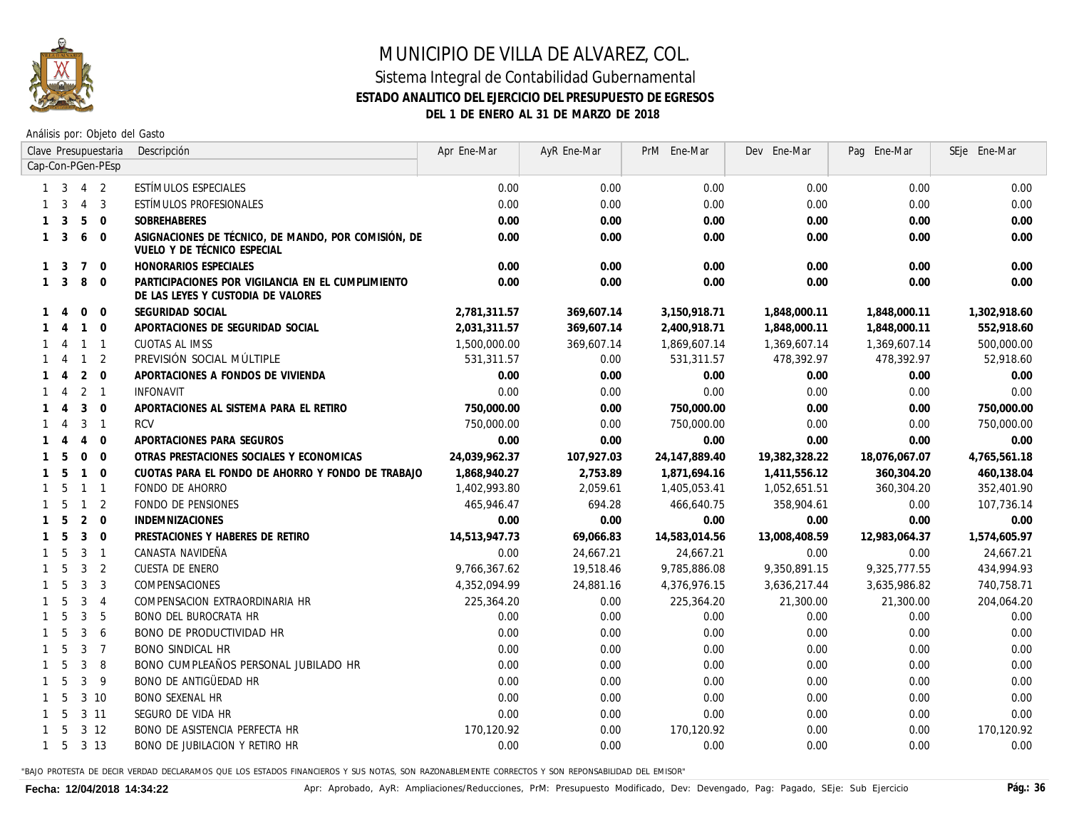

Análisis por: Objeto del Gasto

|              |                |                | Clave Presupuestaria    | Descripción                                                                             | Apr Ene-Mar   | AyR Ene-Mar | PrM Ene-Mar   | Dev Ene-Mar   | Pag Ene-Mar   | SEje Ene-Mar |
|--------------|----------------|----------------|-------------------------|-----------------------------------------------------------------------------------------|---------------|-------------|---------------|---------------|---------------|--------------|
|              |                |                | Cap-Con-PGen-PEsp       |                                                                                         |               |             |               |               |               |              |
|              | 3              |                | $4\quad 2$              | ESTÍMULOS ESPECIALES                                                                    | 0.00          | 0.00        | 0.00          | 0.00          | 0.00          | 0.00         |
|              | 3              | $\overline{4}$ | $\overline{\mathbf{3}}$ | ESTÍMULOS PROFESIONALES                                                                 | 0.00          | 0.00        | 0.00          | 0.00          | 0.00          | 0.00         |
| $\mathbf{1}$ | 3              | 5              | $\Omega$                | SOBREHABERES                                                                            | 0.00          | 0.00        | 0.00          | 0.00          | 0.00          | 0.00         |
| $\mathbf{1}$ | 3              | 6              | $\overline{0}$          | ASIGNACIONES DE TÉCNICO, DE MANDO, POR COMISIÓN, DE<br>VUELO Y DE TÉCNICO ESPECIAL      | 0.00          | 0.00        | 0.00          | 0.00          | 0.00          | 0.00         |
| $\mathbf{1}$ | 3              | $\overline{7}$ | $\overline{0}$          | HONORARIOS ESPECIALES                                                                   | 0.00          | 0.00        | 0.00          | 0.00          | 0.00          | 0.00         |
| $\mathbf{1}$ | 3              | 8              | $\overline{0}$          | PARTICIPACIONES POR VIGILANCIA EN EL CUMPLIMIENTO<br>DE LAS LEYES Y CUSTODIA DE VALORES | 0.00          | 0.00        | 0.00          | 0.00          | 0.00          | 0.00         |
|              | $\overline{4}$ | $\mathbf{0}$   | $\overline{0}$          | SEGURIDAD SOCIAL                                                                        | 2,781,311.57  | 369,607.14  | 3,150,918.71  | 1,848,000.11  | 1,848,000.11  | 1,302,918.60 |
|              | $\overline{4}$ |                | $1\quad 0$              | APORTACIONES DE SEGURIDAD SOCIAL                                                        | 2,031,311.57  | 369,607.14  | 2,400,918.71  | 1,848,000.11  | 1,848,000.11  | 552,918.60   |
|              | $\overline{A}$ |                | $1 \quad 1$             | CUOTAS AL IMSS                                                                          | 1,500,000.00  | 369,607.14  | 1,869,607.14  | 1,369,607.14  | 1,369,607.14  | 500,000.00   |
|              | -4             | $\overline{1}$ | $\overline{2}$          | PREVISIÓN SOCIAL MÚLTIPLE                                                               | 531,311.57    | 0.00        | 531,311.57    | 478,392.97    | 478,392.97    | 52,918.60    |
|              | 4              | 2              | $\overline{0}$          | APORTACIONES A FONDOS DE VIVIENDA                                                       | 0.00          | 0.00        | 0.00          | 0.00          | 0.00          | 0.00         |
|              | 4              |                | 2 <sub>1</sub>          | <b>INFONAVIT</b>                                                                        | 0.00          | 0.00        | 0.00          | 0.00          | 0.00          | 0.00         |
|              | 4              | 3              | $\overline{0}$          | APORTACIONES AL SISTEMA PARA EL RETIRO                                                  | 750,000.00    | 0.00        | 750,000.00    | 0.00          | 0.00          | 750,000.00   |
| 1            | $\overline{4}$ | 3              | $\overline{1}$          | RCV                                                                                     | 750,000.00    | 0.00        | 750,000.00    | 0.00          | 0.00          | 750,000.00   |
|              |                | $\overline{4}$ | $\overline{0}$          | APORTACIONES PARA SEGUROS                                                               | 0.00          | 0.00        | 0.00          | 0.00          | 0.00          | 0.00         |
|              | 5              | $\mathbf 0$    | $\overline{0}$          | OTRAS PRESTACIONES SOCIALES Y ECONOMICAS                                                | 24,039,962.37 | 107,927.03  | 24,147,889.40 | 19,382,328.22 | 18,076,067.07 | 4,765,561.18 |
|              | -5             | $\mathbf{1}$   | $\overline{0}$          | CUOTAS PARA EL FONDO DE AHORRO Y FONDO DE TRABAJO                                       | 1,868,940.27  | 2,753.89    | 1,871,694.16  | 1,411,556.12  | 360,304.20    | 460,138.04   |
| $\mathbf{1}$ | 5              | $\mathbf{1}$   | $\overline{1}$          | FONDO DE AHORRO                                                                         | 1,402,993.80  | 2,059.61    | 1,405,053.41  | 1,052,651.51  | 360,304.20    | 352,401.90   |
| $\mathbf{1}$ | 5              | $\mathbf{1}$   | $\overline{2}$          | FONDO DE PENSIONES                                                                      | 465,946.47    | 694.28      | 466,640.75    | 358,904.61    | 0.00          | 107,736.14   |
| $\mathbf{1}$ | -5             | 2              | $\overline{0}$          | <b>INDEMNIZACIONES</b>                                                                  | 0.00          | 0.00        | 0.00          | 0.00          | 0.00          | 0.00         |
| $\mathbf{1}$ | 5              | $\mathbf{3}$   | $\overline{0}$          | PRESTACIONES Y HABERES DE RETIRO                                                        | 14,513,947.73 | 69,066.83   | 14,583,014.56 | 13,008,408.59 | 12,983,064.37 | 1,574,605.97 |
|              | 5              | 3              | $\overline{1}$          | CANASTA NAVIDEÑA                                                                        | 0.00          | 24,667.21   | 24,667.21     | 0.00          | 0.00          | 24,667.21    |
|              | 5              | 3              | $\overline{2}$          | CUESTA DE ENERO                                                                         | 9,766,367.62  | 19,518.46   | 9,785,886.08  | 9,350,891.15  | 9,325,777.55  | 434,994.93   |
|              | 5              | 3              | $\overline{3}$          | COMPENSACIONES                                                                          | 4,352,094.99  | 24,881.16   | 4,376,976.15  | 3,636,217.44  | 3,635,986.82  | 740, 758. 71 |
|              | 5              | 3              | $\overline{4}$          | COMPENSACION EXTRAORDINARIA HR                                                          | 225,364.20    | 0.00        | 225,364.20    | 21,300.00     | 21,300.00     | 204,064.20   |
| $\mathbf{1}$ | 5              | $\mathbf{3}$   | 5                       | <b>BONO DEL BUROCRATA HR</b>                                                            | 0.00          | 0.00        | 0.00          | 0.00          | 0.00          | 0.00         |
| $\mathbf{1}$ | - 5            | 3              | -6                      | <b>BONO DE PRODUCTIVIDAD HR</b>                                                         | 0.00          | 0.00        | 0.00          | 0.00          | 0.00          | 0.00         |
| $\mathbf{1}$ | - 5            | $\overline{3}$ | $\overline{7}$          | <b>BONO SINDICAL HR</b>                                                                 | 0.00          | 0.00        | 0.00          | 0.00          | 0.00          | 0.00         |
| 1            | -5             | 3              | -8                      | BONO CUMPLEAÑOS PERSONAL JUBILADO HR                                                    | 0.00          | 0.00        | 0.00          | 0.00          | 0.00          | 0.00         |
| $\mathbf{1}$ | - 5            | 3              | - 9                     | BONO DE ANTIGÜEDAD HR                                                                   | 0.00          | 0.00        | 0.00          | 0.00          | 0.00          | 0.00         |
| 1            | -5             |                | $3 \t10$                | <b>BONO SEXENAL HR</b>                                                                  | 0.00          | 0.00        | 0.00          | 0.00          | 0.00          | 0.00         |
| $\mathbf{1}$ | -5             |                | $3 \t11$                | SEGURO DE VIDA HR                                                                       | 0.00          | 0.00        | 0.00          | 0.00          | 0.00          | 0.00         |
|              | 5              |                | $3 \t12$                | <b>BONO DE ASISTENCIA PERFECTA HR</b>                                                   | 170, 120.92   | 0.00        | 170, 120.92   | 0.00          | 0.00          | 170, 120.92  |
| $\mathbf{1}$ | -5             |                | 3 1 3                   | <b>BONO DE JUBILACION Y RETIRO HR</b>                                                   | 0.00          | 0.00        | 0.00          | 0.00          | 0.00          | 0.00         |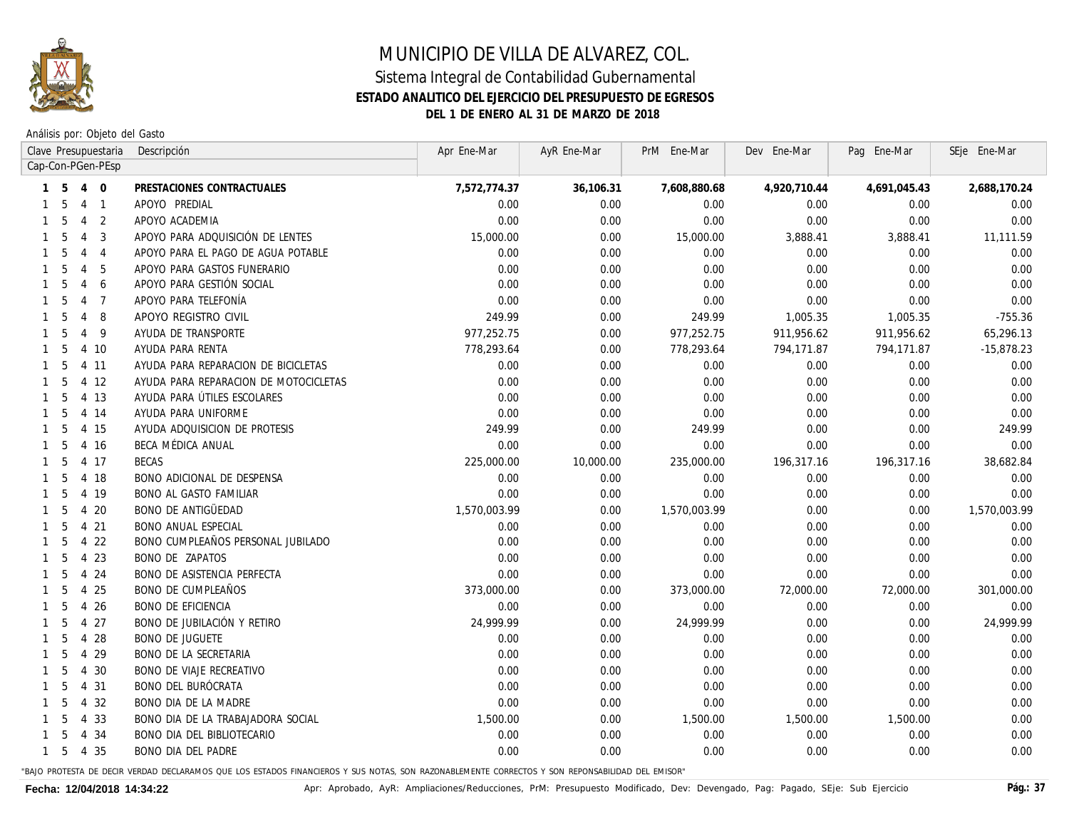

Análisis por: Objeto del Gasto

|                                                                                                                                                                                             |                                                                                                                                                                                                                                                                                                                                                                                                                                                                         | Apr Ene-Mar                                                                                      |           | PrM Ene-Mar                                                                                                                                                                                                                                                                                                                    | Dev Ene-Mar                          |                                              | SEje Ene-Mar                                                                                   |
|---------------------------------------------------------------------------------------------------------------------------------------------------------------------------------------------|-------------------------------------------------------------------------------------------------------------------------------------------------------------------------------------------------------------------------------------------------------------------------------------------------------------------------------------------------------------------------------------------------------------------------------------------------------------------------|--------------------------------------------------------------------------------------------------|-----------|--------------------------------------------------------------------------------------------------------------------------------------------------------------------------------------------------------------------------------------------------------------------------------------------------------------------------------|--------------------------------------|----------------------------------------------|------------------------------------------------------------------------------------------------|
|                                                                                                                                                                                             |                                                                                                                                                                                                                                                                                                                                                                                                                                                                         |                                                                                                  |           |                                                                                                                                                                                                                                                                                                                                |                                      |                                              |                                                                                                |
| $\overline{0}$                                                                                                                                                                              | PRESTACIONES CONTRACTUALES                                                                                                                                                                                                                                                                                                                                                                                                                                              | 7,572,774.37                                                                                     | 36,106.31 | 7,608,880.68                                                                                                                                                                                                                                                                                                                   | 4,920,710.44                         | 4,691,045.43                                 | 2,688,170.24                                                                                   |
| $\overline{1}$                                                                                                                                                                              | APOYO PREDIAL                                                                                                                                                                                                                                                                                                                                                                                                                                                           | 0.00                                                                                             | 0.00      | 0.00                                                                                                                                                                                                                                                                                                                           | 0.00                                 | 0.00                                         | 0.00                                                                                           |
| 2                                                                                                                                                                                           | APOYO ACADEMIA                                                                                                                                                                                                                                                                                                                                                                                                                                                          | 0.00                                                                                             | 0.00      | 0.00                                                                                                                                                                                                                                                                                                                           | 0.00                                 | 0.00                                         | 0.00                                                                                           |
| 3                                                                                                                                                                                           | APOYO PARA ADQUISICIÓN DE LENTES                                                                                                                                                                                                                                                                                                                                                                                                                                        |                                                                                                  | 0.00      | 15,000.00                                                                                                                                                                                                                                                                                                                      | 3,888.41                             | 3,888.41                                     | 11,111.59                                                                                      |
| $\overline{4}$                                                                                                                                                                              | APOYO PARA EL PAGO DE AGUA POTABLE                                                                                                                                                                                                                                                                                                                                                                                                                                      |                                                                                                  | 0.00      | 0.00                                                                                                                                                                                                                                                                                                                           | 0.00                                 | 0.00                                         | 0.00                                                                                           |
| 5                                                                                                                                                                                           | APOYO PARA GASTOS FUNERARIO                                                                                                                                                                                                                                                                                                                                                                                                                                             |                                                                                                  | 0.00      | 0.00                                                                                                                                                                                                                                                                                                                           | 0.00                                 | 0.00                                         | 0.00                                                                                           |
| 6                                                                                                                                                                                           | APOYO PARA GESTIÓN SOCIAL                                                                                                                                                                                                                                                                                                                                                                                                                                               | 0.00                                                                                             | 0.00      | 0.00                                                                                                                                                                                                                                                                                                                           | 0.00                                 | 0.00                                         | 0.00                                                                                           |
| $\overline{7}$                                                                                                                                                                              | APOYO PARA TELEFONÍA                                                                                                                                                                                                                                                                                                                                                                                                                                                    | 0.00                                                                                             | 0.00      | 0.00                                                                                                                                                                                                                                                                                                                           | 0.00                                 | 0.00                                         | 0.00                                                                                           |
| 8                                                                                                                                                                                           | APOYO REGISTRO CIVIL                                                                                                                                                                                                                                                                                                                                                                                                                                                    |                                                                                                  | 0.00      | 249.99                                                                                                                                                                                                                                                                                                                         | 1,005.35                             | 1,005.35                                     | $-755.36$                                                                                      |
| 9                                                                                                                                                                                           | AYUDA DE TRANSPORTE                                                                                                                                                                                                                                                                                                                                                                                                                                                     |                                                                                                  | 0.00      | 977,252.75                                                                                                                                                                                                                                                                                                                     | 911,956.62                           | 911,956.62                                   | 65,296.13                                                                                      |
|                                                                                                                                                                                             | AYUDA PARA RENTA                                                                                                                                                                                                                                                                                                                                                                                                                                                        |                                                                                                  | 0.00      | 778,293.64                                                                                                                                                                                                                                                                                                                     | 794,171.87                           | 794,171.87                                   | $-15,878.23$                                                                                   |
|                                                                                                                                                                                             | AYUDA PARA REPARACION DE BICICLETAS                                                                                                                                                                                                                                                                                                                                                                                                                                     |                                                                                                  | 0.00      | 0.00                                                                                                                                                                                                                                                                                                                           | 0.00                                 | 0.00                                         | 0.00                                                                                           |
|                                                                                                                                                                                             | AYUDA PARA REPARACION DE MOTOCICLETAS                                                                                                                                                                                                                                                                                                                                                                                                                                   |                                                                                                  | 0.00      | 0.00                                                                                                                                                                                                                                                                                                                           | 0.00                                 | 0.00                                         | 0.00                                                                                           |
|                                                                                                                                                                                             | AYUDA PARA ÚTILES ESCOLARES                                                                                                                                                                                                                                                                                                                                                                                                                                             |                                                                                                  | 0.00      | 0.00                                                                                                                                                                                                                                                                                                                           | 0.00                                 | 0.00                                         | 0.00                                                                                           |
|                                                                                                                                                                                             | AYUDA PARA UNIFORME                                                                                                                                                                                                                                                                                                                                                                                                                                                     |                                                                                                  | 0.00      | 0.00                                                                                                                                                                                                                                                                                                                           | 0.00                                 | 0.00                                         | 0.00                                                                                           |
|                                                                                                                                                                                             | AYUDA ADQUISICION DE PROTESIS                                                                                                                                                                                                                                                                                                                                                                                                                                           |                                                                                                  | 0.00      | 249.99                                                                                                                                                                                                                                                                                                                         | 0.00                                 | 0.00                                         | 249.99                                                                                         |
|                                                                                                                                                                                             | BECA MÉDICA ANUAL                                                                                                                                                                                                                                                                                                                                                                                                                                                       | 0.00                                                                                             | 0.00      | 0.00                                                                                                                                                                                                                                                                                                                           | 0.00                                 | 0.00                                         | 0.00                                                                                           |
|                                                                                                                                                                                             | BECAS                                                                                                                                                                                                                                                                                                                                                                                                                                                                   |                                                                                                  | 10,000.00 | 235,000.00                                                                                                                                                                                                                                                                                                                     | 196,317.16                           | 196,317.16                                   | 38,682.84                                                                                      |
|                                                                                                                                                                                             | <b>BONO ADICIONAL DE DESPENSA</b>                                                                                                                                                                                                                                                                                                                                                                                                                                       |                                                                                                  | 0.00      | 0.00                                                                                                                                                                                                                                                                                                                           | 0.00                                 | 0.00                                         | 0.00                                                                                           |
|                                                                                                                                                                                             | <b>BONO AL GASTO FAMILIAR</b>                                                                                                                                                                                                                                                                                                                                                                                                                                           |                                                                                                  | 0.00      | 0.00                                                                                                                                                                                                                                                                                                                           | 0.00                                 | 0.00                                         | 0.00                                                                                           |
|                                                                                                                                                                                             | <b>BONO DE ANTIGÜEDAD</b>                                                                                                                                                                                                                                                                                                                                                                                                                                               |                                                                                                  | 0.00      | 1,570,003.99                                                                                                                                                                                                                                                                                                                   | 0.00                                 | 0.00                                         | 1,570,003.99                                                                                   |
|                                                                                                                                                                                             | <b>BONO ANUAL ESPECIAL</b>                                                                                                                                                                                                                                                                                                                                                                                                                                              |                                                                                                  | 0.00      | 0.00                                                                                                                                                                                                                                                                                                                           | 0.00                                 | 0.00                                         | 0.00                                                                                           |
| 22                                                                                                                                                                                          | BONO CUMPLEAÑOS PERSONAL JUBILADO                                                                                                                                                                                                                                                                                                                                                                                                                                       |                                                                                                  | 0.00      | 0.00                                                                                                                                                                                                                                                                                                                           | 0.00                                 | 0.00                                         | 0.00                                                                                           |
| 23                                                                                                                                                                                          | <b>BONO DE ZAPATOS</b>                                                                                                                                                                                                                                                                                                                                                                                                                                                  |                                                                                                  | 0.00      | 0.00                                                                                                                                                                                                                                                                                                                           | 0.00                                 | 0.00                                         | 0.00                                                                                           |
| 24                                                                                                                                                                                          | <b>BONO DE ASISTENCIA PERFECTA</b>                                                                                                                                                                                                                                                                                                                                                                                                                                      |                                                                                                  | 0.00      |                                                                                                                                                                                                                                                                                                                                |                                      |                                              | 0.00                                                                                           |
| 25                                                                                                                                                                                          | <b>BONO DE CUMPLEAÑOS</b>                                                                                                                                                                                                                                                                                                                                                                                                                                               |                                                                                                  | 0.00      | 373,000.00                                                                                                                                                                                                                                                                                                                     | 72,000.00                            | 72,000.00                                    | 301,000.00                                                                                     |
| 26                                                                                                                                                                                          | <b>BONO DE EFICIENCIA</b>                                                                                                                                                                                                                                                                                                                                                                                                                                               |                                                                                                  | 0.00      | 0.00                                                                                                                                                                                                                                                                                                                           | 0.00                                 | 0.00                                         | 0.00                                                                                           |
| 27                                                                                                                                                                                          | BONO DE JUBILACIÓN Y RETIRO                                                                                                                                                                                                                                                                                                                                                                                                                                             |                                                                                                  | 0.00      | 24,999.99                                                                                                                                                                                                                                                                                                                      | 0.00                                 | 0.00                                         | 24,999.99                                                                                      |
|                                                                                                                                                                                             | <b>BONO DE JUGUETE</b>                                                                                                                                                                                                                                                                                                                                                                                                                                                  |                                                                                                  | 0.00      | 0.00                                                                                                                                                                                                                                                                                                                           | 0.00                                 |                                              | 0.00                                                                                           |
|                                                                                                                                                                                             |                                                                                                                                                                                                                                                                                                                                                                                                                                                                         |                                                                                                  |           |                                                                                                                                                                                                                                                                                                                                |                                      |                                              | 0.00                                                                                           |
| 30                                                                                                                                                                                          | <b>BONO DE VIAJE RECREATIVO</b>                                                                                                                                                                                                                                                                                                                                                                                                                                         |                                                                                                  |           | 0.00                                                                                                                                                                                                                                                                                                                           |                                      |                                              | 0.00                                                                                           |
| 31                                                                                                                                                                                          |                                                                                                                                                                                                                                                                                                                                                                                                                                                                         |                                                                                                  |           |                                                                                                                                                                                                                                                                                                                                |                                      |                                              | 0.00                                                                                           |
| 32                                                                                                                                                                                          |                                                                                                                                                                                                                                                                                                                                                                                                                                                                         |                                                                                                  |           |                                                                                                                                                                                                                                                                                                                                |                                      |                                              | 0.00                                                                                           |
| 33                                                                                                                                                                                          | BONO DIA DE LA TRABAJADORA SOCIAL                                                                                                                                                                                                                                                                                                                                                                                                                                       |                                                                                                  | 0.00      | 1,500.00                                                                                                                                                                                                                                                                                                                       | 1,500.00                             |                                              | 0.00                                                                                           |
| 34                                                                                                                                                                                          | <b>BONO DIA DEL BIBLIOTECARIO</b>                                                                                                                                                                                                                                                                                                                                                                                                                                       |                                                                                                  |           |                                                                                                                                                                                                                                                                                                                                |                                      |                                              | 0.00                                                                                           |
|                                                                                                                                                                                             | <b>BONO DIA DEL PADRE</b>                                                                                                                                                                                                                                                                                                                                                                                                                                               |                                                                                                  | 0.00      | 0.00                                                                                                                                                                                                                                                                                                                           | 0.00                                 | 0.00                                         | 0.00                                                                                           |
| -5<br>5<br>5<br>5<br>.5<br>5<br>.5<br>5<br>5<br>5<br>5<br>5<br>5<br>5<br>-5<br>- 5<br>-5<br>5<br>5<br>.5<br>5<br>5<br>5<br>5<br>5<br>-5<br>5<br>5<br>5<br>5<br>5<br>5<br>5<br>.5<br>5<br>-5 | Clave Presupuestaria<br>Cap-Con-PGen-PEsp<br>$\overline{4}$<br>$\overline{4}$<br>$\overline{4}$<br>$\overline{4}$<br>$\overline{4}$<br>$\overline{4}$<br>$\overline{4}$<br>$\overline{4}$<br>$\overline{4}$<br>$\overline{4}$<br>4 10<br>4 11<br>4 12<br>4 13<br>4 14<br>4 15<br>4 16<br>4 17<br>4 18<br>4 19<br>4 20<br>4 21<br>4<br>4<br>$\overline{4}$<br>4<br>4<br>$\overline{4}$<br>28<br>$\overline{4}$<br>29<br>4<br>4<br>4<br>$\overline{4}$<br>4<br>4<br>4 3 5 | Descripción<br><b>BONO DE LA SECRETARIA</b><br>BONO DEL BURÓCRATA<br><b>BONO DIA DE LA MADRE</b> | 0.00      | 15,000.00<br>0.00<br>0.00<br>249.99<br>977,252.75<br>778.293.64<br>0.00<br>0.00<br>0.00<br>0.00<br>249.99<br>225,000.00<br>0.00<br>0.00<br>1,570,003.99<br>0.00<br>0.00<br>0.00<br>0.00<br>373,000.00<br>0.00<br>24,999.99<br>0.00<br>0.00<br>0.00<br>0.00<br>0.00<br>0.00<br>0.00<br>0.00<br>1,500.00<br>0.00<br>0.00<br>0.00 | 0.00<br>0.00<br>0.00<br>0.00<br>0.00 | 0.00<br>0.00<br>0.00<br>0.00<br>0.00<br>0.00 | Pag Ene-Mar<br>AyR Ene-Mar<br>0.00<br>0.00<br>0.00<br>0.00<br>0.00<br>0.00<br>1,500.00<br>0.00 |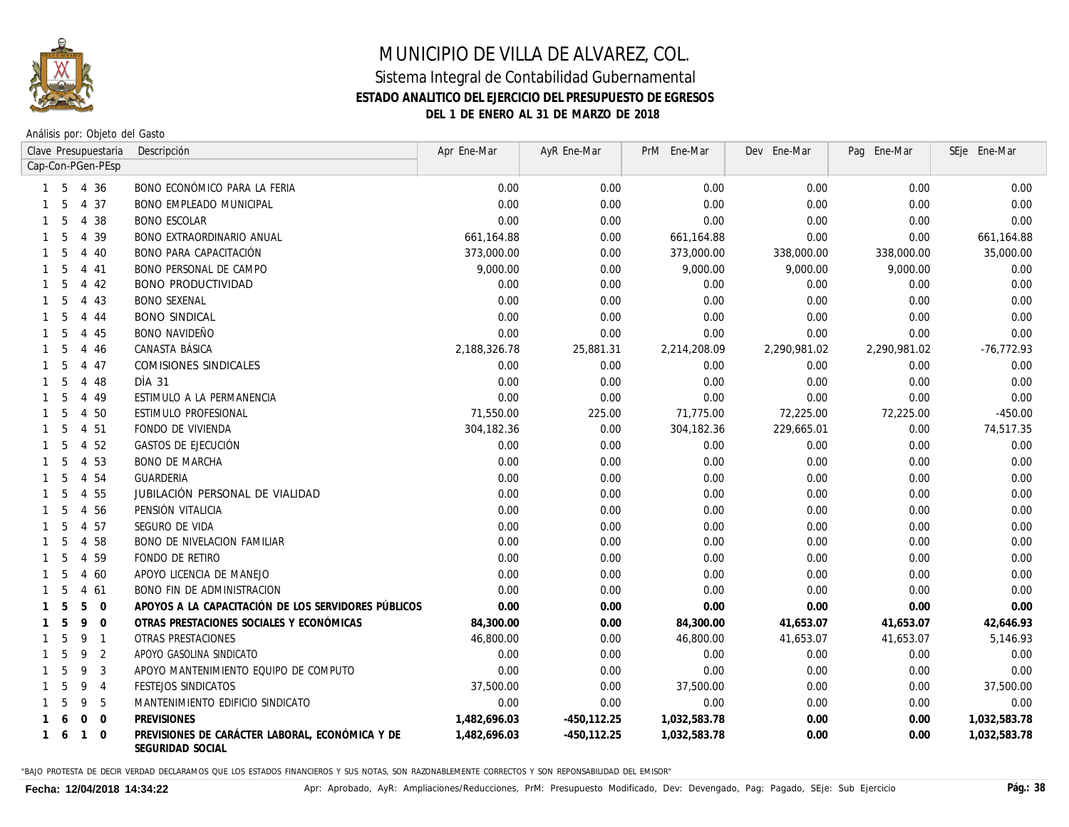

Análisis por: Objeto del Gasto

|              |    |                | Clave Presupuestaria | Descripción                                                         | Apr Ene-Mar  | AyR Ene-Mar    | PrM Ene-Mar  | Dev Ene-Mar  | Pag Ene-Mar  | SEje Ene-Mar  |
|--------------|----|----------------|----------------------|---------------------------------------------------------------------|--------------|----------------|--------------|--------------|--------------|---------------|
|              |    |                | Cap-Con-PGen-PEsp    |                                                                     |              |                |              |              |              |               |
|              | -5 |                | 4 36                 | BONO ECONÓMICO PARA LA FERIA                                        | 0.00         | 0.00           | 0.00         | 0.00         | 0.00         | 0.00          |
|              | .5 |                | 4 37                 | <b>BONO EMPLEADO MUNICIPAL</b>                                      | 0.00         | 0.00           | 0.00         | 0.00         | 0.00         | 0.00          |
|              | 5  |                | 4 38                 | <b>BONO ESCOLAR</b>                                                 | 0.00         | 0.00           | 0.00         | 0.00         | 0.00         | 0.00          |
|              | 5  |                | 4 3 9                | <b>BONO EXTRAORDINARIO ANUAL</b>                                    | 661,164.88   | 0.00           | 661,164.88   | 0.00         | 0.00         | 661,164.88    |
|              | 5  |                | 4 40                 | BONO PARA CAPACITACIÓN                                              | 373,000.00   | 0.00           | 373,000.00   | 338,000.00   | 338,000.00   | 35,000.00     |
|              | 5  |                | 4 4 1                | <b>BONO PERSONAL DE CAMPO</b>                                       | 9,000.00     | 0.00           | 9,000.00     | 9,000.00     | 9,000.00     | 0.00          |
|              | 5  |                | 4 4 2                | <b>BONO PRODUCTIVIDAD</b>                                           | 0.00         | 0.00           | 0.00         | 0.00         | 0.00         | 0.00          |
|              | 5  |                | 4 4 3                | <b>BONO SEXENAL</b>                                                 | 0.00         | 0.00           | 0.00         | 0.00         | 0.00         | 0.00          |
|              | 5  | 4              | 44                   | <b>BONO SINDICAL</b>                                                | 0.00         | 0.00           | 0.00         | 0.00         | 0.00         | 0.00          |
|              | 5  | 4              | 45                   | <b>BONO NAVIDEÑO</b>                                                | 0.00         | 0.00           | 0.00         | 0.00         | 0.00         | 0.00          |
|              | 5  | $\overline{4}$ | 46                   | CANASTA BÁSICA                                                      | 2,188,326.78 | 25,881.31      | 2,214,208.09 | 2,290,981.02 | 2,290,981.02 | $-76, 772.93$ |
|              | 5  | 4              | 47                   | COMISIONES SINDICALES                                               | 0.00         | 0.00           | 0.00         | 0.00         | 0.00         | 0.00          |
|              | 5  |                | 4 48                 | DIA 31                                                              | 0.00         | 0.00           | 0.00         | 0.00         | 0.00         | 0.00          |
|              | 5  | 4              | 49                   | ESTIMULO A LA PERMANENCIA                                           | 0.00         | 0.00           | 0.00         | 0.00         | 0.00         | 0.00          |
|              | 5  | 4              | 50                   | ESTIMULO PROFESIONAL                                                | 71,550.00    | 225.00         | 71,775.00    | 72,225.00    | 72,225.00    | $-450.00$     |
|              | 5  | 4              | 51                   | FONDO DE VIVIENDA                                                   | 304,182.36   | 0.00           | 304, 182.36  | 229,665.01   | 0.00         | 74,517.35     |
|              | .5 | $\overline{4}$ | 52                   | GASTOS DE EJECUCIÓN                                                 | 0.00         | 0.00           | 0.00         | 0.00         | 0.00         | 0.00          |
|              | .5 | 4              | 53                   | <b>BONO DE MARCHA</b>                                               | 0.00         | 0.00           | 0.00         | 0.00         | 0.00         | 0.00          |
|              | 5  | 4              | 54                   | GUARDERIA                                                           | 0.00         | 0.00           | 0.00         | 0.00         | 0.00         | 0.00          |
|              | 5  | 4              | 55                   | JUBILACIÓN PERSONAL DE VIALIDAD                                     | 0.00         | 0.00           | 0.00         | 0.00         | 0.00         | 0.00          |
|              | .5 | 4              | 56                   | PENSIÓN VITALICIA                                                   | 0.00         | 0.00           | 0.00         | 0.00         | 0.00         | 0.00          |
|              | .5 | 4              | 57                   | SEGURO DE VIDA                                                      | 0.00         | 0.00           | 0.00         | 0.00         | 0.00         | 0.00          |
|              | 5  | $\overline{4}$ | 58                   | <b>BONO DE NIVELACION FAMILIAR</b>                                  | 0.00         | 0.00           | 0.00         | 0.00         | 0.00         | 0.00          |
|              | 5  | $\overline{4}$ | 59                   | FONDO DE RETIRO                                                     | 0.00         | 0.00           | 0.00         | 0.00         | 0.00         | 0.00          |
|              | 5  | $\overline{4}$ | 60                   | APOYO LICENCIA DE MANEJO                                            | 0.00         | 0.00           | 0.00         | 0.00         | 0.00         | 0.00          |
|              | 5  | $\overline{4}$ | 61                   | <b>BONO FIN DE ADMINISTRACION</b>                                   | 0.00         | 0.00           | 0.00         | 0.00         | 0.00         | 0.00          |
|              | 5  | 5              | $\overline{0}$       | APOYOS A LA CAPACITACIÓN DE LOS SERVIDORES PÚBLICOS                 | 0.00         | 0.00           | 0.00         | 0.00         | 0.00         | 0.00          |
|              | 5  | 9              | $\overline{0}$       | OTRAS PRESTACIONES SOCIALES Y ECONÓMICAS                            | 84,300.00    | 0.00           | 84,300.00    | 41,653.07    | 41,653.07    | 42,646.93     |
|              | 5  | 9              | $\overline{1}$       | OTRAS PRESTACIONES                                                  | 46,800.00    | 0.00           | 46,800.00    | 41,653.07    | 41,653.07    | 5,146.93      |
|              | 5  | 9              | $\overline{2}$       | APOYO GASOLINA SINDICATO                                            | 0.00         | 0.00           | 0.00         | 0.00         | 0.00         | 0.00          |
|              | 5  | 9              | 3                    | APOYO MANTENIMIENTO EQUIPO DE COMPUTO                               | 0.00         | 0.00           | 0.00         | 0.00         | 0.00         | 0.00          |
|              |    | 9              | $\overline{4}$       | FESTEJOS SINDICATOS                                                 | 37,500.00    | 0.00           | 37,500.00    | 0.00         | 0.00         | 37,500.00     |
|              |    | 9              | 5                    | MANTENIMIENTO EDIFICIO SINDICATO                                    | 0.00         | 0.00           | 0.00         | 0.00         | 0.00         | 0.00          |
|              |    | $\Omega$       | $\overline{0}$       | <b>PREVISIONES</b>                                                  | 1,482,696.03 | $-450, 112.25$ | 1,032,583.78 | 0.00         | 0.00         | 1,032,583.78  |
| $\mathbf{1}$ | 6  | $\mathbf{1}$   | $\Omega$             | PREVISIONES DE CARÁCTER LABORAL, ECONÓMICA Y DE<br>SEGURIDAD SOCIAL | 1,482,696.03 | $-450, 112.25$ | 1,032,583.78 | 0.00         | 0.00         | 1,032,583.78  |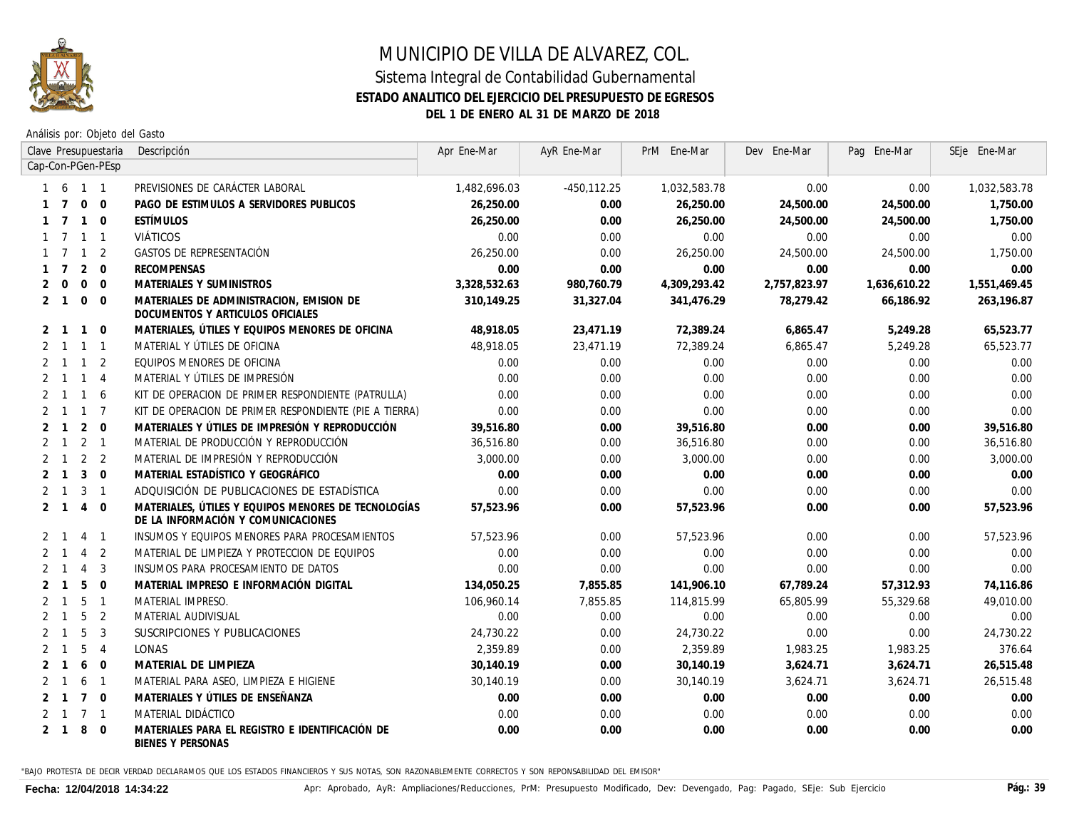

Análisis por: Objeto del Gasto

|                |                |                | Clave Presupuestaria | Descripción                                                                               | Apr Ene-Mar  | AyR Ene-Mar | PrM Ene-Mar  | Dev Ene-Mar  | Pag Ene-Mar  | SEje Ene-Mar |
|----------------|----------------|----------------|----------------------|-------------------------------------------------------------------------------------------|--------------|-------------|--------------|--------------|--------------|--------------|
|                |                |                | Cap-Con-PGen-PEsp    |                                                                                           |              |             |              |              |              |              |
|                | -6             | 1 1            |                      | PREVISIONES DE CARÁCTER LABORAL                                                           | 1,482,696.03 | -450,112.25 | 1,032,583.78 | 0.00         | 0.00         | 1,032,583.78 |
|                |                | $\mathbf{0}$   | $\mathbf 0$          | PAGO DE ESTIMULOS A SERVIDORES PUBLICOS                                                   | 26,250.00    | 0.00        | 26,250.00    | 24,500.00    | 24,500.00    | 1,750.00     |
|                |                | $\mathbf{1}$   | $\Omega$             | <b>ESTÍMULOS</b>                                                                          | 26,250.00    | 0.00        | 26,250.00    | 24,500.00    | 24,500.00    | 1,750.00     |
|                |                | $\mathbf{1}$   | $\overline{1}$       | <i>VIÁTICOS</i>                                                                           | 0.00         | 0.00        | 0.00         | 0.00         | 0.00         | 0.00         |
|                |                | $\mathbf{1}$   | $\overline{2}$       | GASTOS DE REPRESENTACIÓN                                                                  | 26,250.00    | 0.00        | 26,250.00    | 24,500.00    | 24,500.00    | 1,750.00     |
|                | $\overline{7}$ | 2              | $\Omega$             | <b>RECOMPENSAS</b>                                                                        | 0.00         | 0.00        | 0.00         | 0.00         | 0.00         | 0.00         |
| 2              | $\Omega$       | $\mathbf 0$    | $\overline{0}$       | MATERIALES Y SUMINISTROS                                                                  | 3,328,532.63 | 980,760.79  | 4,309,293.42 | 2,757,823.97 | 1,636,610.22 | 1,551,469.45 |
| 2              | $\overline{1}$ | $\Omega$       | $\Omega$             | MATERIALES DE ADMINISTRACION, EMISION DE<br>DOCUMENTOS Y ARTICULOS OFICIALES              | 310.149.25   | 31,327.04   | 341,476.29   | 78,279.42    | 66,186.92    | 263,196.87   |
| 2              | $\overline{1}$ | $\mathbf{1}$   | $\overline{0}$       | MATERIALES, ÚTILES Y EQUIPOS MENORES DE OFICINA                                           | 48,918.05    | 23,471.19   | 72,389.24    | 6,865.47     | 5,249.28     | 65,523.77    |
| 2              | $\overline{1}$ | $\overline{1}$ | $\overline{1}$       | MATERIAL Y ÚTILES DE OFICINA                                                              | 48,918.05    | 23,471.19   | 72,389.24    | 6,865.47     | 5,249.28     | 65,523.77    |
| 2              | $\overline{1}$ | $\overline{1}$ | 2                    | EQUIPOS MENORES DE OFICINA                                                                | 0.00         | 0.00        | 0.00         | 0.00         | 0.00         | 0.00         |
| $\mathcal{P}$  | $\overline{1}$ | $\overline{1}$ | $\overline{4}$       | MATERIAL Y ÚTILES DE IMPRESIÓN                                                            | 0.00         | 0.00        | 0.00         | 0.00         | 0.00         | 0.00         |
| 2              |                | $\mathbf{1}$   | 6                    | KIT DE OPERACION DE PRIMER RESPONDIENTE (PATRULLA)                                        | 0.00         | 0.00        | 0.00         | 0.00         | 0.00         | 0.00         |
| $\overline{2}$ |                | $\mathbf{1}$   | $\overline{7}$       | KIT DE OPERACION DE PRIMER RESPONDIENTE (PIE A TIERRA)                                    | 0.00         | 0.00        | 0.00         | 0.00         | 0.00         | 0.00         |
|                |                | 2              | $\overline{0}$       | MATERIALES Y ÚTILES DE IMPRESIÓN Y REPRODUCCIÓN                                           | 39,516.80    | 0.00        | 39,516.80    | 0.00         | 0.00         | 39,516.80    |
| 2              | $\mathbf{1}$   | 2              | $\overline{1}$       | MATERIAL DE PRODUCCIÓN Y REPRODUCCIÓN                                                     | 36,516.80    | 0.00        | 36,516.80    | 0.00         | 0.00         | 36,516.80    |
| 2              |                | 2              | $\overline{2}$       | MATERIAL DE IMPRESIÓN Y REPRODUCCIÓN                                                      | 3,000,00     | 0.00        | 3,000.00     | 0.00         | 0.00         | 3,000.00     |
| $\mathcal{P}$  |                | 3              | $\Omega$             | MATERIAL ESTADÍSTICO Y GEOGRÁFICO                                                         | 0.00         | 0.00        | 0.00         | 0.00         | 0.00         | 0.00         |
| $\overline{2}$ | $\mathbf{1}$   | 3              | $\overline{1}$       | ADQUISICIÓN DE PUBLICACIONES DE ESTADÍSTICA                                               | 0.00         | 0.00        | 0.00         | 0.00         | 0.00         | 0.00         |
| 2              |                | $\overline{4}$ | $\overline{0}$       | MATERIALES, ÚTILES Y EQUIPOS MENORES DE TECNOLOGÍAS<br>DE LA INFORMACIÓN Y COMUNICACIONES | 57,523.96    | 0.00        | 57,523.96    | 0.00         | 0.00         | 57,523.96    |
| $\overline{2}$ |                | $\overline{4}$ | $\overline{1}$       | INSUMOS Y EQUIPOS MENORES PARA PROCESAMIENTOS                                             | 57,523.96    | 0.00        | 57,523.96    | 0.00         | 0.00         | 57,523.96    |
|                |                | $\overline{4}$ | 2                    | MATERIAL DE LIMPIEZA Y PROTECCION DE EQUIPOS                                              | 0.00         | 0.00        | 0.00         | 0.00         | 0.00         | 0.00         |
|                |                | $\overline{4}$ | 3                    | INSUMOS PARA PROCESAMIENTO DE DATOS                                                       | 0.00         | 0.00        | 0.00         | 0.00         | 0.00         | 0.00         |
|                |                | 5              | $\overline{0}$       | MATERIAL IMPRESO E INFORMACIÓN DIGITAL                                                    | 134,050.25   | 7,855.85    | 141,906.10   | 67,789.24    | 57,312.93    | 74,116.86    |
| 2              |                | 5              | $\overline{1}$       | MATERIAL IMPRESO.                                                                         | 106,960,14   | 7.855.85    | 114,815.99   | 65,805,99    | 55,329.68    | 49.010.00    |
| 2              |                | 5              | 2                    | MATERIAL AUDIVISUAL                                                                       | 0.00         | 0.00        | 0.00         | 0.00         | 0.00         | 0.00         |
| $\overline{2}$ |                | 5              | 3                    | SUSCRIPCIONES Y PUBLICACIONES                                                             | 24,730.22    | 0.00        | 24,730.22    | 0.00         | 0.00         | 24,730.22    |
| 2              |                | 5              | $\overline{4}$       | <b>LONAS</b>                                                                              | 2,359.89     | 0.00        | 2,359.89     | 1,983.25     | 1,983.25     | 376.64       |
| 2              |                | 6              | $\overline{0}$       | MATERIAL DE LIMPIEZA                                                                      | 30,140.19    | 0.00        | 30,140.19    | 3,624.71     | 3,624.71     | 26,515.48    |
| 2              |                | 6              | $\overline{1}$       | MATERIAL PARA ASEO, LIMPIEZA E HIGIENE                                                    | 30,140,19    | 0.00        | 30.140.19    | 3,624.71     | 3,624.71     | 26,515.48    |
|                |                | $\overline{7}$ | $\Omega$             | MATERIALES Y ÚTILES DE ENSEÑANZA                                                          | 0.00         | 0.00        | 0.00         | 0.00         | 0.00         | 0.00         |
|                |                | $\overline{7}$ | $\overline{1}$       | MATERIAL DIDÁCTICO                                                                        | 0.00         | 0.00        | 0.00         | 0.00         | 0.00         | 0.00         |
| $\mathbf{2}$   | -1             | 8              | $\overline{0}$       | MATERIALES PARA EL REGISTRO E IDENTIFICACIÓN DE<br>BIENES Y PERSONAS                      | 0.00         | 0.00        | 0.00         | 0.00         | 0.00         | 0.00         |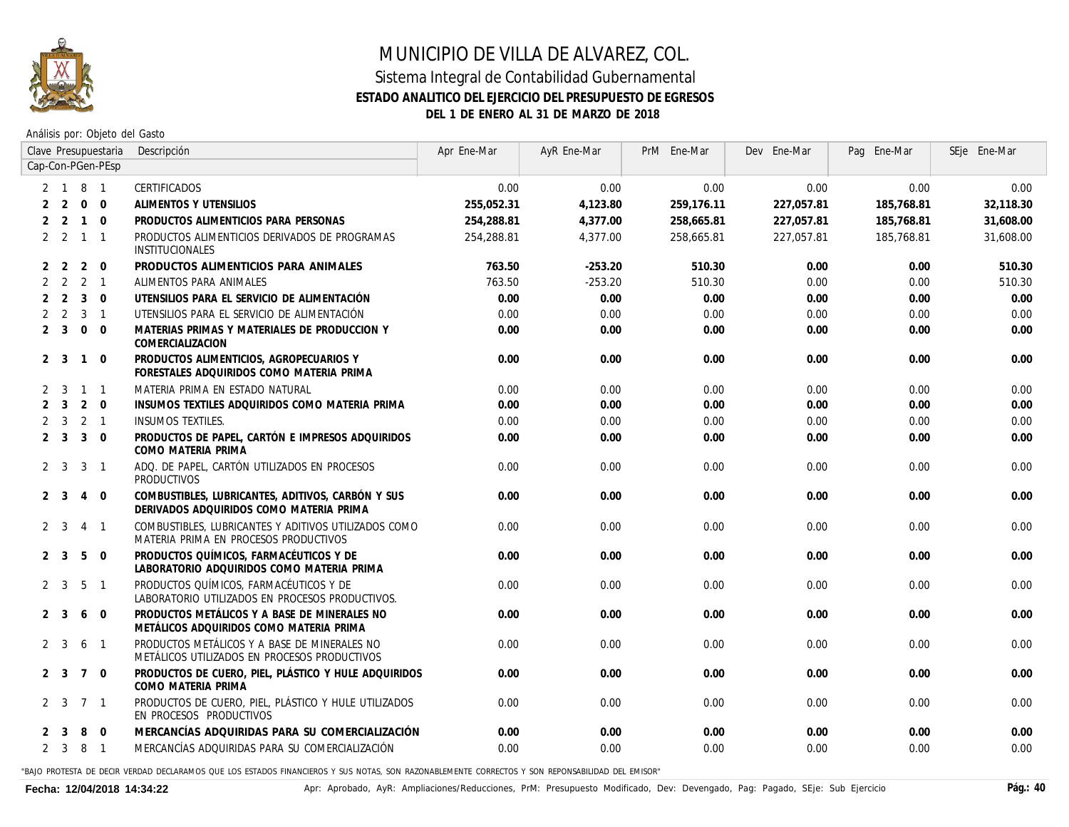

Análisis por: Objeto del Gasto

|                |                |                | Clave Presupuestaria | Descripción                                                                                   | Apr Ene-Mar | AyR Ene-Mar | PrM Ene-Mar | Dev Ene-Mar | Pag Ene-Mar | SEje Ene-Mar |
|----------------|----------------|----------------|----------------------|-----------------------------------------------------------------------------------------------|-------------|-------------|-------------|-------------|-------------|--------------|
|                |                |                | Cap-Con-PGen-PEsp    |                                                                                               |             |             |             |             |             |              |
|                |                | 2 1 8 1        |                      | CERTIFICADOS                                                                                  | 0.00        | 0.00        | 0.00        | 0.00        | 0.00        | 0.00         |
| 2              | 2              | $\overline{0}$ | $\Omega$             | ALIMENTOS Y UTENSILIOS                                                                        | 255,052.31  | 4,123.80    | 259,176.11  | 227,057.81  | 185,768.81  | 32,118.30    |
| 2              | 2              | $\overline{1}$ | $\Omega$             | PRODUCTOS ALIMENTICIOS PARA PERSONAS                                                          | 254,288.81  | 4,377.00    | 258,665.81  | 227.057.81  | 185,768.81  | 31,608.00    |
|                | $2 \quad 2$    | $\overline{1}$ | $\overline{1}$       | PRODUCTOS ALIMENTICIOS DERIVADOS DE PROGRAMAS<br>INSTITUCIONALES                              | 254,288.81  | 4,377.00    | 258,665.81  | 227,057.81  | 185,768.81  | 31,608.00    |
| 2              | 2              | $\overline{2}$ | $\overline{0}$       | PRODUCTOS ALIMENTICIOS PARA ANIMALES                                                          | 763.50      | $-253.20$   | 510.30      | 0.00        | 0.00        | 510.30       |
| $\overline{2}$ | 2              | 2 <sub>1</sub> |                      | ALIMENTOS PARA ANIMALES                                                                       | 763.50      | $-253.20$   | 510.30      | 0.00        | 0.00        | 510.30       |
| $\overline{2}$ | 2              | $\overline{3}$ | $\overline{0}$       | UTENSILIOS PARA EL SERVICIO DE ALIMENTACIÓN                                                   | 0.00        | 0.00        | 0.00        | 0.00        | 0.00        | 0.00         |
|                | 2 <sub>2</sub> | $\overline{3}$ | $\overline{1}$       | UTENSILIOS PARA EL SERVICIO DE ALIMENTACIÓN                                                   | 0.00        | 0.00        | 0.00        | 0.00        | 0.00        | 0.00         |
|                | $2 \quad 3$    | $0\quad 0$     |                      | MATERIAS PRIMAS Y MATERIALES DE PRODUCCION Y<br>COMERCIALIZACION                              | 0.00        | 0.00        | 0.00        | 0.00        | 0.00        | 0.00         |
|                | 2 <sup>3</sup> | $\mathbf{1}$   | $\mathbf 0$          | PRODUCTOS ALIMENTICIOS, AGROPECUARIOS Y<br>FORESTALES ADQUIRIDOS COMO MATERIA PRIMA           | 0.00        | 0.00        | 0.00        | 0.00        | 0.00        | 0.00         |
| 2              | 3              | $1 \quad 1$    |                      | MATERIA PRIMA EN ESTADO NATURAL                                                               | 0.00        | 0.00        | 0.00        | 0.00        | 0.00        | 0.00         |
| $\overline{2}$ | $\overline{3}$ | $2 \quad 0$    |                      | INSUMOS TEXTILES ADQUIRIDOS COMO MATERIA PRIMA                                                | 0.00        | 0.00        | 0.00        | 0.00        | 0.00        | 0.00         |
| $\overline{2}$ | 3              | $2 \quad 1$    |                      | <b>INSUMOS TEXTILES.</b>                                                                      | 0.00        | 0.00        | 0.00        | 0.00        | 0.00        | 0.00         |
| 2              | 3              |                | $3 \quad 0$          | PRODUCTOS DE PAPEL, CARTÓN E IMPRESOS ADQUIRIDOS<br>COMO MATERIA PRIMA                        | 0.00        | 0.00        | 0.00        | 0.00        | 0.00        | 0.00         |
|                | 2 <sup>3</sup> | 3              | $\overline{1}$       | ADO. DE PAPEL, CARTÓN UTILIZADOS EN PROCESOS<br>PRODUCTIVOS                                   | 0.00        | 0.00        | 0.00        | 0.00        | 0.00        | 0.00         |
|                | 2 <sup>3</sup> | 4              | $\mathbf 0$          | COMBUSTIBLES, LUBRICANTES, ADITIVOS, CARBÓN Y SUS<br>DERIVADOS ADQUIRIDOS COMO MATERIA PRIMA  | 0.00        | 0.00        | 0.00        | 0.00        | 0.00        | 0.00         |
|                | 2 <sup>3</sup> | $\overline{4}$ | $\overline{1}$       | COMBUSTIBLES, LUBRICANTES Y ADITIVOS UTILIZADOS COMO<br>MATERIA PRIMA EN PROCESOS PRODUCTIVOS | 0.00        | 0.00        | 0.00        | 0.00        | 0.00        | 0.00         |
|                | 2 <sup>3</sup> | 5              | $\Omega$             | PRODUCTOS QUÍMICOS, FARMACÉUTICOS Y DE<br>LABORATORIO ADQUIRIDOS COMO MATERIA PRIMA           | 0.00        | 0.00        | 0.00        | 0.00        | 0.00        | 0.00         |
| 2              | 3              | 5              | $\overline{1}$       | PRODUCTOS QUÍMICOS, FARMACÉUTICOS Y DE<br>LABORATORIO UTILIZADOS EN PROCESOS PRODUCTIVOS.     | 0.00        | 0.00        | 0.00        | 0.00        | 0.00        | 0.00         |
|                | 2 <sup>3</sup> | 6              | $\overline{0}$       | PRODUCTOS METÁLICOS Y A BASE DE MINERALES NO<br>METÁLICOS ADQUIRIDOS COMO MATERIA PRIMA       | 0.00        | 0.00        | 0.00        | 0.00        | 0.00        | 0.00         |
|                | $2 \quad 3$    | 6              | $\overline{1}$       | PRODUCTOS METÁLICOS Y A BASE DE MINERALES NO<br>METÁLICOS UTILIZADOS EN PROCESOS PRODUCTIVOS  | 0.00        | 0.00        | 0.00        | 0.00        | 0.00        | 0.00         |
|                | $2 \quad 3$    | 7 0            |                      | PRODUCTOS DE CUERO, PIEL, PLÁSTICO Y HULE ADQUIRIDOS<br>COMO MATERIA PRIMA                    | 0.00        | 0.00        | 0.00        | 0.00        | 0.00        | 0.00         |
|                | 2 <sup>3</sup> | 7 <sub>1</sub> |                      | PRODUCTOS DE CUERO, PIEL, PLÁSTICO Y HULE UTILIZADOS<br>EN PROCESOS PRODUCTIVOS               | 0.00        | 0.00        | 0.00        | 0.00        | 0.00        | 0.00         |
|                | 3              | 8              | $\Omega$             | MERCANCÍAS ADQUIRIDAS PARA SU COMERCIALIZACIÓN                                                | 0.00        | 0.00        | 0.00        | 0.00        | 0.00        | 0.00         |
|                | $2 \quad 3$    | 8              | $\overline{1}$       | MERCANCÍAS ADQUIRIDAS PARA SU COMERCIALIZACIÓN                                                | 0.00        | 0.00        | 0.00        | 0.00        | 0.00        | 0.00         |
|                |                |                |                      |                                                                                               |             |             |             |             |             |              |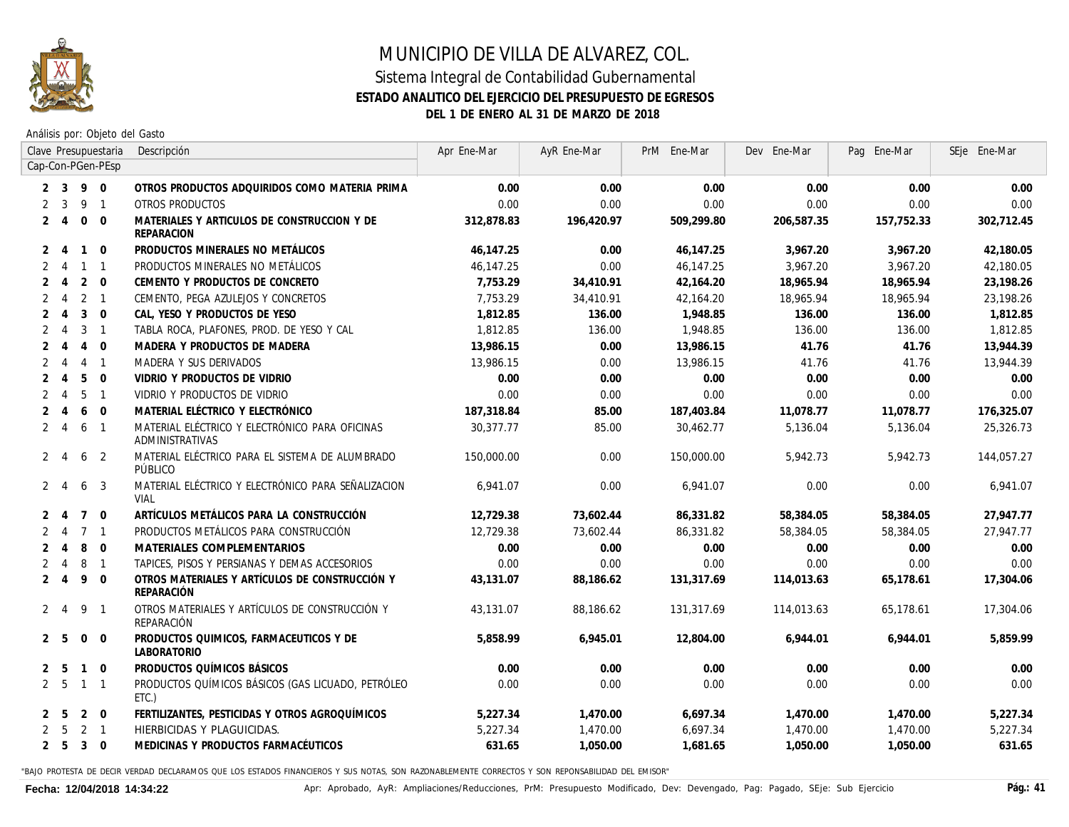

Análisis por: Objeto del Gasto

|                |                             |                | Clave Presupuestaria | Descripción                                                              | Apr Ene-Mar | AyR Ene-Mar | PrM Ene-Mar | Dev Ene-Mar | Pag Ene-Mar | SEje Ene-Mar |
|----------------|-----------------------------|----------------|----------------------|--------------------------------------------------------------------------|-------------|-------------|-------------|-------------|-------------|--------------|
|                |                             |                | Cap-Con-PGen-PEsp    |                                                                          |             |             |             |             |             |              |
|                | 3                           | 9              | $\Omega$             | OTROS PRODUCTOS ADQUIRIDOS COMO MATERIA PRIMA                            | 0.00        | 0.00        | 0.00        | 0.00        | 0.00        | 0.00         |
|                | 3                           | 9              | $\overline{1}$       | OTROS PRODUCTOS                                                          | 0.00        | 0.00        | 0.00        | 0.00        | 0.00        | 0.00         |
| $\mathbf{2}$   | -4                          | $\mathbf 0$    | $\Omega$             | MATERIALES Y ARTICULOS DE CONSTRUCCION Y DE<br><b>REPARACION</b>         | 312,878.83  | 196,420.97  | 509,299.80  | 206,587.35  | 157,752.33  | 302,712.45   |
| $\mathcal{P}$  | $\overline{4}$              | $\mathbf{1}$   | $\Omega$             | PRODUCTOS MINERALES NO METÁLICOS                                         | 46,147.25   | 0.00        | 46,147.25   | 3,967.20    | 3,967.20    | 42,180.05    |
|                | $\overline{4}$              | $\mathbf{1}$   | $\overline{1}$       | PRODUCTOS MINERALES NO METÁLICOS                                         | 46,147.25   | 0.00        | 46,147.25   | 3,967.20    | 3,967.20    | 42,180.05    |
|                | $\overline{4}$              | 2              | $\overline{0}$       | CEMENTO Y PRODUCTOS DE CONCRETO                                          | 7,753.29    | 34,410.91   | 42,164.20   | 18,965.94   | 18,965.94   | 23,198.26    |
|                | $\overline{4}$              | 2              | $\overline{1}$       | CEMENTO, PEGA AZULEJOS Y CONCRETOS                                       | 7,753.29    | 34.410.91   | 42,164.20   | 18,965,94   | 18,965,94   | 23,198.26    |
|                | $\boldsymbol{\varDelta}$    | 3              | $\overline{0}$       | CAL, YESO Y PRODUCTOS DE YESO                                            | 1,812.85    | 136.00      | 1,948.85    | 136.00      | 136.00      | 1,812.85     |
|                | 4                           | 3              | $\overline{1}$       | TABLA ROCA, PLAFONES, PROD. DE YESO Y CAL                                | 1,812.85    | 136.00      | 1,948.85    | 136.00      | 136.00      | 1,812.85     |
|                |                             | $\overline{4}$ | $\overline{0}$       | MADERA Y PRODUCTOS DE MADERA                                             | 13,986.15   | 0.00        | 13,986.15   | 41.76       | 41.76       | 13,944.39    |
|                | $\boldsymbol{\vartriangle}$ | $\overline{4}$ | $\overline{1}$       | MADERA Y SUS DERIVADOS                                                   | 13,986.15   | 0.00        | 13,986.15   | 41.76       | 41.76       | 13,944.39    |
|                |                             | 5              | $\Omega$             | VIDRIO Y PRODUCTOS DE VIDRIO                                             | 0.00        | 0.00        | 0.00        | 0.00        | 0.00        | 0.00         |
| $\overline{2}$ | $\overline{4}$              | 5              | $\overline{1}$       | VIDRIO Y PRODUCTOS DE VIDRIO                                             | 0.00        | 0.00        | 0.00        | 0.00        | 0.00        | 0.00         |
| $\overline{2}$ | $\boldsymbol{\varLambda}$   | 6              | $\Omega$             | MATERIAL ELÉCTRICO Y ELECTRÓNICO                                         | 187,318.84  | 85.00       | 187,403.84  | 11,078.77   | 11,078.77   | 176,325.07   |
| $\overline{2}$ | $\overline{4}$              | 6              | $\overline{1}$       | MATERIAL ELÉCTRICO Y ELECTRÓNICO PARA OFICINAS<br><b>ADMINISTRATIVAS</b> | 30.377.77   | 85.00       | 30,462.77   | 5,136.04    | 5,136.04    | 25,326.73    |
| $\overline{2}$ | -4                          | 6              | 2                    | MATERIAL ELÉCTRICO PARA EL SISTEMA DE ALUMBRADO<br>PÚBLICO               | 150,000.00  | 0.00        | 150,000.00  | 5,942.73    | 5,942.73    | 144,057.27   |
| $\mathbf{2}$   | $\boldsymbol{\varLambda}$   | 6              | 3                    | MATERIAL ELÉCTRICO Y ELECTRÓNICO PARA SEÑALIZACION<br><b>VIAL</b>        | 6,941.07    | 0.00        | 6,941.07    | 0.00        | 0.00        | 6,941.07     |
|                | 4                           | $7^{\circ}$    | $\overline{0}$       | ARTÍCULOS METÁLICOS PARA LA CONSTRUCCIÓN                                 | 12,729.38   | 73,602.44   | 86,331.82   | 58,384.05   | 58,384.05   | 27,947.77    |
|                | 4                           |                | 7 <sub>1</sub>       | PRODUCTOS METÁLICOS PARA CONSTRUCCIÓN                                    | 12,729.38   | 73,602.44   | 86,331.82   | 58,384.05   | 58,384.05   | 27,947.77    |
|                | $\boldsymbol{\varLambda}$   | 8              | $\Omega$             | <b>MATERIALES COMPLEMENTARIOS</b>                                        | 0.00        | 0.00        | 0.00        | 0.00        | 0.00        | 0.00         |
|                | $\overline{4}$              | 8              | $\overline{1}$       | TAPICES. PISOS Y PERSIANAS Y DEMAS ACCESORIOS                            | 0.00        | 0.00        | 0.00        | 0.00        | 0.00        | 0.00         |
| $\overline{2}$ | $\overline{4}$              | 9              | $\overline{0}$       | OTROS MATERIALES Y ARTÍCULOS DE CONSTRUCCIÓN Y<br>REPARACIÓN             | 43,131.07   | 88,186.62   | 131,317.69  | 114,013.63  | 65,178.61   | 17,304.06    |
| $\mathbf{2}$   | $\overline{4}$              | 9              | $\overline{1}$       | OTROS MATERIALES Y ARTÍCULOS DE CONSTRUCCIÓN Y<br>REPARACIÓN             | 43.131.07   | 88,186,62   | 131.317.69  | 114.013.63  | 65,178.61   | 17,304.06    |
|                | 2 5                         | $\mathbf{0}$   | $\overline{0}$       | PRODUCTOS QUIMICOS, FARMACEUTICOS Y DE<br><b>LABORATORIO</b>             | 5,858.99    | 6,945.01    | 12,804.00   | 6,944.01    | 6,944.01    | 5,859.99     |
| 2              | -5                          | $\mathbf{1}$   | $\mathbf 0$          | PRODUCTOS QUÍMICOS BÁSICOS                                               | 0.00        | 0.00        | 0.00        | 0.00        | 0.00        | 0.00         |
|                | 2 <sub>5</sub>              | $\mathbf{1}$   | $\overline{1}$       | PRODUCTOS QUÍMICOS BÁSICOS (GAS LICUADO, PETRÓLEO<br>ETC.)               | 0.00        | 0.00        | 0.00        | 0.00        | 0.00        | 0.00         |
|                | -5                          | 2              | $\overline{0}$       | FERTILIZANTES, PESTICIDAS Y OTROS AGROQUÍMICOS                           | 5,227.34    | 1,470.00    | 6,697.34    | 1,470.00    | 1,470.00    | 5,227.34     |
|                | .5                          | 2              | $\overline{1}$       | HIERBICIDAS Y PLAGUICIDAS.                                               | 5,227.34    | 1,470.00    | 6,697.34    | 1,470.00    | 1,470.00    | 5,227.34     |
| $\overline{2}$ | 5                           | $\mathbf{3}$   | $\overline{0}$       | MEDICINAS Y PRODUCTOS FARMACÉUTICOS                                      | 631.65      | 1,050.00    | 1,681.65    | 1,050.00    | 1,050.00    | 631.65       |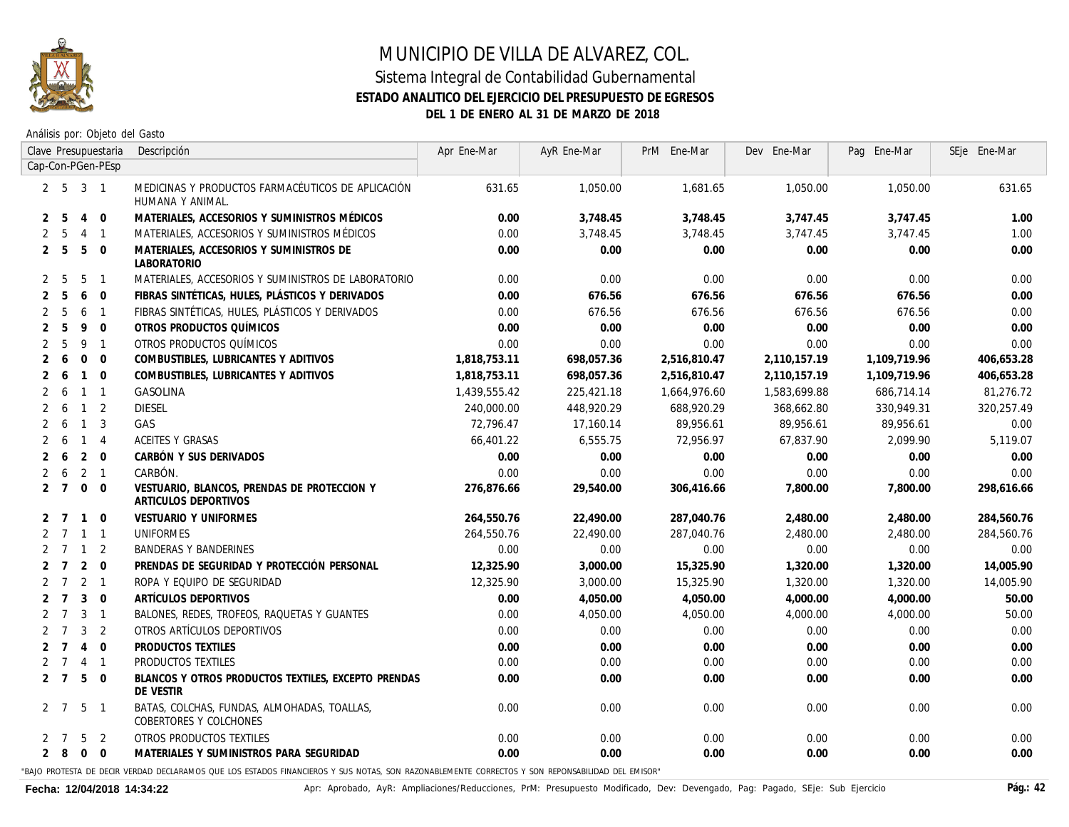

Análisis por: Objeto del Gasto

| Clave Presupuestaria                           | Descripción                                                                                                                                      | Apr Ene-Mar  | AyR Ene-Mar | PrM Ene-Mar  | Dev Ene-Mar  | Pag Ene-Mar  | SEje Ene-Mar |
|------------------------------------------------|--------------------------------------------------------------------------------------------------------------------------------------------------|--------------|-------------|--------------|--------------|--------------|--------------|
| Cap-Con-PGen-PEsp                              |                                                                                                                                                  |              |             |              |              |              |              |
| 2 <sub>5</sub><br>$3 \quad 1$                  | MEDICINAS Y PRODUCTOS FARMACÉUTICOS DE APLICACIÓN<br>HUMANA Y ANIMAL.                                                                            | 631.65       | 1,050.00    | 1,681.65     | 1,050.00     | 1,050.00     | 631.65       |
| - 5<br>4 0<br>2                                | MATERIALES, ACCESORIOS Y SUMINISTROS MÉDICOS                                                                                                     | 0.00         | 3,748.45    | 3,748.45     | 3,747.45     | 3,747.45     | 1.00         |
| 5<br>4 1<br>2                                  | MATERIALES, ACCESORIOS Y SUMINISTROS MÉDICOS                                                                                                     | 0.00         | 3.748.45    | 3.748.45     | 3.747.45     | 3.747.45     | 1.00         |
| - 5<br>$5 \quad 0$<br>2                        | MATERIALES, ACCESORIOS Y SUMINISTROS DE<br><b>LABORATORIO</b>                                                                                    | 0.00         | 0.00        | 0.00         | 0.00         | 0.00         | 0.00         |
| 5 <sub>1</sub><br>- 5<br>2                     | MATERIALES, ACCESORIOS Y SUMINISTROS DE LABORATORIO                                                                                              | 0.00         | 0.00        | 0.00         | 0.00         | 0.00         | 0.00         |
| 5<br>$6\quad 0$<br>2                           | FIBRAS SINTÉTICAS, HULES, PLÁSTICOS Y DERIVADOS                                                                                                  | 0.00         | 676.56      | 676.56       | 676.56       | 676.56       | 0.00         |
| 5<br>6 1<br>2                                  | FIBRAS SINTÉTICAS, HULES, PLÁSTICOS Y DERIVADOS                                                                                                  | 0.00         | 676.56      | 676.56       | 676.56       | 676.56       | 0.00         |
| 5<br>9 0<br>2                                  | OTROS PRODUCTOS QUÍMICOS                                                                                                                         | 0.00         | 0.00        | 0.00         | 0.00         | 0.00         | 0.00         |
| 5<br>9<br>$\overline{1}$<br>2                  | OTROS PRODUCTOS QUÍMICOS                                                                                                                         | 0.00         | 0.00        | 0.00         | 0.00         | 0.00         | 0.00         |
| 6<br>$0\quad 0$                                | COMBUSTIBLES, LUBRICANTES Y ADITIVOS                                                                                                             | 1,818,753.11 | 698,057.36  | 2,516,810.47 | 2,110,157.19 | 1,109,719.96 | 406,653.28   |
| $1\quad 0$<br>2<br>6                           | COMBUSTIBLES, LUBRICANTES Y ADITIVOS                                                                                                             | 1,818,753.11 | 698,057.36  | 2,516,810.47 | 2,110,157.19 | 1,109,719.96 | 406,653.28   |
| $1 \quad 1$<br>2<br>6                          | <b>GASOLINA</b>                                                                                                                                  | 1,439,555.42 | 225,421.18  | 1,664,976.60 | 1,583,699.88 | 686,714.14   | 81,276.72    |
| $\overline{2}$<br>$\overline{1}$<br>2<br>6     | DIESEL                                                                                                                                           | 240,000.00   | 448,920.29  | 688,920.29   | 368,662.80   | 330,949.31   | 320,257.49   |
| $\overline{1}$<br>3<br>2<br>6                  | <b>GAS</b>                                                                                                                                       | 72.796.47    | 17,160.14   | 89,956.61    | 89,956.61    | 89,956.61    | 0.00         |
| $\overline{4}$<br>2<br>6<br>$\overline{1}$     | ACEITES Y GRASAS                                                                                                                                 | 66.401.22    | 6.555.75    | 72,956.97    | 67,837.90    | 2.099.90     | 5,119.07     |
| $2 \quad 0$<br>2<br>6                          | CARBÓN Y SUS DERIVADOS                                                                                                                           | 0.00         | 0.00        | 0.00         | 0.00         | 0.00         | 0.00         |
| $2 \quad 1$<br>6<br>2                          | CARBÓN.                                                                                                                                          | 0.00         | 0.00        | 0.00         | 0.00         | 0.00         | 0.00         |
| $\overline{7}$<br>$0\quad 0$<br>$\overline{2}$ | VESTUARIO, BLANCOS, PRENDAS DE PROTECCION Y<br>ARTICULOS DEPORTIVOS                                                                              | 276,876.66   | 29,540.00   | 306,416.66   | 7,800.00     | 7,800.00     | 298,616.66   |
| $\overline{7}$<br>$1 \quad 0$<br>2             | <b>VESTUARIO Y UNIFORMES</b>                                                                                                                     | 264,550.76   | 22,490.00   | 287,040.76   | 2,480.00     | 2,480.00     | 284,560.76   |
| $1 \quad 1$<br>2<br>$\overline{7}$             | UNIFORMES                                                                                                                                        | 264,550.76   | 22,490.00   | 287,040.76   | 2,480.00     | 2,480.00     | 284,560.76   |
| $1\quad 2$<br>2<br>$\overline{7}$              | <b>BANDERAS Y BANDERINES</b>                                                                                                                     | 0.00         | 0.00        | 0.00         | 0.00         | 0.00         | 0.00         |
| $2 \quad 0$<br>2<br>7                          | PRENDAS DE SEGURIDAD Y PROTECCIÓN PERSONAL                                                                                                       | 12,325.90    | 3,000.00    | 15,325.90    | 1,320.00     | 1,320.00     | 14,005.90    |
| $2 \quad 1$<br>$\overline{7}$<br>2             | ROPA Y EQUIPO DE SEGURIDAD                                                                                                                       | 12,325.90    | 3,000.00    | 15,325.90    | 1,320.00     | 1,320.00     | 14,005.90    |
| $\overline{7}$<br>$3 \quad 0$<br>2             | ARTÍCULOS DEPORTIVOS                                                                                                                             | 0.00         | 4,050.00    | 4,050.00     | 4,000.00     | 4,000.00     | 50.00        |
| $\overline{7}$<br>$3 \quad 1$<br>2             | BALONES, REDES, TROFEOS, RAQUETAS Y GUANTES                                                                                                      | 0.00         | 4,050.00    | 4,050.00     | 4,000.00     | 4,000.00     | 50.00        |
| $7\overline{ }$<br>3 <sub>2</sub><br>2         | OTROS ARTÍCULOS DEPORTIVOS                                                                                                                       | 0.00         | 0.00        | 0.00         | 0.00         | 0.00         | 0.00         |
| $\overline{7}$<br>4 0<br>2                     | PRODUCTOS TEXTILES                                                                                                                               | 0.00         | 0.00        | 0.00         | 0.00         | 0.00         | 0.00         |
| $\overline{7}$<br>4 1<br>2                     | PRODUCTOS TEXTILES                                                                                                                               | 0.00         | 0.00        | 0.00         | 0.00         | 0.00         | 0.00         |
| $\overline{7}$<br>5 0<br>2                     | BLANCOS Y OTROS PRODUCTOS TEXTILES, EXCEPTO PRENDAS<br>DE VESTIR                                                                                 | 0.00         | 0.00        | 0.00         | 0.00         | 0.00         | 0.00         |
| $2 \overline{7}$<br>5 1                        | BATAS, COLCHAS, FUNDAS, ALMOHADAS, TOALLAS,<br>COBERTORES Y COLCHONES                                                                            | 0.00         | 0.00        | 0.00         | 0.00         | 0.00         | 0.00         |
| 5 <sub>2</sub><br>2 7                          | OTROS PRODUCTOS TEXTILES                                                                                                                         | 0.00         | 0.00        | 0.00         | 0.00         | 0.00         | 0.00         |
| $2 \quad 8$<br>$0\quad 0$                      | MATERIALES Y SUMINISTROS PARA SEGURIDAD                                                                                                          | 0.00         | 0.00        | 0.00         | 0.00         | 0.00         | 0.00         |
|                                                | "BAJO PROTESTA DE DECIR VERDAD DECLARAMOS QUE LOS ESTADOS FINANCIEROS Y SUS NOTAS. SON RAZONABLEMENTE CORRECTOS Y SON REPONSABILIDAD DEL EMISOR" |              |             |              |              |              |              |

Fecha: 12/04/2018 14:34:22 **Apr: Aprobado, AyR: Ampliaciones/Reducciones**, PrM: Presupuesto Modificado, Dev: Devengado, Pag: Pagado, SEje: Sub Ejercicio Pág.: 42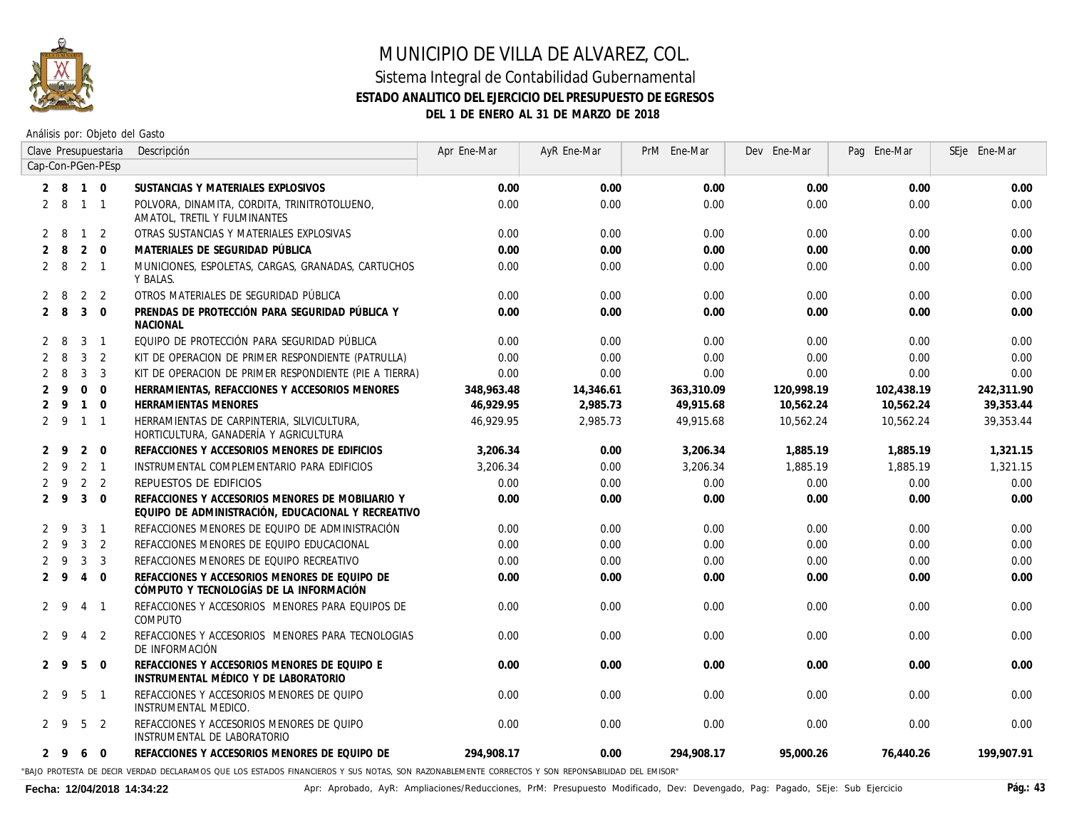

Análisis por: Objeto del Gasto

|                   |             |                | Clave Presupuestaria | Descripción                                                                                                                                       | Apr Ene-Mar | AyR Ene-Mar | PrM Ene-Mar | Dev Ene-Mar | Pag Ene-Mar | SEje Ene-Mar |
|-------------------|-------------|----------------|----------------------|---------------------------------------------------------------------------------------------------------------------------------------------------|-------------|-------------|-------------|-------------|-------------|--------------|
| Cap-Con-PGen-PEsp |             |                |                      |                                                                                                                                                   |             |             |             |             |             |              |
|                   | $2 \quad 8$ | $1\quad 0$     |                      | SUSTANCIAS Y MATERIALES EXPLOSIVOS                                                                                                                | 0.00        | 0.00        | 0.00        | 0.00        | 0.00        | 0.00         |
|                   | 2 8         |                | $1 \quad 1$          | POLVORA, DINAMITA, CORDITA, TRINITROTOLUENO,<br>AMATOL, TRETIL Y FULMINANTES                                                                      | 0.00        | 0.00        | 0.00        | 0.00        | 0.00        | 0.00         |
| 2                 | -8          | $\mathbf{1}$   | 2                    | OTRAS SUSTANCIAS Y MATERIALES EXPLOSIVAS                                                                                                          | 0.00        | 0.00        | 0.00        | 0.00        | 0.00        | 0.00         |
| 2                 | -8          | 2              | $\mathbf{0}$         | MATERIALES DE SEGURIDAD PÚBLICA                                                                                                                   | 0.00        | 0.00        | 0.00        | 0.00        | 0.00        | 0.00         |
|                   | $2 \quad 8$ | $2 \quad 1$    |                      | MUNICIONES, ESPOLETAS, CARGAS, GRANADAS, CARTUCHOS<br>Y BALAS.                                                                                    | 0.00        | 0.00        | 0.00        | 0.00        | 0.00        | 0.00         |
| 2                 | -8          | 2              | 2                    | OTROS MATERIALES DE SEGURIDAD PÚBLICA                                                                                                             | 0.00        | 0.00        | 0.00        | 0.00        | 0.00        | 0.00         |
| $\overline{2}$    | -8          | 3              | $\Omega$             | PRENDAS DE PROTECCIÓN PARA SEGURIDAD PÚBLICA Y<br><b>NACIONAL</b>                                                                                 | 0.00        | 0.00        | 0.00        | 0.00        | 0.00        | 0.00         |
|                   | -8          | 3              | $\overline{1}$       | EQUIPO DE PROTECCIÓN PARA SEGURIDAD PÚBLICA                                                                                                       | 0.00        | 0.00        | 0.00        | 0.00        | 0.00        | 0.00         |
| 2                 | 8           | 3              | $\overline{2}$       | KIT DE OPERACION DE PRIMER RESPONDIENTE (PATRULLA)                                                                                                | 0.00        | 0.00        | 0.00        | 0.00        | 0.00        | 0.00         |
| 2                 | -8          | 3              | 3                    | KIT DE OPERACION DE PRIMER RESPONDIENTE (PIE A TIERRA)                                                                                            | 0.00        | 0.00        | 0.00        | 0.00        | 0.00        | 0.00         |
| 2                 | 9           | $\mathbf{0}$   | $\Omega$             | HERRAMIENTAS, REFACCIONES Y ACCESORIOS MENORES                                                                                                    | 348,963.48  | 14,346.61   | 363,310.09  | 120,998.19  | 102,438.19  | 242,311.90   |
| 2                 | -9          | $\mathbf{1}$   | $\Omega$             | <b>HERRAMIENTAS MENORES</b>                                                                                                                       | 46.929.95   | 2,985.73    | 49,915.68   | 10,562.24   | 10,562.24   | 39,353.44    |
| $\overline{2}$    | - 9         | $\mathbf{1}$   | $\overline{1}$       | HERRAMIENTAS DE CARPINTERIA, SILVICULTURA,<br>HORTICULTURA, GANADERÍA Y AGRICULTURA                                                               | 46,929.95   | 2,985.73    | 49,915.68   | 10,562.24   | 10,562.24   | 39,353.44    |
| $\mathbf{2}$      | -9          | 2              | $\overline{0}$       | REFACCIONES Y ACCESORIOS MENORES DE EDIFICIOS                                                                                                     | 3,206.34    | 0.00        | 3,206.34    | 1,885.19    | 1,885.19    | 1,321.15     |
| 2                 | -9          |                | $2 \quad 1$          | INSTRUMENTAL COMPLEMENTARIO PARA EDIFICIOS                                                                                                        | 3.206.34    | 0.00        | 3,206.34    | 1,885,19    | 1.885.19    | 1,321.15     |
|                   | 9           | $\overline{2}$ | 2                    | <b>REPUESTOS DE EDIFICIOS</b>                                                                                                                     | 0.00        | 0.00        | 0.00        | 0.00        | 0.00        | 0.00         |
| 2                 | 9           | 3              | $\Omega$             | REFACCIONES Y ACCESORIOS MENORES DE MOBILIARIO Y<br>EQUIPO DE ADMINISTRACIÓN, EDUCACIONAL Y RECREATIVO                                            | 0.00        | 0.00        | 0.00        | 0.00        | 0.00        | 0.00         |
| $\mathcal{P}$     | 9           | 3              | $\overline{1}$       | REFACCIONES MENORES DE EQUIPO DE ADMINISTRACIÓN                                                                                                   | 0.00        | 0.00        | 0.00        | 0.00        | 0.00        | 0.00         |
| 2                 | -9          | 3              | $\overline{2}$       | REFACCIONES MENORES DE EQUIPO EDUCACIONAL                                                                                                         | 0.00        | 0.00        | 0.00        | 0.00        | 0.00        | 0.00         |
| 2                 | -9          | 3              | $\overline{3}$       | REFACCIONES MENORES DE EQUIPO RECREATIVO                                                                                                          | 0.00        | 0.00        | 0.00        | 0.00        | 0.00        | 0.00         |
| $\overline{2}$    | 9           | $\overline{4}$ | $\Omega$             | REFACCIONES Y ACCESORIOS MENORES DE EQUIPO DE<br>CÓMPUTO Y TECNOLOGÍAS DE LA INFORMACIÓN                                                          | 0.00        | 0.00        | 0.00        | 0.00        | 0.00        | 0.00         |
| 2                 | -9          | 4              | $\overline{1}$       | REFACCIONES Y ACCESORIOS MENORES PARA EQUIPOS DE<br>COMPUTO                                                                                       | 0.00        | 0.00        | 0.00        | 0.00        | 0.00        | 0.00         |
|                   | 2 9         | $\overline{4}$ | 2                    | REFACCIONES Y ACCESORIOS MENORES PARA TECNOLOGIAS<br>DE INFORMACIÓN                                                                               | 0.00        | 0.00        | 0.00        | 0.00        | 0.00        | 0.00         |
| 2                 | - 9         | 5              | $\Omega$             | REFACCIONES Y ACCESORIOS MENORES DE EQUIPO E<br>INSTRUMENTAL MÉDICO Y DE LABORATORIO                                                              | 0.00        | 0.00        | 0.00        | 0.00        | 0.00        | 0.00         |
| 2                 | <b>Q</b>    | 5              | $\overline{1}$       | REFACCIONES Y ACCESORIOS MENORES DE QUIPO<br>INSTRUMENTAL MEDICO.                                                                                 | 0.00        | 0.00        | 0.00        | 0.00        | 0.00        | 0.00         |
|                   | 2 9         | 5              | 2                    | REFACCIONES Y ACCESORIOS MENORES DE QUIPO<br>INSTRUMENTAL DE LABORATORIO                                                                          | 0.00        | 0.00        | 0.00        | 0.00        | 0.00        | 0.00         |
|                   | 2 9         | 6              | $\overline{0}$       | REFACCIONES Y ACCESORIOS MENORES DE EQUIPO DE                                                                                                     | 294.908.17  | 0.00        | 294.908.17  | 95,000.26   | 76,440.26   | 199,907.91   |
|                   |             |                |                      | BAIO PROTESTA DE DECIR VERDAD DECLARAMOS OLIE LOS ESTADOS EINANCIEROS Y SLIS NOTAS. SON RAZONABLEMENTE CORRECTOS Y SON REPONSABILIDAD DEL EMISOR" |             |             |             |             |             |              |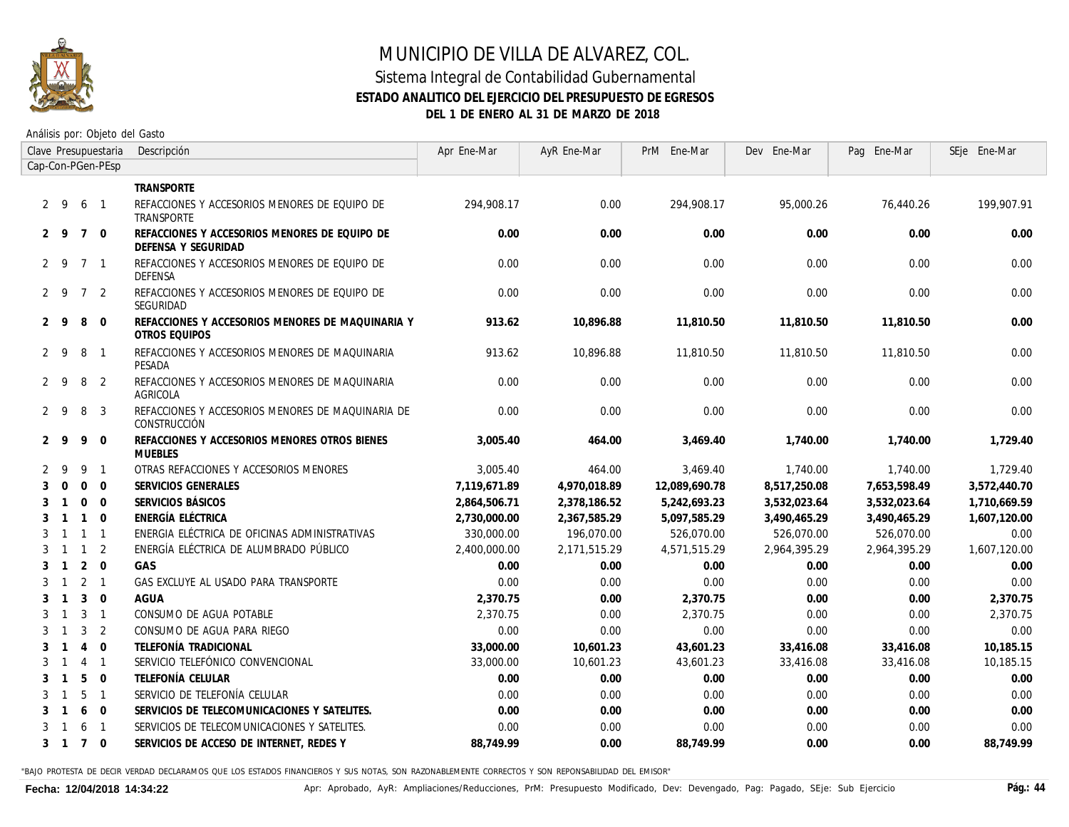

#### Sistema Integral de Contabilidad Gubernamental **ESTADO ANALITICO DEL EJERCICIO DEL PRESUPUESTO DE EGRESOS DEL 1 DE ENERO AL 31 DE MARZO DE 2018**

Análisis por: Objeto del Gasto

| Clave Presupuestaria |                |                 |                | Descripción                                                          | Apr Ene-Mar  | AyR Ene-Mar  | PrM Ene-Mar   | Dev Ene-Mar  | Pag Ene-Mar     | SEje Ene-Mar |
|----------------------|----------------|-----------------|----------------|----------------------------------------------------------------------|--------------|--------------|---------------|--------------|-----------------|--------------|
| Cap-Con-PGen-PEsp    |                |                 |                |                                                                      |              |              |               |              |                 |              |
|                      |                |                 |                | <b>TRANSPORTE</b>                                                    |              |              |               |              |                 |              |
| $2 \quad 9$          |                | 6               | $\overline{1}$ | REFACCIONES Y ACCESORIOS MENORES DE EQUIPO DE<br>TRANSPORTE          | 294,908,17   | 0.00         | 294,908.17    | 95,000.26    | 76,440.26       | 199,907.91   |
| 2 9                  |                | $\overline{7}$  | $\Omega$       | REFACCIONES Y ACCESORIOS MENORES DE EQUIPO DE<br>DEFENSA Y SEGURIDAD | 0.00         | 0.00         | 0.00          | 0.00         | 0.00            | 0.00         |
| $2 \quad 9$          |                | 7 1             |                | REFACCIONES Y ACCESORIOS MENORES DE EQUIPO DE<br><i>DEFENSA</i>      | 0.00         | 0.00         | 0.00          | 0.00         | 0.00            | 0.00         |
| $2 \quad 9$          |                | $\overline{7}$  | 2              | REFACCIONES Y ACCESORIOS MENORES DE EQUIPO DE<br>SEGURIDAD           | 0.00         | 0.00         | 0.00          | 0.00         | 0.00            | 0.00         |
| 2                    | - 9            | 8               | $\Omega$       | REFACCIONES Y ACCESORIOS MENORES DE MAQUINARIA Y<br>OTROS EQUIPOS    | 913.62       | 10,896.88    | 11,810.50     | 11,810.50    | 11.810.50       | 0.00         |
| $2 \overline{9}$     |                | 8               | $\mathbf{1}$   | REFACCIONES Y ACCESORIOS MENORES DE MAQUINARIA<br>PESADA             | 913.62       | 10.896.88    | 11,810.50     | 11,810.50    | 11.810.50       | 0.00         |
| $2 \quad 9$          |                | 8               | 2              | REFACCIONES Y ACCESORIOS MENORES DE MAQUINARIA<br>AGRICOLA           | 0.00         | 0.00         | 0.00          | 0.00         | 0.00            | 0.00         |
| $2 \quad 9$          |                | 8               | 3              | REFACCIONES Y ACCESORIOS MENORES DE MAQUINARIA DE<br>CONSTRUCCIÓN    | 0.00         | 0.00         | 0.00          | 0.00         | 0.00            | 0.00         |
| $2 \quad 9$          |                | 9               | $\mathbf 0$    | REFACCIONES Y ACCESORIOS MENORES OTROS BIENES<br><b>MUEBLES</b>      | 3,005.40     | 464.00       | 3,469.40      | 1,740.00     | 1,740.00        | 1,729.40     |
| 2                    | - 9            | 9               | $\overline{1}$ | OTRAS REFACCIONES Y ACCESORIOS MENORES                               | 3,005.40     | 464.00       | 3,469.40      | 1,740.00     | <i>1,740.00</i> | 1,729.40     |
| 3                    | $\Omega$       | $\Omega$        | $\Omega$       | SERVICIOS GENERALES                                                  | 7,119,671.89 | 4,970,018.89 | 12,089,690.78 | 8,517,250.08 | 7,653,598.49    | 3,572,440.70 |
| 3                    |                | $\Omega$        | $\Omega$       | SERVICIOS BÁSICOS                                                    | 2,864,506.71 | 2,378,186.52 | 5,242,693.23  | 3,532,023.64 | 3,532,023.64    | 1,710,669.59 |
| 3                    |                | $\overline{1}$  | $\mathbf 0$    | ENERGÍA ELÉCTRICA                                                    | 2,730,000.00 | 2,367,585.29 | 5,097,585.29  | 3,490,465.29 | 3,490,465.29    | 1,607,120.00 |
| 3                    | $\overline{1}$ | $\overline{1}$  | $\overline{1}$ | ENERGIA ELÉCTRICA DE OFICINAS ADMINISTRATIVAS                        | 330,000.00   | 196,070.00   | 526,070.00    | 526,070.00   | 526,070.00      | 0.00         |
| 3                    | $\mathbf{1}$   | $\overline{1}$  | 2              | ENERGÍA ELÉCTRICA DE ALUMBRADO PÚBLICO                               | 2,400,000.00 | 2,171,515.29 | 4,571,515.29  | 2,964,395.29 | 2,964,395.29    | 1,607,120.00 |
| 3                    | $\overline{1}$ | 2               | $\mathbf 0$    | GAS                                                                  | 0.00         | 0.00         | 0.00          | 0.00         | 0.00            | 0.00         |
| 3                    | $\overline{1}$ | $2 \quad 1$     |                | GAS EXCLUYE AL USADO PARA TRANSPORTE                                 | 0.00         | 0.00         | 0.00          | 0.00         | 0.00            | 0.00         |
| 3                    | $\overline{1}$ | 3               | $\mathbf{0}$   | <b>AGUA</b>                                                          | 2.370.75     | 0.00         | 2,370.75      | 0.00         | 0.00            | 2,370.75     |
| 3                    | $\mathbf{1}$   | 3               | $\overline{1}$ | CONSUMO DE AGUA POTABLE                                              | 2.370.75     | 0.00         | 2,370.75      | 0.00         | 0.00            | 2.370.75     |
| 3                    |                | 3               | 2              | CONSUMO DE AGUA PARA RIEGO                                           | 0.00         | 0.00         | 0.00          | 0.00         | 0.00            | 0.00         |
| 3                    |                | $\overline{4}$  | $\mathbf 0$    | TELEFONÍA TRADICIONAL                                                | 33,000.00    | 10,601.23    | 43,601.23     | 33,416.08    | 33,416.08       | 10,185.15    |
| 3                    |                | 4               | $\mathbf{1}$   | SERVICIO TELEFÓNICO CONVENCIONAL                                     | 33,000.00    | 10,601.23    | 43,601.23     | 33,416.08    | 33,416.08       | 10,185.15    |
| 3                    |                | 5               | $\mathbf 0$    | TELEFONÍA CELULAR                                                    | 0.00         | 0.00         | 0.00          | 0.00         | 0.00            | 0.00         |
| 3                    |                | 5               | $\overline{1}$ | SERVICIO DE TELEFONÍA CELULAR                                        | 0.00         | 0.00         | 0.00          | 0.00         | 0.00            | 0.00         |
| 3                    |                | 6               | $\mathbf 0$    | SERVICIOS DE TELECOMUNICACIONES Y SATELITES.                         | 0.00         | 0.00         | 0.00          | 0.00         | 0.00            | 0.00         |
| 3                    |                | 6               | $\overline{1}$ | SERVICIOS DE TELECOMUNICACIONES Y SATELITES.                         | 0.00         | 0.00         | 0.00          | 0.00         | 0.00            | 0.00         |
| 3                    | $\overline{1}$ | $7\overline{ }$ | $\overline{0}$ | SERVICIOS DE ACCESO DE INTERNET. REDES Y                             | 88.749.99    | 0.00         | 88.749.99     | 0.00         | 0.00            | 88.749.99    |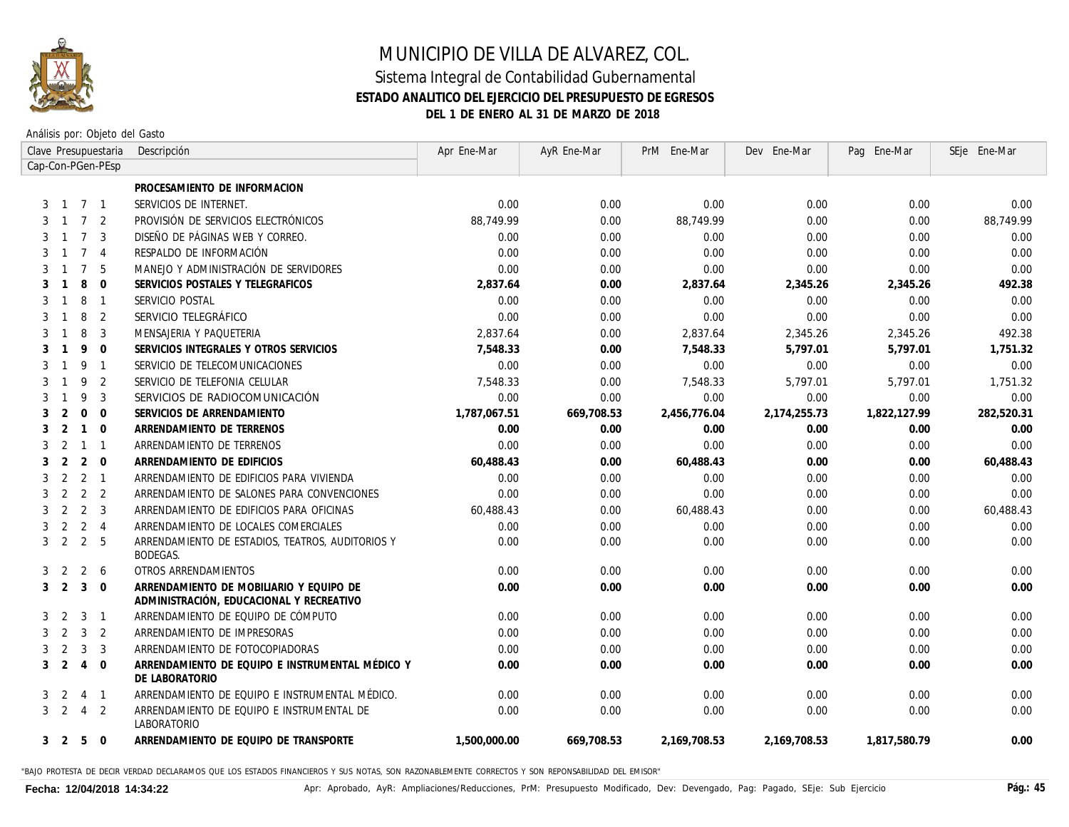

Análisis por: Objeto del Gasto

|                   |                |                 | Clave Presupuestaria | Descripción                                                                         | Apr Ene-Mar  | AyR Ene-Mar | PrM Ene-Mar  | Dev Ene-Mar  | Pag Ene-Mar  | SEje Ene-Mar |
|-------------------|----------------|-----------------|----------------------|-------------------------------------------------------------------------------------|--------------|-------------|--------------|--------------|--------------|--------------|
| Cap-Con-PGen-PEsp |                |                 |                      |                                                                                     |              |             |              |              |              |              |
|                   |                |                 |                      | PROCESAMIENTO DE INFORMACION                                                        |              |             |              |              |              |              |
| 3                 | $\overline{1}$ | 7 1             |                      | SERVICIOS DE INTERNET.                                                              | 0.00         | 0.00        | 0.00         | 0.00         | 0.00         | 0.00         |
| 3                 | $\overline{1}$ | $7\overline{ }$ | $\overline{2}$       | PROVISIÓN DE SERVICIOS ELECTRÓNICOS                                                 | 88,749,99    | 0.00        | 88,749.99    | 0.00         | 0.00         | 88,749.99    |
| 3                 | $\mathbf{1}$   | $\overline{7}$  | 3                    | DISEÑO DE PÁGINAS WEB Y CORREO.                                                     | 0.00         | 0.00        | 0.00         | 0.00         | 0.00         | 0.00         |
| 3                 |                | $\overline{7}$  | $\overline{4}$       | RESPALDO DE INFORMACIÓN                                                             | 0.00         | 0.00        | 0.00         | 0.00         | 0.00         | 0.00         |
| 3                 |                | $\overline{7}$  | - 5                  | MANEJO Y ADMINISTRACIÓN DE SERVIDORES                                               | 0.00         | 0.00        | 0.00         | 0.00         | 0.00         | 0.00         |
| 3                 |                | 8               | $\overline{0}$       | SERVICIOS POSTALES Y TELEGRAFICOS                                                   | 2,837.64     | 0.00        | 2,837.64     | 2,345.26     | 2,345.26     | 492.38       |
| 3                 |                | 8               | $\overline{1}$       | SERVICIO POSTAL                                                                     | 0.00         | 0.00        | 0.00         | 0.00         | 0.00         | 0.00         |
| 3                 |                | 8               | 2                    | SERVICIO TELEGRÁFICO                                                                | 0.00         | 0.00        | 0.00         | 0.00         | 0.00         | 0.00         |
| 3                 |                | 8               | $\overline{3}$       | MENSAJERIA Y PAQUETERIA                                                             | 2.837.64     | 0.00        | 2,837.64     | 2,345.26     | 2,345.26     | 492.38       |
| 3                 |                | 9               | $\Omega$             | SERVICIOS INTEGRALES Y OTROS SERVICIOS                                              | 7,548.33     | 0.00        | 7,548.33     | 5,797.01     | 5,797.01     | 1,751.32     |
|                   |                | 9               | $\overline{1}$       | SERVICIO DE TELECOMUNICACIONES                                                      | 0.00         | 0.00        | 0.00         | 0.00         | 0.00         | 0.00         |
|                   |                | 9               | $\overline{2}$       | SERVICIO DE TELEFONIA CELULAR                                                       | 7,548.33     | 0.00        | 7,548.33     | 5,797.01     | 5,797.01     | 1,751.32     |
|                   |                | 9               | 3                    | SERVICIOS DE RADIOCOMUNICACIÓN                                                      | 0.00         | 0.00        | 0.00         | 0.00         | 0.00         | 0.00         |
| 3                 | 2              | $\mathbf{0}$    | $\Omega$             | SERVICIOS DE ARRENDAMIENTO                                                          | 1,787,067.51 | 669,708.53  | 2,456,776.04 | 2,174,255.73 | 1,822,127.99 | 282,520.31   |
|                   | 2              | $\mathbf{1}$    | $\Omega$             | ARRENDAMIENTO DE TERRENOS                                                           | 0.00         | 0.00        | 0.00         | 0.00         | 0.00         | 0.00         |
| 3                 | $\mathcal{P}$  | $\mathbf{1}$    | $\overline{1}$       | ARRENDAMIENTO DE TERRENOS                                                           | 0.00         | 0.00        | 0.00         | 0.00         | 0.00         | 0.00         |
|                   | 2              | 2               | $\overline{0}$       | ARRENDAMIENTO DE EDIFICIOS                                                          | 60,488.43    | 0.00        | 60,488.43    | 0.00         | 0.00         | 60,488.43    |
| 3                 | 2              | 2               | $\overline{1}$       | ARRENDAMIENTO DE EDIFICIOS PARA VIVIENDA                                            | 0.00         | 0.00        | 0.00         | 0.00         | 0.00         | 0.00         |
|                   | 2              | 2               | $\overline{2}$       | ARRENDAMIENTO DE SALONES PARA CONVENCIONES                                          | 0.00         | 0.00        | 0.00         | 0.00         | 0.00         | 0.00         |
|                   | 2              | 2               | 3                    | ARRENDAMIENTO DE EDIFICIOS PARA OFICINAS                                            | 60,488.43    | 0.00        | 60,488.43    | 0.00         | 0.00         | 60,488.43    |
| 3                 | 2              | 2               | $\overline{4}$       | ARRENDAMIENTO DE LOCALES COMERCIALES                                                | 0.00         | 0.00        | 0.00         | 0.00         | 0.00         | 0.00         |
| 3                 | 2              | 2               | - 5                  | ARRENDAMIENTO DE ESTADIOS, TEATROS, AUDITORIOS Y<br><b>BODEGAS.</b>                 | 0.00         | 0.00        | 0.00         | 0.00         | 0.00         | 0.00         |
| 3                 | 2              | 2               | 6                    | OTROS ARRENDAMIENTOS                                                                | 0.00         | 0.00        | 0.00         | 0.00         | 0.00         | 0.00         |
| 3                 | 2              | 3               | $\overline{0}$       | ARRENDAMIENTO DE MOBILIARIO Y EQUIPO DE<br>ADMINISTRACIÓN, EDUCACIONAL Y RECREATIVO | 0.00         | 0.00        | 0.00         | 0.00         | 0.00         | 0.00         |
| 3                 | 2              | 3               | $\overline{1}$       | ARRENDAMIENTO DE EQUIPO DE CÓMPUTO                                                  | 0.00         | 0.00        | 0.00         | 0.00         | 0.00         | 0.00         |
| 3                 | 2              | 3               | 2                    | ARRENDAMIENTO DE IMPRESORAS                                                         | 0.00         | 0.00        | 0.00         | 0.00         | 0.00         | 0.00         |
| 3                 | 2              | 3               | 3                    | ARRENDAMIENTO DE FOTOCOPIADORAS                                                     | 0.00         | 0.00        | 0.00         | 0.00         | 0.00         | 0.00         |
| 3                 | 2              | $\overline{4}$  | $\overline{0}$       | ARRENDAMIENTO DE EQUIPO E INSTRUMENTAL MÉDICO Y<br>DE LABORATORIO                   | 0.00         | 0.00        | 0.00         | 0.00         | 0.00         | 0.00         |
| 3                 | 2              | $\overline{4}$  | $\overline{1}$       | ARRENDAMIENTO DE EQUIPO E INSTRUMENTAL MÉDICO.                                      | 0.00         | 0.00        | 0.00         | 0.00         | 0.00         | 0.00         |
| $\mathbf{3}$      | 2              | $\overline{4}$  | $\overline{2}$       | ARRENDAMIENTO DE EQUIPO E INSTRUMENTAL DE<br><i>LABORATORIO</i>                     | 0.00         | 0.00        | 0.00         | 0.00         | 0.00         | 0.00         |
|                   | 3 <sub>2</sub> | 5               | $\Omega$             | ARRENDAMIENTO DE EQUIPO DE TRANSPORTE                                               | 1.500.000.00 | 669.708.53  | 2,169,708.53 | 2,169,708.53 | 1,817,580.79 | 0.00         |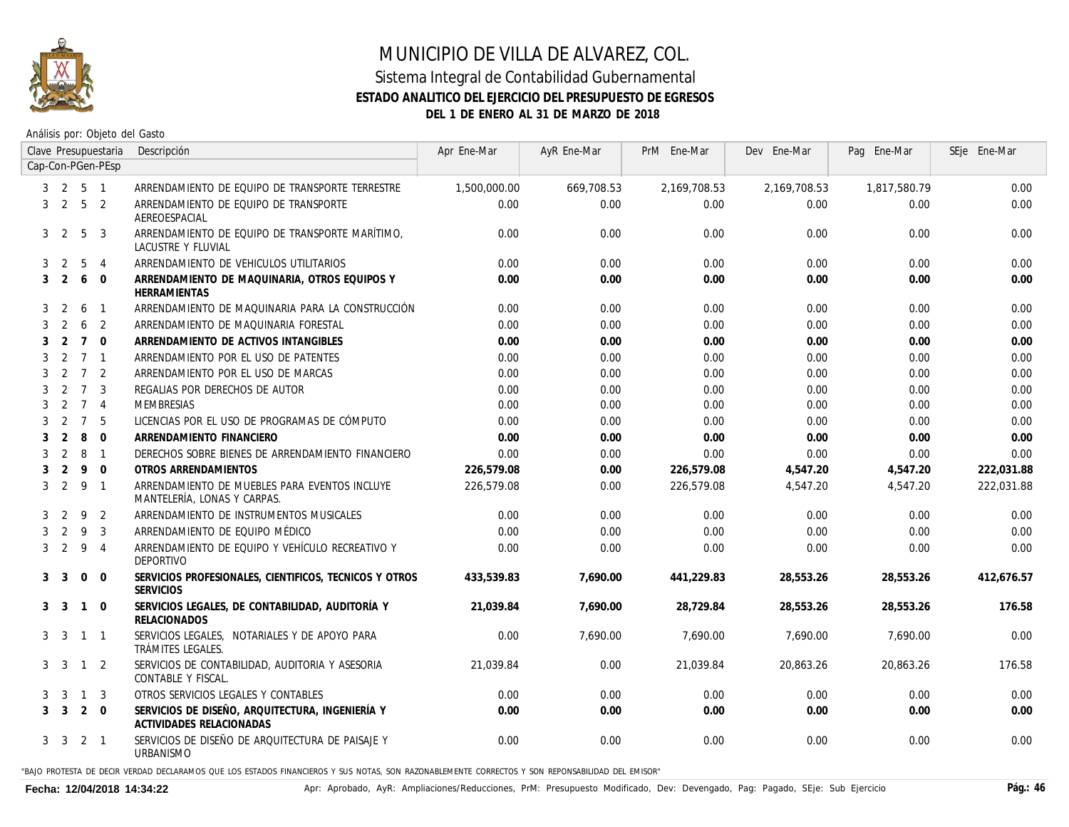

#### Sistema Integral de Contabilidad Gubernamental **ESTADO ANALITICO DEL EJERCICIO DEL PRESUPUESTO DE EGRESOS DEL 1 DE ENERO AL 31 DE MARZO DE 2018**

Análisis por: Objeto del Gasto

|   |                |                 | Clave Presupuestaria     | Descripción                                                                  | Apr Ene-Mar  | AyR Ene-Mar | PrM Ene-Mar  | Dev Ene-Mar  | Pag Ene-Mar  | SEje Ene-Mar |
|---|----------------|-----------------|--------------------------|------------------------------------------------------------------------------|--------------|-------------|--------------|--------------|--------------|--------------|
|   |                |                 | Cap-Con-PGen-PEsp        |                                                                              |              |             |              |              |              |              |
|   | 3 2            | 5 1             |                          | ARRENDAMIENTO DE EQUIPO DE TRANSPORTE TERRESTRE                              | 1,500,000.00 | 669,708.53  | 2,169,708.53 | 2,169,708.53 | 1,817,580.79 | 0.00         |
| 3 | 2              | 5 <sub>2</sub>  |                          | ARRENDAMIENTO DE EQUIPO DE TRANSPORTE<br>AEREOESPACIAL                       | 0.00         | 0.00        | 0.00         | 0.00         | 0.00         | 0.00         |
|   | 3 <sub>2</sub> | 5               | 3                        | ARRENDAMIENTO DE EQUIPO DE TRANSPORTE MARÍTIMO.<br>LACUSTRE Y FLUVIAL        | 0.00         | 0.00        | 0.00         | 0.00         | 0.00         | 0.00         |
| 3 | 2              | 5               | $\overline{4}$           | ARRENDAMIENTO DE VEHICULOS UTILITARIOS                                       | 0.00         | 0.00        | 0.00         | 0.00         | 0.00         | 0.00         |
|   | 3 <sup>2</sup> | 6               | $\Omega$                 | ARRENDAMIENTO DE MAQUINARIA, OTROS EQUIPOS Y<br>HERRAMIENTAS                 | 0.00         | 0.00        | 0.00         | 0.00         | 0.00         | 0.00         |
| 3 | 2              | 6               | $\overline{1}$           | ARRENDAMIENTO DE MAQUINARIA PARA LA CONSTRUCCIÓN                             | 0.00         | 0.00        | 0.00         | 0.00         | 0.00         | 0.00         |
| 3 | 2              | 6               | 2                        | ARRENDAMIENTO DE MAQUINARIA FORESTAL                                         | 0.00         | 0.00        | 0.00         | 0.00         | 0.00         | 0.00         |
| 3 | 2              | $7\overline{ }$ | $\Omega$                 | ARRENDAMIENTO DE ACTIVOS INTANGIBLES                                         | 0.00         | 0.00        | 0.00         | 0.00         | 0.00         | 0.00         |
| 3 | 2              | $\overline{7}$  | $\overline{1}$           | ARRENDAMIENTO POR EL USO DE PATENTES                                         | 0.00         | 0.00        | 0.00         | 0.00         | 0.00         | 0.00         |
| 3 | 2              | $7\overline{ }$ | 2                        | ARRENDAMIENTO POR EL USO DE MARCAS                                           | 0.00         | 0.00        | 0.00         | 0.00         | 0.00         | 0.00         |
| 3 | 2              | $\overline{7}$  | 3                        | REGALIAS POR DERECHOS DE AUTOR                                               | 0.00         | 0.00        | 0.00         | 0.00         | 0.00         | 0.00         |
| 3 | 2              | $\overline{7}$  | $\overline{4}$           | MEMBRESIAS                                                                   | 0.00         | 0.00        | 0.00         | 0.00         | 0.00         | 0.00         |
| 3 | $\overline{2}$ | $\overline{7}$  | -5                       | LICENCIAS POR EL USO DE PROGRAMAS DE CÓMPUTO                                 | 0.00         | 0.00        | 0.00         | 0.00         | 0.00         | 0.00         |
| 3 | 2              | 8               | $\overline{0}$           | ARRENDAMIENTO FINANCIERO                                                     | 0.00         | 0.00        | 0.00         | 0.00         | 0.00         | 0.00         |
|   | 2              | 8               | $\overline{1}$           | DERECHOS SOBRE BIENES DE ARRENDAMIENTO FINANCIERO                            | 0.00         | 0.00        | 0.00         | 0.00         | 0.00         | 0.00         |
| 3 | 2              | 9               | $\overline{0}$           | OTROS ARRENDAMIENTOS                                                         | 226,579.08   | 0.00        | 226,579.08   | 4,547.20     | 4,547.20     | 222,031.88   |
| 3 | 2              | 9               | $\overline{\phantom{0}}$ | ARRENDAMIENTO DE MUEBLES PARA EVENTOS INCLUYE<br>MANTELERÍA, LONAS Y CARPAS. | 226,579.08   | 0.00        | 226,579.08   | 4,547.20     | 4,547.20     | 222,031.88   |
| 3 | -2             | 9               | 2                        | ARRENDAMIENTO DE INSTRUMENTOS MUSICALES                                      | 0.00         | 0.00        | 0.00         | 0.00         | 0.00         | 0.00         |
| 3 | 2              | 9               | 3                        | ARRENDAMIENTO DE EQUIPO MÉDICO                                               | 0.00         | 0.00        | 0.00         | 0.00         | 0.00         | 0.00         |
| 3 | 2              | 9               | $\overline{4}$           | ARRENDAMIENTO DE EQUIPO Y VEHÍCULO RECREATIVO Y<br>DEPORTIVO                 | 0.00         | 0.00        | 0.00         | 0.00         | 0.00         | 0.00         |
| 3 | 3              | $\mathbf{0}$    | $\overline{0}$           | SERVICIOS PROFESIONALES, CIENTIFICOS, TECNICOS Y OTROS<br><b>SERVICIOS</b>   | 433,539.83   | 7,690.00    | 441,229.83   | 28,553.26    | 28,553.26    | 412,676.57   |
|   | 3 <sup>3</sup> | $\mathbf{1}$    | $\overline{0}$           | SERVICIOS LEGALES, DE CONTABILIDAD, AUDITORÍA Y<br><b>RELACIONADOS</b>       | 21.039.84    | 7,690.00    | 28,729.84    | 28,553.26    | 28,553.26    | 176.58       |
| 3 | 3              | $\mathbf{1}$    | $\overline{1}$           | SERVICIOS LEGALES, NOTARIALES Y DE APOYO PARA<br>TRÁMITES LEGALES.           | 0.00         | 7,690.00    | 7,690.00     | 7,690.00     | 7,690.00     | 0.00         |
|   | 3 <sup>3</sup> | $1\quad 2$      |                          | SERVICIOS DE CONTABILIDAD, AUDITORIA Y ASESORIA<br>CONTABLE Y FISCAL.        | 21.039.84    | 0.00        | 21,039.84    | 20,863.26    | 20,863.26    | 176.58       |
| 3 | 3              | $\overline{1}$  | 3                        | OTROS SERVICIOS LEGALES Y CONTABLES                                          | 0.00         | 0.00        | 0.00         | 0.00         | 0.00         | 0.00         |
|   | $3 \quad 3$    | 2               | $\Omega$                 | SERVICIOS DE DISEÑO, ARQUITECTURA, INGENIERÍA Y<br>ACTIVIDADES RELACIONADAS  | 0.00         | 0.00        | 0.00         | 0.00         | 0.00         | 0.00         |
|   | 3 3            | 2 1             |                          | SERVICIOS DE DISEÑO DE ARQUITECTURA DE PAISAJE Y<br>URBANISMO                | 0.00         | 0.00        | 0.00         | 0.00         | 0.00         | 0.00         |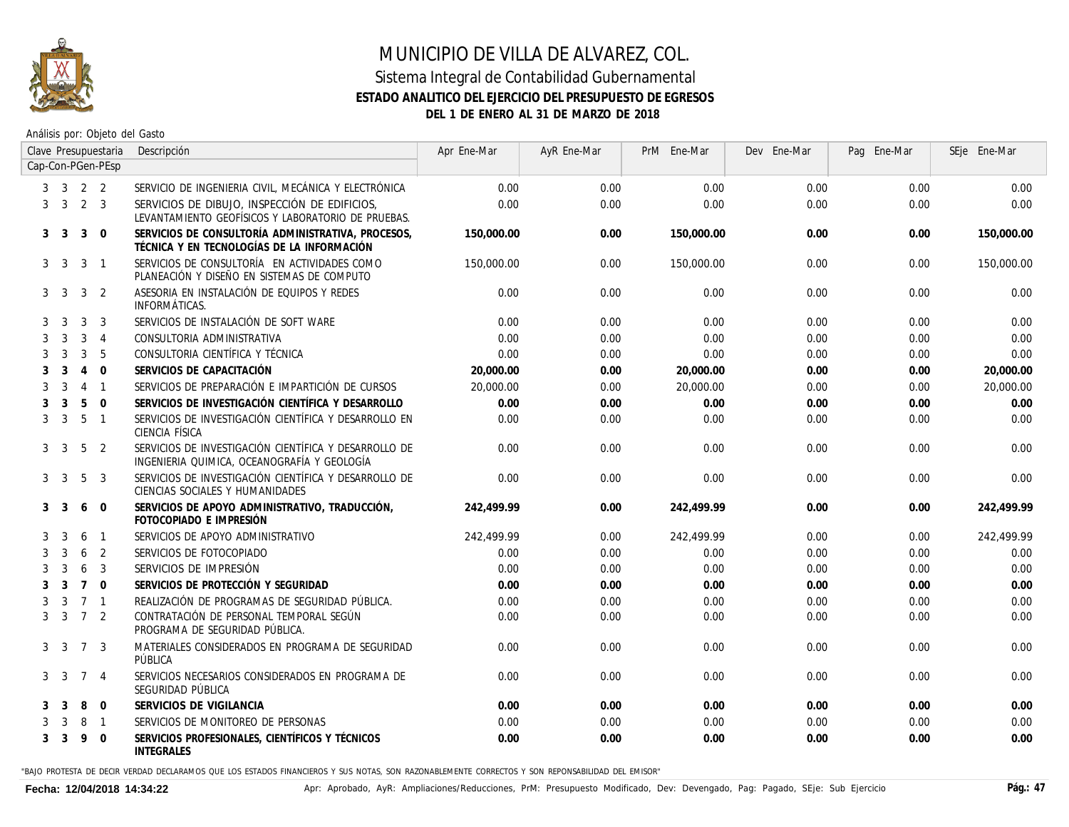

Análisis por: Objeto del Gasto

|   |                             |                 | Clave Presupuestaria     | Descripción                                                                                          | Apr Ene-Mar | AyR Ene-Mar | PrM Ene-Mar | Dev Ene-Mar | Pag Ene-Mar | SEje Ene-Mar |
|---|-----------------------------|-----------------|--------------------------|------------------------------------------------------------------------------------------------------|-------------|-------------|-------------|-------------|-------------|--------------|
|   |                             |                 | Cap-Con-PGen-PEsp        |                                                                                                      |             |             |             |             |             |              |
|   | $3 \quad 3 \quad 2 \quad 2$ |                 |                          | SERVICIO DE INGENIERIA CIVIL, MECÁNICA Y ELECTRÓNICA                                                 | 0.00        | 0.00        | 0.00        | 0.00        | 0.00        | 0.00         |
|   | 3 <sup>3</sup>              | $2 \quad 3$     |                          | SERVICIOS DE DIBUJO, INSPECCIÓN DE EDIFICIOS,<br>LEVANTAMIENTO GEOFÍSICOS Y LABORATORIO DE PRUEBAS.  | 0.00        | 0.00        | 0.00        | 0.00        | 0.00        | 0.00         |
|   | 3 <sup>3</sup>              | 3               | $\mathbf{0}$             | SERVICIOS DE CONSULTORÍA ADMINISTRATIVA, PROCESOS,<br>TÉCNICA Y EN TECNOLOGÍAS DE LA INFORMACIÓN     | 150,000.00  | 0.00        | 150,000.00  | 0.00        | 0.00        | 150,000.00   |
|   | 3 <sup>3</sup>              | 3               | $\overline{\phantom{a}}$ | SERVICIOS DE CONSULTORÍA EN ACTIVIDADES COMO<br>PLANEACIÓN Y DISEÑO EN SISTEMAS DE COMPUTO           | 150,000.00  | 0.00        | 150,000.00  | 0.00        | 0.00        | 150,000,00   |
| 3 | -3                          | 3               | 2                        | ASESORIA EN INSTALACIÓN DE EQUIPOS Y REDES<br>INFORMÁTICAS.                                          | 0.00        | 0.00        | 0.00        | 0.00        | 0.00        | 0.00         |
| 3 | 3                           | 3               | 3                        | SERVICIOS DE INSTALACIÓN DE SOFT WARE                                                                | 0.00        | 0.00        | 0.00        | 0.00        | 0.00        | 0.00         |
|   | 3                           | 3               | $\overline{4}$           | CONSULTORIA ADMINISTRATIVA                                                                           | 0.00        | 0.00        | 0.00        | 0.00        | 0.00        | 0.00         |
|   | 3                           | 3               | 5                        | CONSULTORIA CIENTÍFICA Y TÉCNICA                                                                     | 0.00        | 0.00        | 0.00        | 0.00        | 0.00        | 0.00         |
| 3 | 3                           | $\overline{4}$  | $\Omega$                 | SERVICIOS DE CAPACITACIÓN                                                                            | 20,000.00   | 0.00        | 20,000.00   | 0.00        | 0.00        | 20,000.00    |
| 3 | 3                           | $\overline{4}$  | $\overline{1}$           | SERVICIOS DE PREPARACIÓN E IMPARTICIÓN DE CURSOS                                                     | 20,000.00   | 0.00        | 20,000.00   | 0.00        | 0.00        | 20,000.00    |
|   | 3                           | 5               | $\Omega$                 | SERVICIOS DE INVESTIGACIÓN CIENTÍFICA Y DESARROLLO                                                   | 0.00        | 0.00        | 0.00        | 0.00        | 0.00        | 0.00         |
| 3 | 3                           | 5               | $\overline{1}$           | SERVICIOS DE INVESTIGACIÓN CIENTÍFICA Y DESARROLLO EN<br>CIENCIA FÍSICA                              | 0.00        | 0.00        | 0.00        | 0.00        | 0.00        | 0.00         |
| 3 | 3                           | 5               | 2                        | SERVICIOS DE INVESTIGACIÓN CIENTÍFICA Y DESARROLLO DE<br>INGENIERIA QUIMICA. OCEANOGRAFÍA Y GEOLOGÍA | 0.00        | 0.00        | 0.00        | 0.00        | 0.00        | 0.00         |
| 3 | -3                          | 5               | 3                        | SERVICIOS DE INVESTIGACIÓN CIENTÍFICA Y DESARROLLO DE<br>CIENCIAS SOCIALES Y HUMANIDADES             | 0.00        | 0.00        | 0.00        | 0.00        | 0.00        | 0.00         |
| 3 | -3                          | 6               | $\mathbf{0}$             | SERVICIOS DE APOYO ADMINISTRATIVO, TRADUCCIÓN,<br>FOTOCOPIADO E IMPRESIÓN                            | 242.499.99  | 0.00        | 242,499.99  | 0.00        | 0.00        | 242,499.99   |
| 3 | 3                           | 6               | $\overline{1}$           | SERVICIOS DE APOYO ADMINISTRATIVO                                                                    | 242.499.99  | 0.00        | 242,499.99  | 0.00        | 0.00        | 242,499.99   |
| 3 | 3                           | 6               | 2                        | SERVICIOS DE FOTOCOPIADO                                                                             | 0.00        | 0.00        | 0.00        | 0.00        | 0.00        | 0.00         |
| 3 | 3                           | 6               | 3                        | SERVICIOS DE IMPRESIÓN                                                                               | 0.00        | 0.00        | 0.00        | 0.00        | 0.00        | 0.00         |
| 3 | 3                           | $\overline{7}$  | $\Omega$                 | SERVICIOS DE PROTECCIÓN Y SEGURIDAD                                                                  | 0.00        | 0.00        | 0.00        | 0.00        | 0.00        | 0.00         |
| 3 | 3                           | $\overline{7}$  | $\overline{1}$           | REALIZACIÓN DE PROGRAMAS DE SEGURIDAD PÚBLICA.                                                       | 0.00        | 0.00        | 0.00        | 0.00        | 0.00        | 0.00         |
| 3 | 3                           | $7\overline{ }$ | 2                        | CONTRATACIÓN DE PERSONAL TEMPORAL SEGÚN<br>PROGRAMA DE SEGURIDAD PÚBLICA.                            | 0.00        | 0.00        | 0.00        | 0.00        | 0.00        | 0.00         |
|   | 3 <sup>3</sup>              | $7\overline{ }$ | 3                        | MATERIALES CONSIDERADOS EN PROGRAMA DE SEGURIDAD<br>PÚBLICA                                          | 0.00        | 0.00        | 0.00        | 0.00        | 0.00        | 0.00         |
| 3 | 3                           | $\overline{7}$  | -4                       | SERVICIOS NECESARIOS CONSIDERADOS EN PROGRAMA DE<br>SEGURIDAD PÚBLICA                                | 0.00        | 0.00        | 0.00        | 0.00        | 0.00        | 0.00         |
|   | 3                           | 8               | $\Omega$                 | SERVICIOS DE VIGILANCIA                                                                              | 0.00        | 0.00        | 0.00        | 0.00        | 0.00        | 0.00         |
|   | 3                           | 8               | $\overline{\phantom{a}}$ | SERVICIOS DE MONITOREO DE PERSONAS                                                                   | 0.00        | 0.00        | 0.00        | 0.00        | 0.00        | 0.00         |
| 3 | 3                           | 9               | $\Omega$                 | SERVICIOS PROFESIONALES, CIENTÍFICOS Y TÉCNICOS<br><b>INTEGRALES</b>                                 | 0.00        | 0.00        | 0.00        | 0.00        | 0.00        | 0.00         |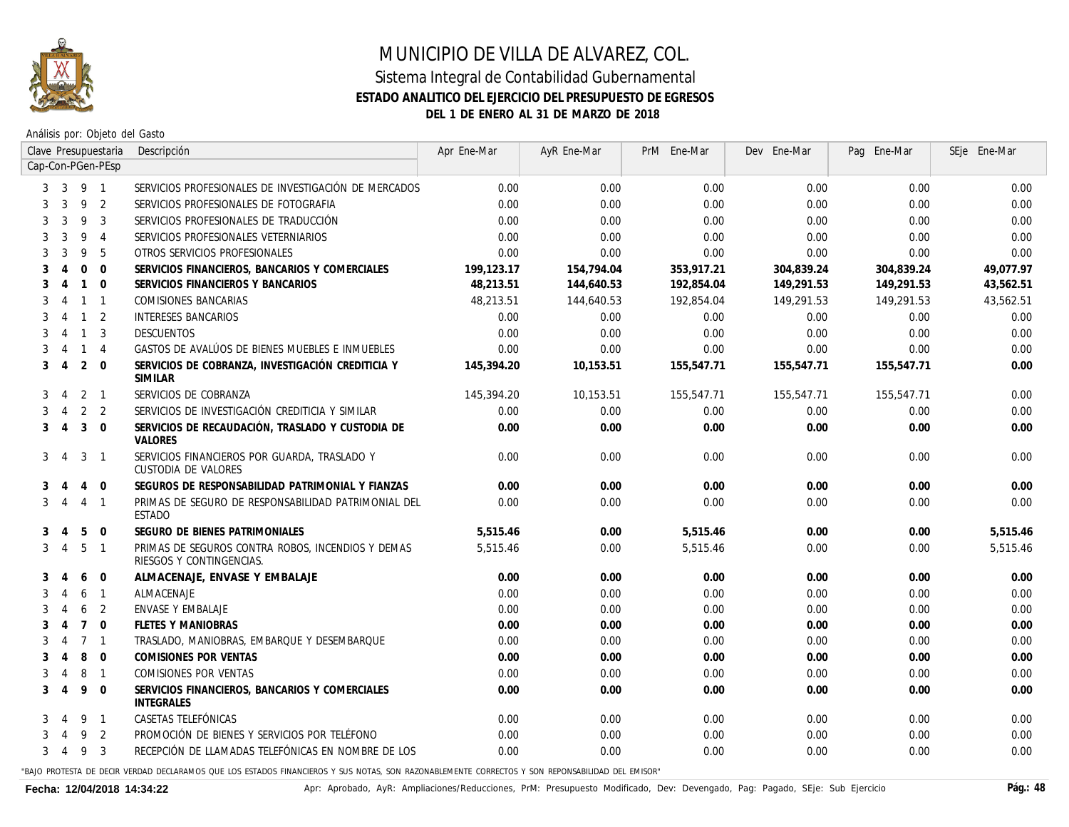

Análisis por: Objeto del Gasto

|   |                        |                | Clave Presupuestaria | Descripción                                                                   | Apr Ene-Mar | AyR Ene-Mar | PrM Ene-Mar | Dev Ene-Mar | Pag Ene-Mar | SEje Ene-Mar |
|---|------------------------|----------------|----------------------|-------------------------------------------------------------------------------|-------------|-------------|-------------|-------------|-------------|--------------|
|   |                        |                | Cap-Con-PGen-PEsp    |                                                                               |             |             |             |             |             |              |
| 3 | 3                      | 9 1            |                      | SERVICIOS PROFESIONALES DE INVESTIGACIÓN DE MERCADOS                          | 0.00        | 0.00        | 0.00        | 0.00        | 0.00        | 0.00         |
|   | 3                      | 9              | 2                    | SERVICIOS PROFESIONALES DE FOTOGRAFIA                                         | 0.00        | 0.00        | 0.00        | 0.00        | 0.00        | 0.00         |
| 3 | 3                      | 9              | 3                    | SERVICIOS PROFESIONALES DE TRADUCCIÓN                                         | 0.00        | 0.00        | 0.00        | 0.00        | 0.00        | 0.00         |
|   | 3                      | 9              | $\overline{4}$       | SERVICIOS PROFESIONALES VETERNIARIOS                                          | 0.00        | 0.00        | 0.00        | 0.00        | 0.00        | 0.00         |
|   | 3                      | 9              | 5                    | OTROS SERVICIOS PROFESIONALES                                                 | 0.00        | 0.00        | 0.00        | 0.00        | 0.00        | 0.00         |
|   |                        | $\Omega$       | $\Omega$             | SERVICIOS FINANCIEROS, BANCARIOS Y COMERCIALES                                | 199,123.17  | 154,794.04  | 353,917.21  | 304,839.24  | 304,839.24  | 49.077.97    |
| 3 | 4                      | $\mathbf{1}$   | $\overline{0}$       | SERVICIOS FINANCIEROS Y BANCARIOS                                             | 48,213.51   | 144,640.53  | 192,854.04  | 149,291.53  | 149,291.53  | 43,562.51    |
| 3 | 4                      | $\mathbf{1}$   | $\overline{1}$       | COMISIONES BANCARIAS                                                          | 48,213.51   | 144,640.53  | 192,854.04  | 149,291.53  | 149,291.53  | 43,562.51    |
|   | $\boldsymbol{\Lambda}$ | $\mathbf{1}$   | $\overline{2}$       | <b>INTERESES BANCARIOS</b>                                                    | 0.00        | 0.00        | 0.00        | 0.00        | 0.00        | 0.00         |
| 3 | 4                      | $\mathbf{1}$   | 3                    | DESCUENTOS                                                                    | 0.00        | 0.00        | 0.00        | 0.00        | 0.00        | 0.00         |
|   | $\overline{4}$         | $\mathbf{1}$   | $\overline{4}$       | GASTOS DE AVALÚOS DE BIENES MUEBLES E INMUEBLES                               | 0.00        | 0.00        | 0.00        | 0.00        | 0.00        | 0.00         |
| 3 | $\overline{4}$         | 2              | $\Omega$             | SERVICIOS DE COBRANZA, INVESTIGACIÓN CREDITICIA Y<br><b>SIMILAR</b>           | 145,394.20  | 10,153.51   | 155,547.71  | 155,547.71  | 155,547.71  | 0.00         |
| 3 | $\overline{4}$         |                | $2 \quad 1$          | SERVICIOS DE COBRANZA                                                         | 145,394.20  | 10,153.51   | 155,547.71  | 155,547.71  | 155,547.71  | 0.00         |
|   | 4                      | 2              | 2                    | SERVICIOS DE INVESTIGACIÓN CREDITICIA Y SIMILAR                               | 0.00        | 0.00        | 0.00        | 0.00        | 0.00        | 0.00         |
| 3 | $\overline{4}$         | 3              | $\overline{0}$       | SERVICIOS DE RECAUDACIÓN, TRASLADO Y CUSTODIA DE<br>VALORES                   | 0.00        | 0.00        | 0.00        | 0.00        | 0.00        | 0.00         |
| 3 | $\overline{4}$         | 3              | $\overline{1}$       | SERVICIOS FINANCIEROS POR GUARDA, TRASLADO Y<br>CUSTODIA DE VALORES           | 0.00        | 0.00        | 0.00        | 0.00        | 0.00        | 0.00         |
| 3 |                        | 4              | $\overline{0}$       | SEGUROS DE RESPONSABILIDAD PATRIMONIAL Y FIANZAS                              | 0.00        | 0.00        | 0.00        | 0.00        | 0.00        | 0.00         |
| 3 | $\overline{A}$         | $\overline{4}$ | $\overline{1}$       | PRIMAS DE SEGURO DE RESPONSABILIDAD PATRIMONIAL DEL<br>ESTADO                 | 0.00        | 0.00        | 0.00        | 0.00        | 0.00        | 0.00         |
| 3 | 4                      | 5              | $\mathbf 0$          | SEGURO DE BIENES PATRIMONIALES                                                | 5,515.46    | 0.00        | 5,515.46    | 0.00        | 0.00        | 5,515.46     |
| 3 | $\overline{4}$         | 5              | $\overline{1}$       | PRIMAS DE SEGUROS CONTRA ROBOS, INCENDIOS Y DEMAS<br>RIESGOS Y CONTINGENCIAS. | 5,515,46    | 0.00        | 5,515.46    | 0.00        | 0.00        | 5,515.46     |
| 3 |                        | 6              | $\Omega$             | ALMACENAJE, ENVASE Y EMBALAJE                                                 | 0.00        | 0.00        | 0.00        | 0.00        | 0.00        | 0.00         |
| 3 |                        | 6              | $\overline{1}$       | ALMACENAJE                                                                    | 0.00        | 0.00        | 0.00        | 0.00        | 0.00        | 0.00         |
|   |                        | 6              | 2                    | ENVASE Y EMBALAJE                                                             | 0.00        | 0.00        | 0.00        | 0.00        | 0.00        | 0.00         |
| 3 | $\overline{4}$         | $\overline{7}$ | $\mathbf{0}$         | <b>FLETES Y MANIOBRAS</b>                                                     | 0.00        | 0.00        | 0.00        | 0.00        | 0.00        | 0.00         |
| 3 | -4                     | $\overline{7}$ | $\overline{1}$       | TRASLADO, MANIOBRAS, EMBARQUE Y DESEMBARQUE                                   | 0.00        | 0.00        | 0.00        | 0.00        | 0.00        | 0.00         |
| 3 | $\overline{4}$         | 8              | $\Omega$             | COMISIONES POR VENTAS                                                         | 0.00        | 0.00        | 0.00        | $0.00\,$    | 0.00        | 0.00         |
| 3 | 4                      | 8              | $\overline{1}$       | COMISIONES POR VENTAS                                                         | 0.00        | 0.00        | 0.00        | 0.00        | 0.00        | 0.00         |
| 3 | $\overline{4}$         | 9              | $\mathbf{0}$         | SERVICIOS FINANCIEROS, BANCARIOS Y COMERCIALES<br><b>INTEGRALES</b>           | 0.00        | 0.00        | 0.00        | 0.00        | 0.00        | 0.00         |
|   |                        | 9              | $\overline{1}$       | CASETAS TELEFÓNICAS                                                           | 0.00        | 0.00        | 0.00        | 0.00        | 0.00        | 0.00         |
|   |                        | 9              | 2                    | PROMOCIÓN DE BIENES Y SERVICIOS POR TELÉFONO                                  | 0.00        | 0.00        | 0.00        | 0.00        | 0.00        | 0.00         |
| 3 | 4                      | 9              | 3                    | RECEPCIÓN DE LLAMADAS TELEFÓNICAS EN NOMBRE DE LOS                            | 0.00        | 0.00        | 0.00        | 0.00        | 0.00        | 0.00         |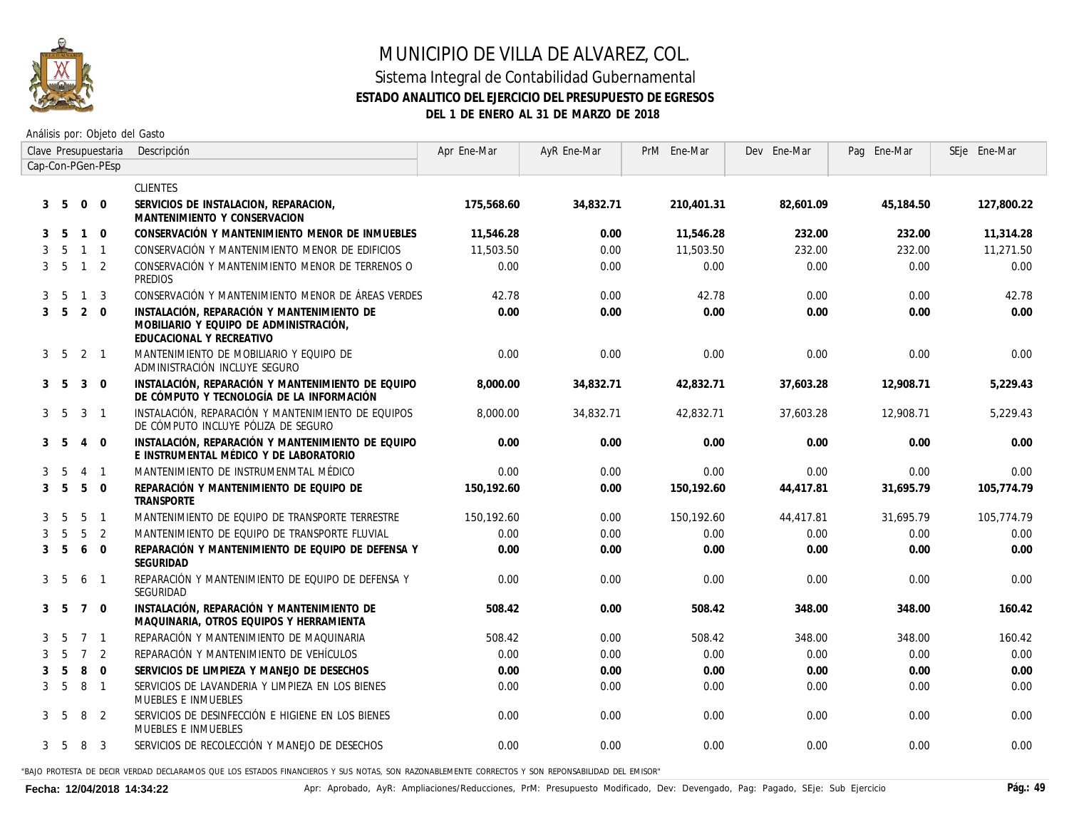

#### Sistema Integral de Contabilidad Gubernamental **ESTADO ANALITICO DEL EJERCICIO DEL PRESUPUESTO DE EGRESOS DEL 1 DE ENERO AL 31 DE MARZO DE 2018**

Análisis por: Objeto del Gasto

|              |                |                 | Clave Presupuestaria    | Descripción                                                                                                      | Apr Ene-Mar | AyR Ene-Mar | PrM Ene-Mar | Dev Ene-Mar | Pag Ene-Mar | SEje Ene-Mar |
|--------------|----------------|-----------------|-------------------------|------------------------------------------------------------------------------------------------------------------|-------------|-------------|-------------|-------------|-------------|--------------|
|              |                |                 | Cap-Con-PGen-PEsp       |                                                                                                                  |             |             |             |             |             |              |
|              |                |                 |                         | <b>CLIENTES</b>                                                                                                  |             |             |             |             |             |              |
| 3            | - 5            | $\overline{0}$  | $\mathbf 0$             | SERVICIOS DE INSTALACION, REPARACION,<br>MANTENIMIENTO Y CONSERVACION                                            | 175,568.60  | 34,832.71   | 210,401.31  | 82,601.09   | 45,184.50   | 127,800.22   |
| 3            | -5             | $\overline{1}$  | $\Omega$                | CONSERVACIÓN Y MANTENIMIENTO MENOR DE INMUEBLES                                                                  | 11,546.28   | 0.00        | 11,546.28   | 232.00      | 232.00      | 11,314.28    |
| 3            | 5              | $\overline{1}$  | $\overline{1}$          | CONSERVACIÓN Y MANTENIMIENTO MENOR DE EDIFICIOS                                                                  | 11.503.50   | 0.00        | 11,503.50   | 232.00      | 232.00      | 11,271.50    |
| 3            | - 5            | $\overline{1}$  | 2                       | CONSERVACIÓN Y MANTENIMIENTO MENOR DE TERRENOS O<br>PREDIOS                                                      | 0.00        | 0.00        | 0.00        | 0.00        | 0.00        | 0.00         |
| 3            | -5             | $\overline{1}$  | 3                       | CONSERVACIÓN Y MANTENIMIENTO MENOR DE ÁREAS VERDES                                                               | 42.78       | 0.00        | 42.78       | 0.00        | 0.00        | 42.78        |
| $\mathbf{3}$ | - 5            | 2               | $\mathbf 0$             | INSTALACIÓN, REPARACIÓN Y MANTENIMIENTO DE<br>MOBILIARIO Y EQUIPO DE ADMINISTRACIÓN,<br>EDUCACIONAL Y RECREATIVO | 0.00        | 0.00        | 0.00        | 0.00        | 0.00        | 0.00         |
| 3            | - 5            | $2 \quad 1$     |                         | MANTENIMIENTO DE MOBILIARIO Y EQUIPO DE<br>ADMINISTRACIÓN INCLUYE SEGURO                                         | 0.00        | 0.00        | 0.00        | 0.00        | 0.00        | 0.00         |
| 3            | -5             | 3               | $\Omega$                | INSTALACIÓN, REPARACIÓN Y MANTENIMIENTO DE EQUIPO<br>DE CÓMPUTO Y TECNOLOGÍA DE LA INFORMACIÓN                   | 8,000.00    | 34,832.71   | 42,832.71   | 37.603.28   | 12.908.71   | 5,229.43     |
|              | 3 <sub>5</sub> | $\overline{3}$  | $\mathbf{1}$            | INSTALACIÓN. REPARACIÓN Y MANTENIMIENTO DE EQUIPOS<br>DE CÓMPUTO INCLUYE PÓLIZA DE SEGURO                        | 8,000,00    | 34,832.71   | 42,832.71   | 37,603.28   | 12.908.71   | 5,229.43     |
| 3            | - 5            | $\overline{4}$  | $\mathbf 0$             | INSTALACIÓN, REPARACIÓN Y MANTENIMIENTO DE EQUIPO<br>E INSTRUMENTAL MÉDICO Y DE LABORATORIO                      | 0.00        | 0.00        | 0.00        | 0.00        | 0.00        | 0.00         |
| 3            | 5              | $\overline{4}$  | $\mathbf{1}$            | MANTENIMIENTO DE INSTRUMENMTAL MÉDICO                                                                            | 0.00        | 0.00        | 0.00        | 0.00        | 0.00        | 0.00         |
| 3            | 5              | 5               | $\Omega$                | REPARACIÓN Y MANTENIMIENTO DE EQUIPO DE<br><b>TRANSPORTE</b>                                                     | 150.192.60  | 0.00        | 150,192.60  | 44.417.81   | 31.695.79   | 105,774.79   |
|              | 5              | 5               | $\overline{1}$          | MANTENIMIENTO DE EQUIPO DE TRANSPORTE TERRESTRE                                                                  | 150,192.60  | 0.00        | 150,192.60  | 44,417.81   | 31,695.79   | 105,774.79   |
|              | -5             | 5               | 2                       | MANTENIMIENTO DE EOUIPO DE TRANSPORTE FLUVIAL                                                                    | 0.00        | 0.00        | 0.00        | 0.00        | 0.00        | 0.00         |
| 3            | 5              | 6               | $\Omega$                | REPARACIÓN Y MANTENIMIENTO DE EQUIPO DE DEFENSA Y<br>SEGURIDAD                                                   | 0.00        | 0.00        | 0.00        | 0.00        | 0.00        | 0.00         |
| 3            | - 5            | 6               | $\mathbf{1}$            | REPARACIÓN Y MANTENIMIENTO DE EQUIPO DE DEFENSA Y<br>SEGURIDAD                                                   | 0.00        | 0.00        | 0.00        | 0.00        | 0.00        | 0.00         |
| 3            | - 5            | $7\overline{ }$ | $\mathbf 0$             | INSTALACIÓN, REPARACIÓN Y MANTENIMIENTO DE<br>MAQUINARIA, OTROS EQUIPOS Y HERRAMIENTA                            | 508.42      | 0.00        | 508.42      | 348.00      | 348.00      | 160.42       |
| 3            | 5              | $\overline{7}$  | $\mathbf{1}$            | REPARACIÓN Y MANTENIMIENTO DE MAQUINARIA                                                                         | 508.42      | 0.00        | 508.42      | 348.00      | 348.00      | 160.42       |
| 3            | 5              | $\overline{7}$  | 2                       | REPARACIÓN Y MANTENIMIENTO DE VEHÍCULOS                                                                          | 0.00        | 0.00        | 0.00        | 0.00        | 0.00        | 0.00         |
| 3            | 5              | 8               | $\Omega$                | SERVICIOS DE LIMPIEZA Y MANEJO DE DESECHOS                                                                       | 0.00        | 0.00        | 0.00        | 0.00        | 0.00        | 0.00         |
| 3            | 5              | 8               | $\mathbf{1}$            | SERVICIOS DE LAVANDERIA Y LIMPIEZA EN LOS BIENES<br>MUEBLES E INMUEBLES                                          | 0.00        | 0.00        | 0.00        | 0.00        | 0.00        | 0.00         |
| 3            | - 5            | 8               | 2                       | SERVICIOS DE DESINFECCIÓN E HIGIENE EN LOS BIENES<br>MUEBLES E INMUEBLES                                         | 0.00        | 0.00        | 0.00        | 0.00        | 0.00        | 0.00         |
|              | 3 <sub>5</sub> | 8               | $\overline{\mathbf{3}}$ | SERVICIOS DE RECOLECCIÓN Y MANEJO DE DESECHOS                                                                    | 0.00        | 0.00        | 0.00        | 0.00        | 0.00        | 0.00         |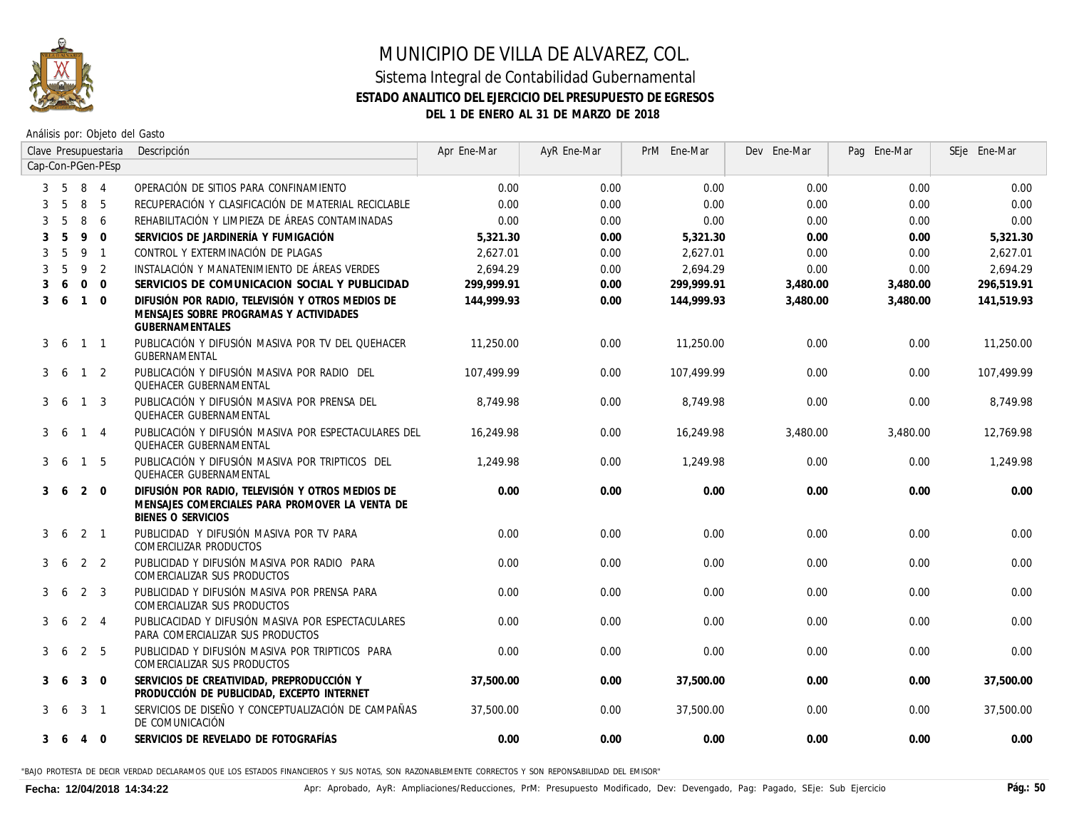

Análisis por: Objeto del Gasto

|                   |                |                | Clave Presupuestaria | Descripción                                                                                                                     | Apr Ene-Mar | AyR Ene-Mar | PrM Ene-Mar | Dev Ene-Mar | Pag Ene-Mar | SEje Ene-Mar |
|-------------------|----------------|----------------|----------------------|---------------------------------------------------------------------------------------------------------------------------------|-------------|-------------|-------------|-------------|-------------|--------------|
| Cap-Con-PGen-PEsp |                |                |                      |                                                                                                                                 |             |             |             |             |             |              |
|                   | $5^{\circ}$    | 8 4            |                      | OPERACIÓN DE SITIOS PARA CONFINAMIENTO                                                                                          | 0.00        | 0.00        | 0.00        | 0.00        | 0.00        | 0.00         |
|                   | $\overline{5}$ | 8              | -5                   | RECUPERACIÓN Y CLASIFICACIÓN DE MATERIAL RECICLABLE                                                                             | 0.00        | 0.00        | 0.00        | 0.00        | 0.00        | 0.00         |
|                   | $\overline{5}$ | 8              | 6                    | REHABILITACIÓN Y LIMPIEZA DE ÁREAS CONTAMINADAS                                                                                 | 0.00        | 0.00        | 0.00        | 0.00        | 0.00        | 0.00         |
|                   | .5             | 9              | $\Omega$             | SERVICIOS DE JARDINERÍA Y FUMIGACIÓN                                                                                            | 5.321.30    | 0.00        | 5,321.30    | 0.00        | 0.00        | 5,321.30     |
|                   | 5              | 9              | $\overline{1}$       | CONTROL Y EXTERMINACIÓN DE PLAGAS                                                                                               | 2,627.01    | 0.00        | 2,627.01    | 0.00        | 0.00        | 2,627.01     |
|                   | 5              | 9              | 2                    | INSTALACIÓN Y MANATENIMIENTO DE ÁREAS VERDES                                                                                    | 2.694.29    | 0.00        | 2.694.29    | 0.00        | 0.00        | 2.694.29     |
|                   | 6              | $\Omega$       | $\Omega$             | SERVICIOS DE COMUNICACION SOCIAL Y PUBLICIDAD                                                                                   | 299.999.91  | 0.00        | 299,999.91  | 3,480.00    | 3,480.00    | 296.519.91   |
| 3                 | -6             | $\mathbf{1}$   | $\Omega$             | DIFUSIÓN POR RADIO. TELEVISIÓN Y OTROS MEDIOS DE<br>MENSAJES SOBRE PROGRAMAS Y ACTIVIDADES<br><b>GUBERNAMENTALES</b>            | 144,999.93  | 0.00        | 144,999.93  | 3,480.00    | 3,480.00    | 141.519.93   |
| 3                 | -6             | $\mathbf{1}$   | $\overline{1}$       | PUBLICACIÓN Y DIFUSIÓN MASIVA POR TV DEL QUEHACER<br>GUBERNAMENTAL                                                              | 11,250.00   | 0.00        | 11,250.00   | 0.00        | 0.00        | 11,250.00    |
| 3                 | -6             | $\mathbf{1}$   | 2                    | PUBLICACIÓN Y DIFUSIÓN MASIVA POR RADIO DEL<br><b>OUEHACER GUBERNAMENTAL</b>                                                    | 107.499.99  | 0.00        | 107,499.99  | 0.00        | 0.00        | 107,499.99   |
| 3                 | -6             | $\mathbf{1}$   | 3                    | PUBLICACIÓN Y DIFUSIÓN MASIVA POR PRENSA DEL<br><b>QUEHACER GUBERNAMENTAL</b>                                                   | 8,749,98    | 0.00        | 8,749.98    | 0.00        | 0.00        | 8,749.98     |
| 3                 | -6             | $\mathbf{1}$   | $\overline{4}$       | PUBLICACIÓN Y DIFUSIÓN MASIVA POR ESPECTACULARES DEL<br><b>QUEHACER GUBERNAMENTAL</b>                                           | 16,249.98   | 0.00        | 16,249.98   | 3,480.00    | 3,480,00    | 12,769.98    |
| 3                 | -6             | $\mathbf{1}$   | - 5                  | PUBLICACIÓN Y DIFUSIÓN MASIVA POR TRIPTICOS DEL<br><b>QUEHACER GUBERNAMENTAL</b>                                                | 1.249.98    | 0.00        | 1,249.98    | 0.00        | 0.00        | 1,249.98     |
| 3                 | -6             | 2              | $\overline{0}$       | DIFUSIÓN POR RADIO, TELEVISIÓN Y OTROS MEDIOS DE<br>MENSAJES COMERCIALES PARA PROMOVER LA VENTA DE<br><b>BIENES O SERVICIOS</b> | 0.00        | 0.00        | 0.00        | 0.00        | 0.00        | 0.00         |
| 3                 | 6              | $2 \quad 1$    |                      | PUBLICIDAD Y DIFUSIÓN MASIVA POR TV PARA<br>COMERCILIZAR PRODUCTOS                                                              | 0.00        | 0.00        | 0.00        | 0.00        | 0.00        | 0.00         |
| 3                 | 6              | $\overline{2}$ | 2                    | PUBLICIDAD Y DIFUSIÓN MASIVA POR RADIO PARA<br>COMERCIALIZAR SUS PRODUCTOS                                                      | 0.00        | 0.00        | 0.00        | 0.00        | 0.00        | 0.00         |
| 3                 | 6              | 2 <sup>3</sup> |                      | PUBLICIDAD Y DIFUSIÓN MASIVA POR PRENSA PARA<br>COMERCIALIZAR SUS PRODUCTOS                                                     | 0.00        | 0.00        | 0.00        | 0.00        | 0.00        | 0.00         |
| 3                 | 6              | 2              | $\overline{4}$       | PUBLICACIDAD Y DIFUSIÓN MASIVA POR ESPECTACULARES<br>PARA COMERCIALIZAR SUS PRODUCTOS                                           | 0.00        | 0.00        | 0.00        | 0.00        | 0.00        | 0.00         |
| 3                 | 6              | 2              | -5                   | PUBLICIDAD Y DIFUSIÓN MASIVA POR TRIPTICOS PARA<br>COMERCIALIZAR SUS PRODUCTOS                                                  | 0.00        | 0.00        | 0.00        | 0.00        | 0.00        | 0.00         |
| 3                 |                | 3              | $\overline{0}$       | SERVICIOS DE CREATIVIDAD, PREPRODUCCIÓN Y<br>PRODUCCIÓN DE PUBLICIDAD, EXCEPTO INTERNET                                         | 37,500.00   | 0.00        | 37,500.00   | 0.00        | 0.00        | 37,500.00    |
| 3                 | -6             | 3              | $\overline{1}$       | SERVICIOS DE DISEÑO Y CONCEPTUALIZACIÓN DE CAMPAÑAS<br>DE COMUNICACIÓN                                                          | 37,500.00   | 0.00        | 37,500.00   | 0.00        | 0.00        | 37,500.00    |
| 3                 | 6              | 4              | $\overline{0}$       | SERVICIOS DE REVELADO DE FOTOGRAFÍAS                                                                                            | 0.00        | 0.00        | 0.00        | 0.00        | 0.00        | 0.00         |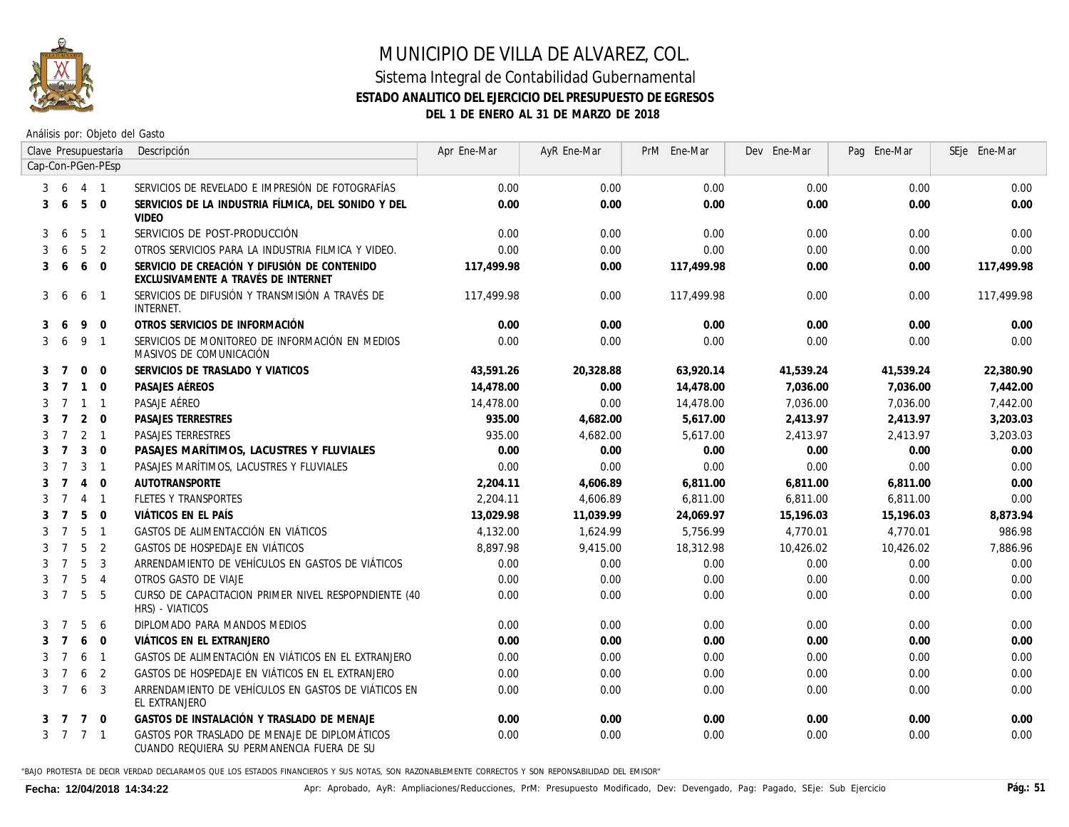

Análisis por: Objeto del Gasto

|   |                |                | Clave Presupuestaria | Descripción                                                                                 | Apr Ene-Mar | AyR Ene-Mar | PrM Ene-Mar | Dev Ene-Mar | Pag Ene-Mar | SEje Ene-Mar |
|---|----------------|----------------|----------------------|---------------------------------------------------------------------------------------------|-------------|-------------|-------------|-------------|-------------|--------------|
|   |                |                | Cap-Con-PGen-PEsp    |                                                                                             |             |             |             |             |             |              |
| 3 | 6              | 4 1            |                      | SERVICIOS DE REVELADO E IMPRESIÓN DE FOTOGRAFÍAS                                            | 0.00        | 0.00        | 0.00        | 0.00        | 0.00        | 0.00         |
| 3 | -6             | 5              | $\Omega$             | SERVICIOS DE LA INDUSTRIA FÍLMICA. DEL SONIDO Y DEL<br><b>VIDEO</b>                         | 0.00        | 0.00        | 0.00        | 0.00        | 0.00        | 0.00         |
| 3 | 6              | 5              | $\overline{1}$       | SERVICIOS DE POST-PRODUCCIÓN                                                                | 0.00        | 0.00        | 0.00        | 0.00        | 0.00        | 0.00         |
| 3 | 6              | 5              | 2                    | OTROS SERVICIOS PARA LA INDUSTRIA FILMICA Y VIDEO.                                          | 0.00        | 0.00        | 0.00        | 0.00        | 0.00        | 0.00         |
| 3 | 6              | 6              | $\Omega$             | SERVICIO DE CREACIÓN Y DIFUSIÓN DE CONTENIDO<br>EXCLUSIVAMENTE A TRAVÉS DE INTERNET         | 117,499.98  | 0.00        | 117,499.98  | 0.00        | 0.00        | 117,499.98   |
| 3 | 6              | 6              | $\mathbf{1}$         | SERVICIOS DE DIFUSIÓN Y TRANSMISIÓN A TRAVÉS DE<br><i>INTERNET.</i>                         | 117.499.98  | 0.00        | 117,499.98  | 0.00        | 0.00        | 117,499.98   |
| 3 | $\sqrt{2}$     | 9              | $\mathbf 0$          | OTROS SERVICIOS DE INFORMACIÓN                                                              | 0.00        | 0.00        | 0.00        | 0.00        | 0.00        | 0.00         |
| 3 | 6              | 9              | $\overline{1}$       | SERVICIOS DE MONITOREO DE INFORMACIÓN EN MEDIOS<br>MASIVOS DE COMUNICACIÓN                  | 0.00        | 0.00        | 0.00        | 0.00        | 0.00        | 0.00         |
| 3 | 7              | $\mathbf 0$    | $\Omega$             | SERVICIOS DE TRASLADO Y VIATICOS                                                            | 43,591.26   | 20,328.88   | 63,920.14   | 41,539.24   | 41,539.24   | 22,380.90    |
| 3 | 7              | $\overline{1}$ | $\Omega$             | PASAJES AÉREOS                                                                              | 14,478.00   | 0.00        | 14,478.00   | 7,036.00    | 7,036.00    | 7,442.00     |
| 3 | 7              | $\overline{1}$ | $\overline{1}$       | PASAJE AÉREO                                                                                | 14,478.00   | 0.00        | 14,478.00   | 7,036.00    | 7,036.00    | 7,442.00     |
| 3 | $\overline{7}$ | 2              | $\Omega$             | PASAJES TERRESTRES                                                                          | 935.00      | 4,682.00    | 5.617.00    | 2,413.97    | 2,413.97    | 3,203.03     |
| 3 | $\overline{7}$ | 2              | $\overline{1}$       | <b>PASAJES TERRESTRES</b>                                                                   | 935.00      | 4.682.00    | 5,617.00    | 2.413.97    | 2.413.97    | 3.203.03     |
| 3 | $\overline{7}$ | $\mathbf{3}$   | $\mathbf 0$          | PASAJES MARÍTIMOS, LACUSTRES Y FLUVIALES                                                    | 0.00        | 0.00        | 0.00        | 0.00        | 0.00        | 0.00         |
| 3 | $\overline{7}$ | 3              | $\overline{1}$       | PASAJES MARÍTIMOS, LACUSTRES Y FLUVIALES                                                    | 0.00        | 0.00        | 0.00        | 0.00        | 0.00        | 0.00         |
| 3 | $\overline{7}$ | $\overline{4}$ | $\Omega$             | AUTOTRANSPORTE                                                                              | 2.204.11    | 4.606.89    | 6,811.00    | 6,811.00    | 6,811.00    | 0.00         |
| 3 | 7              | $\overline{4}$ | $\overline{1}$       | FLETES Y TRANSPORTES                                                                        | 2,204.11    | 4.606.89    | 6.811.00    | 6,811.00    | 6,811.00    | 0.00         |
| 3 | $\overline{7}$ | 5              | $\Omega$             | VIÁTICOS EN EL PAÍS                                                                         | 13.029.98   | 11.039.99   | 24.069.97   | 15.196.03   | 15.196.03   | 8.873.94     |
| 3 | $\overline{7}$ | 5              | $\overline{1}$       | GASTOS DE ALIMENTACCIÓN EN VIÁTICOS                                                         | 4.132.00    | 1.624.99    | 5,756,99    | 4,770.01    | 4.770.01    | 986.98       |
| 3 | $\overline{7}$ | 5              | 2                    | GASTOS DE HOSPEDAJE EN VIÁTICOS                                                             | 8,897.98    | 9,415.00    | 18,312.98   | 10,426.02   | 10,426.02   | 7,886.96     |
|   | 7              | 5              | 3                    | ARRENDAMIENTO DE VEHÍCULOS EN GASTOS DE VIÁTICOS                                            | 0.00        | 0.00        | 0.00        | 0.00        | 0.00        | 0.00         |
|   | 7              | 5              | $\overline{4}$       | OTROS GASTO DE VIAJE                                                                        | 0.00        | 0.00        | 0.00        | 0.00        | 0.00        | 0.00         |
| 3 | $\overline{7}$ | 5              | -5                   | CURSO DE CAPACITACION PRIMER NIVEL RESPOPNDIENTE (40<br>HRS) - VIATICOS                     | 0.00        | 0.00        | 0.00        | 0.00        | 0.00        | 0.00         |
| 3 | -7             | 5              | -6                   | DIPLOMADO PARA MANDOS MEDIOS                                                                | 0.00        | 0.00        | 0.00        | 0.00        | 0.00        | 0.00         |
| 3 | $\overline{7}$ | 6              | $\Omega$             | VIÁTICOS EN EL EXTRANJERO                                                                   | 0.00        | 0.00        | 0.00        | 0.00        | 0.00        | 0.00         |
| 3 | $\overline{7}$ | 6              | $\overline{1}$       | GASTOS DE ALIMENTACIÓN EN VIÁTICOS EN EL EXTRANJERO                                         | 0.00        | 0.00        | 0.00        | 0.00        | 0.00        | 0.00         |
| 3 | $\overline{7}$ | 6              | 2                    | GASTOS DE HOSPEDAJE EN VIÁTICOS EN EL EXTRANJERO                                            | 0.00        | 0.00        | 0.00        | 0.00        | 0.00        | 0.00         |
| 3 | $\overline{7}$ | 6              | 3                    | ARRENDAMIENTO DE VEHÍCULOS EN GASTOS DE VIÁTICOS EN<br>EL EXTRANJERO                        | 0.00        | 0.00        | 0.00        | 0.00        | 0.00        | 0.00         |
|   | 3 7            | $\overline{7}$ | $\Omega$             | GASTOS DE INSTALACIÓN Y TRASLADO DE MENAJE                                                  | 0.00        | 0.00        | 0.00        | 0.00        | 0.00        | 0.00         |
|   | 3 7 7 1        |                |                      | GASTOS POR TRASLADO DE MENAJE DE DIPLOMÁTICOS<br>CUANDO REQUIERA SU PERMANENCIA FUERA DE SU | 0.00        | 0.00        | 0.00        | 0.00        | 0.00        | 0.00         |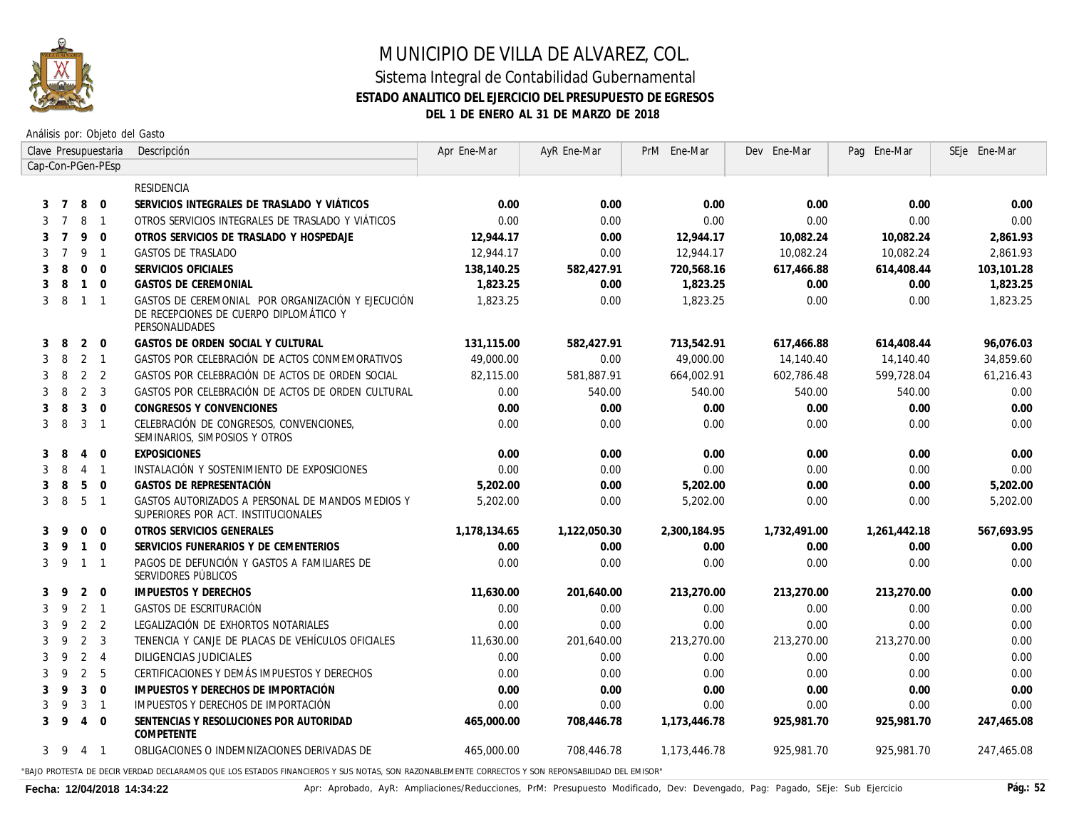

Análisis por: Objeto del Gasto

|              |                |                | Clave Presupuestaria     | Descripción                                                                                                   | Apr Ene-Mar  | AyR Ene-Mar  | PrM Ene-Mar     | Dev Ene-Mar  | Pag Ene-Mar  | SEje Ene-Mar |
|--------------|----------------|----------------|--------------------------|---------------------------------------------------------------------------------------------------------------|--------------|--------------|-----------------|--------------|--------------|--------------|
|              |                |                | Cap-Con-PGen-PEsp        |                                                                                                               |              |              |                 |              |              |              |
|              |                |                |                          | RESIDENCIA                                                                                                    |              |              |                 |              |              |              |
| 3            | $\overline{7}$ | 8              | $\mathbf 0$              | SERVICIOS INTEGRALES DE TRASLADO Y VIÁTICOS                                                                   | 0.00         | 0.00         | 0.00            | 0.00         | 0.00         | 0.00         |
| 3            | -7             | 8              | $\overline{1}$           | OTROS SERVICIOS INTEGRALES DE TRASLADO Y VIÁTICOS                                                             | 0.00         | 0.00         | 0.00            | 0.00         | 0.00         | 0.00         |
| 3            | $\overline{7}$ | 9              | $\Omega$                 | OTROS SERVICIOS DE TRASLADO Y HOSPEDAJE                                                                       | 12.944.17    | 0.00         | 12,944.17       | 10,082.24    | 10,082.24    | 2,861.93     |
| 3            | $\overline{7}$ | 9              | $\overline{1}$           | GASTOS DE TRASLADO                                                                                            | 12,944.17    | 0.00         | 12,944.17       | 10,082.24    | 10,082.24    | 2,861.93     |
| 3            | 8              | $\mathbf{0}$   | $\Omega$                 | SERVICIOS OFICIALES                                                                                           | 138,140.25   | 582,427.91   | 720,568.16      | 617,466.88   | 614,408.44   | 103,101.28   |
| 3            | 8              | $\mathbf{1}$   | $\Omega$                 | <b>GASTOS DE CEREMONIAL</b>                                                                                   | 1,823.25     | 0.00         | 1,823.25        | 0.00         | 0.00         | 1,823.25     |
| 3            | 8              | $\overline{1}$ | $\overline{1}$           | GASTOS DE CEREMONIAL POR ORGANIZACIÓN Y EJECUCIÓN<br>DE RECEPCIONES DE CUERPO DIPLOMÁTICO Y<br>PERSONALIDADES | 1,823.25     | 0.00         | 1,823.25        | 0.00         | 0.00         | 1,823.25     |
| 3            | 8              | 2              | $\Omega$                 | GASTOS DE ORDEN SOCIAL Y CULTURAL                                                                             | 131,115.00   | 582,427.91   | 713,542.91      | 617,466.88   | 614,408.44   | 96,076.03    |
| 3            | 8              | 2              | $\overline{1}$           | GASTOS POR CELEBRACIÓN DE ACTOS CONMEMORATIVOS                                                                | 49,000.00    | 0.00         | 49,000.00       | 14,140.40    | 14,140.40    | 34,859.60    |
| 3            | 8              | 2              | 2                        | GASTOS POR CELEBRACIÓN DE ACTOS DE ORDEN SOCIAL                                                               | 82,115.00    | 581,887.91   | 664,002.91      | 602,786.48   | 599,728.04   | 61,216.43    |
| 3            | 8              | 2              | $\overline{3}$           | GASTOS POR CELEBRACIÓN DE ACTOS DE ORDEN CULTURAL                                                             | 0.00         | 540.00       | 540.00          | 540.00       | 540.00       | 0.00         |
| 3            | 8              | 3              | $\Omega$                 | CONGRESOS Y CONVENCIONES                                                                                      | 0.00         | 0.00         | 0.00            | 0.00         | 0.00         | 0.00         |
| 3            | 8              | 3              | $\overline{1}$           | CELEBRACIÓN DE CONGRESOS, CONVENCIONES,<br>SEMINARIOS, SIMPOSIOS Y OTROS                                      | 0.00         | 0.00         | 0.00            | 0.00         | 0.00         | 0.00         |
| 3            | 8              | 4              | $\Omega$                 | <b>EXPOSICIONES</b>                                                                                           | 0.00         | 0.00         | 0.00            | 0.00         | 0.00         | 0.00         |
| 3            | 8              | 4              | $\overline{1}$           | INSTALACIÓN Y SOSTENIMIENTO DE EXPOSICIONES                                                                   | 0.00         | 0.00         | 0.00            | 0.00         | 0.00         | 0.00         |
| 3            | 8              | 5              | $\overline{0}$           | GASTOS DE REPRESENTACIÓN                                                                                      | 5,202.00     | 0.00         | 5,202.00        | 0.00         | 0.00         | 5,202.00     |
| 3            | 8              | 5              | $\overline{1}$           | GASTOS AUTORIZADOS A PERSONAL DE MANDOS MEDIOS Y<br>SUPERIORES POR ACT. INSTITUCIONALES                       | 5,202.00     | 0.00         | 5,202.00        | 0.00         | 0.00         | 5,202.00     |
| 3            | 9              | $\mathbf{0}$   | $\mathbf 0$              | OTROS SERVICIOS GENERALES                                                                                     | 1,178,134.65 | 1,122,050.30 | 2,300,184.95    | 1,732,491.00 | 1,261,442.18 | 567,693.95   |
| 3            | 9              | $\mathbf{1}$   | $\Omega$                 | SERVICIOS FUNERARIOS Y DE CEMENTERIOS                                                                         | 0.00         | 0.00         | 0.00            | 0.00         | 0.00         | 0.00         |
| $\mathbf{3}$ | 9              | $\mathbf{1}$   | $\overline{1}$           | PAGOS DE DEFUNCIÓN Y GASTOS A FAMILIARES DE<br>SERVIDORES PÚBLICOS                                            | 0.00         | 0.00         | 0.00            | 0.00         | 0.00         | 0.00         |
| 3            | 9              | 2              | $\overline{0}$           | IMPUESTOS Y DERECHOS                                                                                          | 11,630.00    | 201,640.00   | 213,270.00      | 213,270.00   | 213,270.00   | 0.00         |
| 3            | 9              | 2              | $\overline{1}$           | GASTOS DE ESCRITURACIÓN                                                                                       | 0.00         | 0.00         | 0.00            | 0.00         | 0.00         | 0.00         |
| 3            | 9              | 2              | 2                        | LEGALIZACIÓN DE EXHORTOS NOTARIALES                                                                           | 0.00         | 0.00         | 0.00            | 0.00         | 0.00         | 0.00         |
| 3            | 9              | $\overline{2}$ | $\overline{3}$           | TENENCIA Y CANJE DE PLACAS DE VEHÍCULOS OFICIALES                                                             | 11,630.00    | 201,640.00   | 213,270.00      | 213,270.00   | 213,270.00   | 0.00         |
| 3            | 9              | 2              | $\overline{4}$           | <b>DILIGENCIAS JUDICIALES</b>                                                                                 | 0.00         | 0.00         | 0.00            | 0.00         | 0.00         | 0.00         |
| 3            | 9              | 2              | -5                       | CERTIFICACIONES Y DEMÁS IMPUESTOS Y DERECHOS                                                                  | 0.00         | 0.00         | 0.00            | 0.00         | 0.00         | 0.00         |
| 3            | 9              | 3              | $\Omega$                 | IMPUESTOS Y DERECHOS DE IMPORTACIÓN                                                                           | 0.00         | 0.00         | 0.00            | 0.00         | 0.00         | 0.00         |
| 3            | 9              | 3              | $\overline{1}$           | IMPUESTOS Y DERECHOS DE IMPORTACIÓN                                                                           | 0.00         | 0.00         | 0.00            | 0.00         | 0.00         | 0.00         |
| 3            | 9              | $\overline{4}$ | $\mathbf 0$              | SENTENCIAS Y RESOLUCIONES POR AUTORIDAD<br>COMPETENTE                                                         | 465,000.00   | 708,446.78   | 1,173,446.78    | 925,981.70   | 925,981.70   | 247,465.08   |
|              | 3 9            | $\overline{4}$ | $\overline{\phantom{0}}$ | OBLIGACIONES O INDEMNIZACIONES DERIVADAS DE                                                                   | 465,000.00   | 708,446.78   | 1, 173, 446. 78 | 925,981.70   | 925,981,70   | 247.465.08   |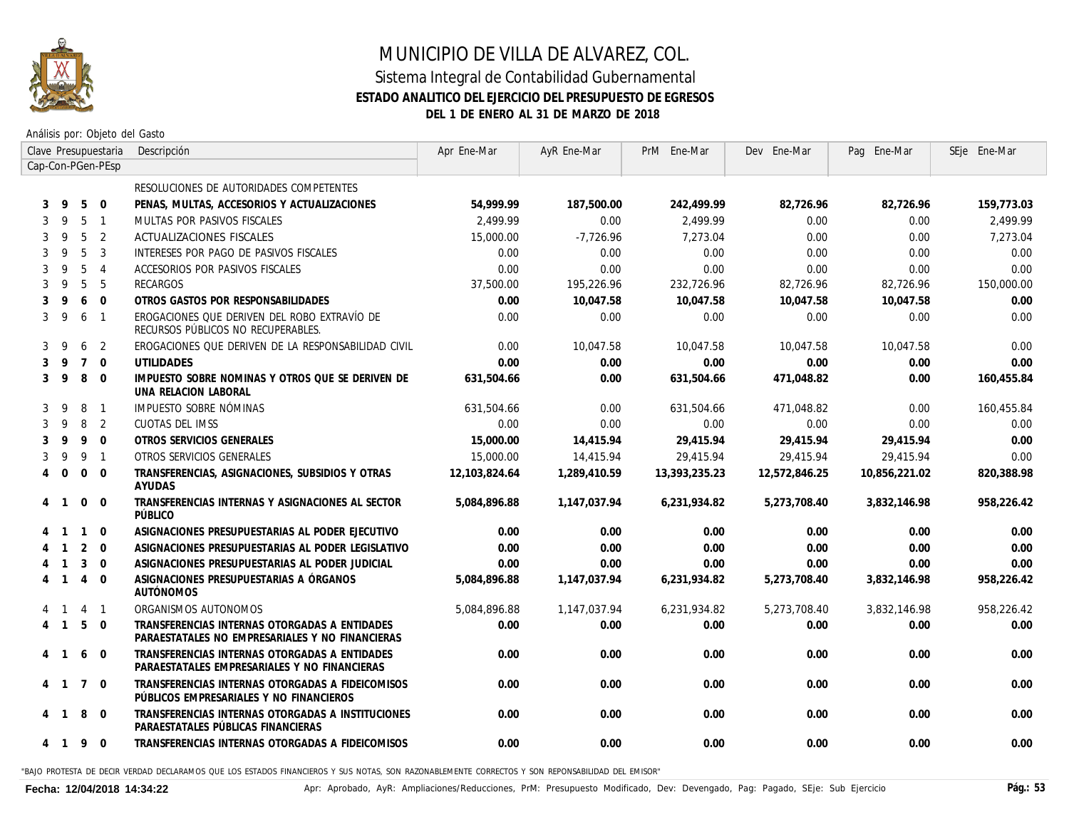

Análisis por: Objeto del Gasto

|                   |                          |                | Clave Presupuestaria | Descripción                                                                                      | Apr Ene-Mar   | AyR Ene-Mar  | PrM Ene-Mar   | Dev Ene-Mar   | Pag Ene-Mar   | SEje Ene-Mar |
|-------------------|--------------------------|----------------|----------------------|--------------------------------------------------------------------------------------------------|---------------|--------------|---------------|---------------|---------------|--------------|
| Cap-Con-PGen-PEsp |                          |                |                      |                                                                                                  |               |              |               |               |               |              |
|                   |                          |                |                      | RESOLUCIONES DE AUTORIDADES COMPETENTES                                                          |               |              |               |               |               |              |
| 3                 | 9                        | 5              | $\overline{0}$       | PENAS, MULTAS, ACCESORIOS Y ACTUALIZACIONES                                                      | 54.999.99     | 187,500.00   | 242,499.99    | 82,726.96     | 82,726.96     | 159,773.03   |
| 3                 | 9                        | 5              | $\overline{1}$       | MULTAS POR PASIVOS FISCALES                                                                      | 2,499.99      | 0.00         | 2,499.99      | 0.00          | 0.00          | 2,499.99     |
| 3                 | 9                        | 5              | $\overline{2}$       | <b>ACTUALIZACIONES FISCALES</b>                                                                  | 15,000,00     | -7,726,96    | 7.273.04      | 0.00          | 0.00          | 7,273.04     |
| 3                 | 9                        | 5              | $\overline{3}$       | INTERESES POR PAGO DE PASIVOS FISCALES                                                           | 0.00          | 0.00         | 0.00          | 0.00          | 0.00          | 0.00         |
| 3                 | 9                        | 5              | $\overline{4}$       | ACCESORIOS POR PASIVOS FISCALES                                                                  | 0.00          | 0.00         | 0.00          | 0.00          | 0.00          | 0.00         |
| 3                 | 9                        | 5              | 5                    | RECARGOS                                                                                         | 37,500.00     | 195,226.96   | 232,726.96    | 82,726.96     | 82,726.96     | 150,000.00   |
| 3                 | 9                        | 6              | $\Omega$             | OTROS GASTOS POR RESPONSABILIDADES                                                               | 0.00          | 10,047.58    | 10,047.58     | 10.047.58     | 10.047.58     | 0.00         |
| 3                 | 9                        | 6              | $\overline{1}$       | EROGACIONES QUE DERIVEN DEL ROBO EXTRAVÍO DE<br>RECURSOS PÚBLICOS NO RECUPERABLES.               | 0.00          | 0.00         | 0.00          | 0.00          | 0.00          | 0.00         |
| 3                 | 9                        | 6              | 2                    | EROGACIONES QUE DERIVEN DE LA RESPONSABILIDAD CIVIL                                              | 0.00          | 10,047.58    | 10.047.58     | 10,047.58     | 10,047.58     | 0.00         |
| 3                 | 9                        |                | $7\quad$ 0           | <b>UTILIDADES</b>                                                                                | 0.00          | 0.00         | 0.00          | 0.00          | 0.00          | 0.00         |
| 3                 | 9                        | 8              | $\overline{0}$       | IMPUESTO SOBRE NOMINAS Y OTROS QUE SE DERIVEN DE<br>UNA RELACION LABORAL                         | 631,504.66    | 0.00         | 631,504.66    | 471,048.82    | 0.00          | 160,455.84   |
| 3                 | 9                        | 8              | $\overline{1}$       | IMPUESTO SOBRE NÓMINAS                                                                           | 631.504.66    | 0.00         | 631,504.66    | 471.048.82    | 0.00          | 160,455.84   |
| 3                 | 9                        | 8              | $\overline{2}$       | CUOTAS DEL IMSS                                                                                  | 0.00          | 0.00         | 0.00          | 0.00          | 0.00          | 0.00         |
| 3                 | 9                        | 9              | $\overline{0}$       | OTROS SERVICIOS GENERALES                                                                        | 15,000.00     | 14,415.94    | 29,415.94     | 29,415.94     | 29,415.94     | 0.00         |
| 3                 | 9                        | 9              | $\overline{1}$       | OTROS SERVICIOS GENERALES                                                                        | 15,000.00     | 14,415.94    | 29,415.94     | 29,415.94     | 29,415.94     | 0.00         |
| $\overline{4}$    | $\Omega$                 | $\mathbf{0}$   | $\overline{0}$       | TRANSFERENCIAS, ASIGNACIONES, SUBSIDIOS Y OTRAS<br>AYUDAS                                        | 12,103,824.64 | 1,289,410.59 | 13,393,235.23 | 12,572,846.25 | 10,856,221.02 | 820,388.98   |
| 4                 | $\overline{1}$           | $\mathbf 0$    | $\Omega$             | TRANSFERENCIAS INTERNAS Y ASIGNACIONES AL SECTOR<br>PÚBLICO                                      | 5,084,896.88  | 1,147,037.94 | 6,231,934.82  | 5,273,708.40  | 3,832,146.98  | 958,226.42   |
|                   | -1                       | $\mathbf{1}$   | $\overline{0}$       | ASIGNACIONES PRESUPUESTARIAS AL PODER EJECUTIVO                                                  | 0.00          | 0.00         | 0.00          | 0.00          | 0.00          | 0.00         |
|                   | $\overline{1}$           | 2              | $\overline{0}$       | ASIGNACIONES PRESUPUESTARIAS AL PODER LEGISLATIVO                                                | 0.00          | 0.00         | 0.00          | 0.00          | 0.00          | 0.00         |
|                   | $\overline{1}$           | 3              | $\overline{0}$       | ASIGNACIONES PRESUPUESTARIAS AL PODER JUDICIAL                                                   | 0.00          | 0.00         | 0.00          | 0.00          | 0.00          | 0.00         |
|                   | $\overline{1}$           | $\overline{4}$ | $\overline{0}$       | ASIGNACIONES PRESUPUESTARIAS A ÓRGANOS<br>AUTÓNOMOS                                              | 5.084.896.88  | 1,147,037.94 | 6,231,934.82  | 5,273,708.40  | 3,832,146.98  | 958,226.42   |
|                   | $\overline{1}$           | $\overline{4}$ | $\overline{1}$       | ORGANISMOS AUTONOMOS                                                                             | 5,084,896.88  | 1,147,037.94 | 6,231,934.82  | 5,273,708.40  | 3,832,146.98  | 958,226.42   |
| 4                 | $\overline{1}$           | 5              | $\Omega$             | TRANSFERENCIAS INTERNAS OTORGADAS A ENTIDADES<br>PARAESTATALES NO EMPRESARIALES Y NO FINANCIERAS | 0.00          | 0.00         | 0.00          | 0.00          | 0.00          | 0.00         |
| 4                 | -1                       | 6              | $\overline{0}$       | TRANSFERENCIAS INTERNAS OTORGADAS A ENTIDADES<br>PARAESTATALES EMPRESARIALES Y NO FINANCIERAS    | 0.00          | 0.00         | 0.00          | 0.00          | 0.00          | 0.00         |
| $\overline{4}$    | $\overline{\phantom{0}}$ | $\overline{7}$ | $\overline{0}$       | TRANSFERENCIAS INTERNAS OTORGADAS A FIDEICOMISOS<br>PÚBLICOS EMPRESARIALES Y NO FINANCIEROS      | 0.00          | 0.00         | 0.00          | 0.00          | 0.00          | 0.00         |
| 4                 | $\overline{1}$           | 8              | $\overline{0}$       | TRANSFERENCIAS INTERNAS OTORGADAS A INSTITUCIONES<br>PARAESTATALES PUBLICAS FINANCIERAS          | 0.00          | 0.00         | 0.00          | 0.00          | 0.00          | 0.00         |
|                   | 4 1                      | 9              | $\overline{0}$       | TRANSFERENCIAS INTERNAS OTORGADAS A FIDEICOMISOS                                                 | 0.00          | 0.00         | 0.00          | 0.00          | 0.00          | 0.00         |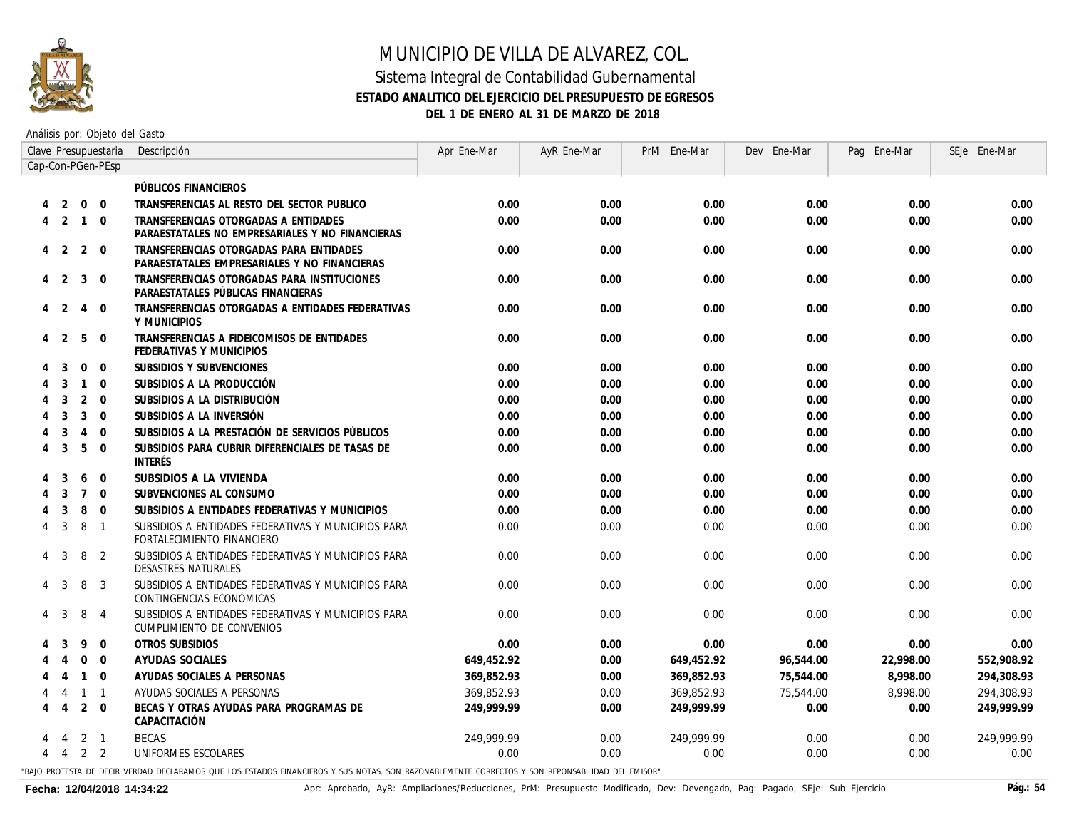

#### Sistema Integral de Contabilidad Gubernamental **ESTADO ANALITICO DEL EJERCICIO DEL PRESUPUESTO DE EGRESOS DEL 1 DE ENERO AL 31 DE MARZO DE 2018**

Análisis por: Objeto del Gasto

|                |                         |                | Clave Presupuestaria | Descripción                                                                             | Apr Ene-Mar | AyR Ene-Mar | PrM Ene-Mar | Dev Ene-Mar | Pag Ene-Mar | SEje Ene-Mar |
|----------------|-------------------------|----------------|----------------------|-----------------------------------------------------------------------------------------|-------------|-------------|-------------|-------------|-------------|--------------|
|                |                         |                | Cap-Con-PGen-PEsp    |                                                                                         |             |             |             |             |             |              |
|                |                         |                |                      | PÚBLICOS FINANCIEROS                                                                    |             |             |             |             |             |              |
|                | 2                       | $\overline{0}$ | $\overline{0}$       | TRANSFERENCIAS AL RESTO DEL SECTOR PUBLICO                                              | 0.00        | 0.00        | 0.00        | 0.00        | 0.00        | 0.00         |
| 4              | $\overline{\mathbf{c}}$ | $\overline{1}$ | $\Omega$             | TRANSFERENCIAS OTORGADAS A ENTIDADES<br>PARAESTATALES NO EMPRESARIALES Y NO FINANCIERAS | 0.00        | 0.00        | 0.00        | 0.00        | 0.00        | 0.00         |
|                | $4\quad 2$              | 2              | $\Omega$             | TRANSFERENCIAS OTORGADAS PARA ENTIDADES<br>PARAESTATALES EMPRESARIALES Y NO FINANCIERAS | 0.00        | 0.00        | 0.00        | 0.00        | 0.00        | 0.00         |
|                | $4\quad 2$              | $\mathbf{3}$   | $\mathbf 0$          | TRANSFERENCIAS OTORGADAS PARA INSTITUCIONES<br>PARAESTATALES PÚBLICAS FINANCIERAS       | 0.00        | 0.00        | 0.00        | 0.00        | 0.00        | 0.00         |
|                | $4\quad 2$              | $\overline{4}$ | $\Omega$             | TRANSFERENCIAS OTORGADAS A ENTIDADES FEDERATIVAS<br>Y MUNICIPIOS                        | 0.00        | 0.00        | 0.00        | 0.00        | 0.00        | 0.00         |
|                | $4\quad 2$              | 5              | $\overline{0}$       | TRANSFERENCIAS A FIDEICOMISOS DE ENTIDADES<br>FEDERATIVAS Y MUNICIPIOS                  | 0.00        | 0.00        | 0.00        | 0.00        | 0.00        | 0.00         |
|                | 3                       | $\overline{0}$ | $\mathbf 0$          | SUBSIDIOS Y SUBVENCIONES                                                                | 0.00        | 0.00        | 0.00        | 0.00        | 0.00        | 0.00         |
|                | 3                       | $\overline{1}$ | $\Omega$             | SUBSIDIOS A LA PRODUCCIÓN                                                               | 0.00        | 0.00        | 0.00        | 0.00        | 0.00        | 0.00         |
|                | 3                       | 2              | $\Omega$             | SUBSIDIOS A LA DISTRIBUCIÓN                                                             | 0.00        | 0.00        | 0.00        | 0.00        | 0.00        | 0.00         |
|                | 3                       | 3              | $\overline{0}$       | SUBSIDIOS A LA INVERSIÓN                                                                | 0.00        | 0.00        | 0.00        | 0.00        | 0.00        | 0.00         |
|                | 3                       | $\overline{4}$ | $\Omega$             | SUBSIDIOS A LA PRESTACIÓN DE SERVICIOS PÚBLICOS                                         | 0.00        | 0.00        | 0.00        | 0.00        | 0.00        | 0.00         |
| 4              | - 3                     | 5              | $\Omega$             | SUBSIDIOS PARA CUBRIR DIFERENCIALES DE TASAS DE<br>INTERÉS                              | 0.00        | 0.00        | 0.00        | 0.00        | 0.00        | 0.00         |
|                | 3                       | 6              | $\mathbf 0$          | SUBSIDIOS A LA VIVIENDA                                                                 | 0.00        | 0.00        | 0.00        | 0.00        | 0.00        | 0.00         |
|                | $\overline{3}$          | $\overline{7}$ | $\mathbf{0}$         | SUBVENCIONES AL CONSUMO                                                                 | 0.00        | 0.00        | 0.00        | 0.00        | 0.00        | 0.00         |
|                | 3                       | 8              | $\Omega$             | SUBSIDIOS A ENTIDADES FEDERATIVAS Y MUNICIPIOS                                          | 0.00        | 0.00        | 0.00        | 0.00        | 0.00        | 0.00         |
| 4              | 3                       | 8              | $\overline{1}$       | SUBSIDIOS A ENTIDADES FEDERATIVAS Y MUNICIPIOS PARA<br>FORTALECIMIENTO FINANCIERO       | 0.00        | 0.00        | 0.00        | 0.00        | 0.00        | 0.00         |
|                | 3                       | 8              | 2                    | SUBSIDIOS A ENTIDADES FEDERATIVAS Y MUNICIPIOS PARA<br>DESASTRES NATURALES              | 0.00        | 0.00        | 0.00        | 0.00        | 0.00        | 0.00         |
|                | -3                      | 8              | 3                    | SUBSIDIOS A ENTIDADES FEDERATIVAS Y MUNICIPIOS PARA<br>CONTINGENCIAS ECONÓMICAS         | 0.00        | 0.00        | 0.00        | 0.00        | 0.00        | 0.00         |
| $\overline{4}$ | 3                       | 8              | $\overline{4}$       | SUBSIDIOS A ENTIDADES FEDERATIVAS Y MUNICIPIOS PARA<br>CUMPLIMIENTO DE CONVENIOS        | 0.00        | 0.00        | 0.00        | 0.00        | 0.00        | 0.00         |
|                | 3                       | 9              | $\mathbf 0$          | <b>OTROS SUBSIDIOS</b>                                                                  | 0.00        | 0.00        | 0.00        | 0.00        | 0.00        | 0.00         |
|                | $\overline{4}$          | $\Omega$       | $\Omega$             | AYUDAS SOCIALES                                                                         | 649,452.92  | 0.00        | 649,452.92  | 96,544.00   | 22,998.00   | 552,908.92   |
|                | 4                       | $\overline{1}$ | $\Omega$             | AYUDAS SOCIALES A PERSONAS                                                              | 369,852.93  | 0.00        | 369,852.93  | 75,544.00   | 8,998.00    | 294,308.93   |
|                | 4                       | $\overline{1}$ | $\mathbf{1}$         | AYUDAS SOCIALES A PERSONAS                                                              | 369.852.93  | 0.00        | 369,852.93  | 75,544.00   | 8.998.00    | 294,308.93   |
| 4              | $\overline{4}$          | $\overline{2}$ | $\mathbf{0}$         | BECAS Y OTRAS AYUDAS PARA PROGRAMAS DE<br>CAPACITACIÓN                                  | 249,999.99  | 0.00        | 249,999.99  | 0.00        | 0.00        | 249,999.99   |
|                | 4                       |                | $2 \quad 1$          | <b>BECAS</b>                                                                            | 249,999,99  | 0.00        | 249,999,99  | 0.00        | 0.00        | 249,999,99   |
| 4              | $\overline{4}$          |                | 2 <sub>2</sub>       | UNIFORMES ESCOLARES                                                                     | 0.00        | 0.00        | 0.00        | 0.00        | 0.00        | 0.00         |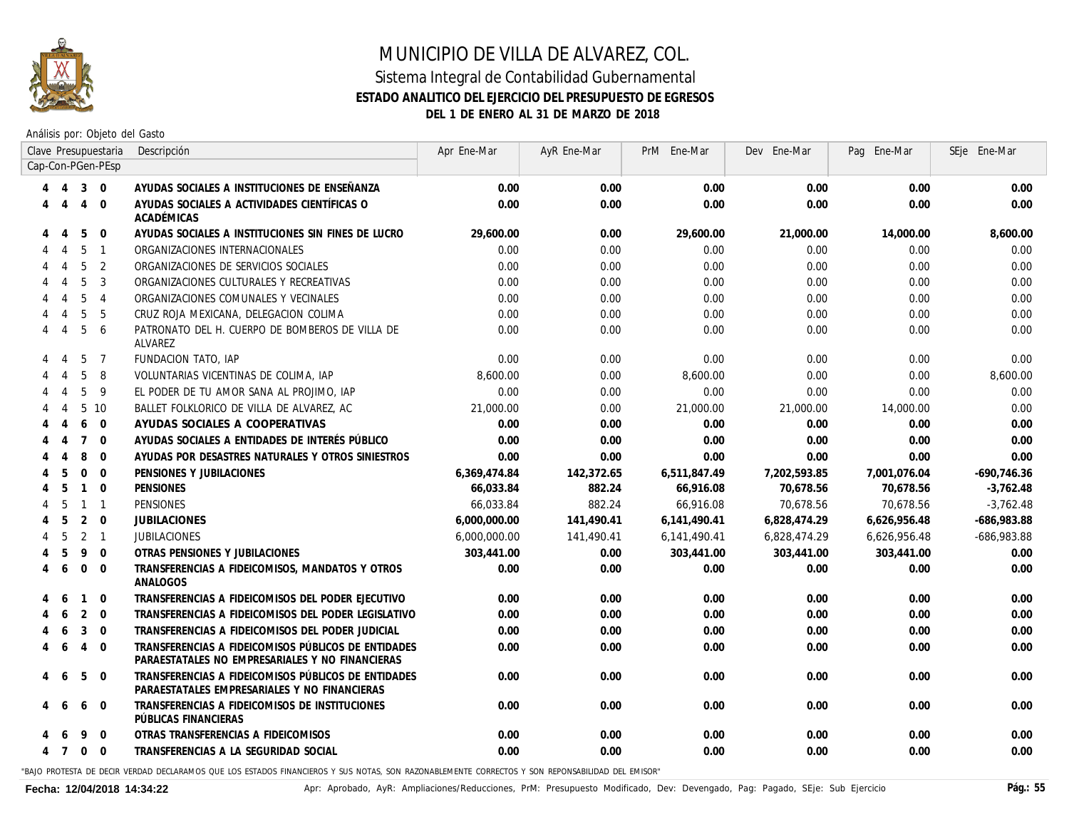

Análisis por: Objeto del Gasto

|   |                             |                | Clave Presupuestaria | Descripción                                                                                            | Apr Ene-Mar  | AyR Ene-Mar | PrM Ene-Mar  | Dev Ene-Mar  | Pag Ene-Mar  | SEje Ene-Mar  |
|---|-----------------------------|----------------|----------------------|--------------------------------------------------------------------------------------------------------|--------------|-------------|--------------|--------------|--------------|---------------|
|   |                             |                | Cap-Con-PGen-PEsp    |                                                                                                        |              |             |              |              |              |               |
|   | $\overline{4}$              | $3 \quad 0$    |                      | AYUDAS SOCIALES A INSTITUCIONES DE ENSEÑANZA                                                           | 0.00         | 0.00        | 0.00         | 0.00         | 0.00         | 0.00          |
|   | -4                          | $\overline{4}$ | $\overline{0}$       | AYUDAS SOCIALES A ACTIVIDADES CIENTÍFICAS O<br><b>ACADÉMICAS</b>                                       | 0.00         | 0.00        | 0.00         | 0.00         | 0.00         | 0.00          |
|   | 4                           | 5              | $\Omega$             | AYUDAS SOCIALES A INSTITUCIONES SIN FINES DE LUCRO                                                     | 29,600.00    | 0.00        | 29,600.00    | 21,000.00    | 14,000.00    | 8,600.00      |
|   |                             | 5              | $\overline{1}$       | ORGANIZACIONES INTERNACIONALES                                                                         | 0.00         | 0.00        | 0.00         | 0.00         | 0.00         | 0.00          |
|   |                             | 5              | 2                    | ORGANIZACIONES DE SERVICIOS SOCIALES                                                                   | 0.00         | 0.00        | 0.00         | 0.00         | 0.00         | 0.00          |
|   |                             | 5              | 3                    | ORGANIZACIONES CULTURALES Y RECREATIVAS                                                                | 0.00         | 0.00        | 0.00         | 0.00         | 0.00         | 0.00          |
|   |                             | 5              | $\overline{4}$       | ORGANIZACIONES COMUNALES Y VECINALES                                                                   | 0.00         | 0.00        | 0.00         | 0.00         | 0.00         | 0.00          |
|   |                             | 5              | 5                    | CRUZ ROJA MEXICANA, DELEGACION COLIMA                                                                  | 0.00         | 0.00        | 0.00         | 0.00         | 0.00         | 0.00          |
|   | $\boldsymbol{\varLambda}$   | 5              | 6                    | PATRONATO DEL H. CUERPO DE BOMBEROS DE VILLA DE<br>ALVAREZ                                             | 0.00         | 0.00        | 0.00         | 0.00         | 0.00         | 0.00          |
|   | $\overline{4}$              | 5              | $\overline{7}$       | FUNDACION TATO, IAP                                                                                    | 0.00         | 0.00        | 0.00         | 0.00         | 0.00         | 0.00          |
|   | 4                           | 5              | 8                    | VOLUNTARIAS VICENTINAS DE COLIMA, IAP                                                                  | 8,600.00     | 0.00        | 8,600.00     | 0.00         | 0.00         | 8,600.00      |
|   | 4                           | $\overline{5}$ | 9                    | EL PODER DE TU AMOR SANA AL PROJIMO, IAP                                                               | 0.00         | 0.00        | 0.00         | 0.00         | 0.00         | 0.00          |
|   | 4                           | 5              | 10                   | BALLET FOLKLORICO DE VILLA DE ALVAREZ, AC                                                              | 21,000.00    | 0.00        | 21,000.00    | 21,000.00    | 14,000.00    | 0.00          |
|   |                             | 6              | $\Omega$             | AYUDAS SOCIALES A COOPERATIVAS                                                                         | 0.00         | 0.00        | 0.00         | 0.00         | 0.00         | 0.00          |
|   | $\boldsymbol{\vartriangle}$ | $\overline{7}$ | $\overline{0}$       | AYUDAS SOCIALES A ENTIDADES DE INTERÉS PÚBLICO                                                         | 0.00         | 0.00        | 0.00         | 0.00         | 0.00         | 0.00          |
|   | $\boldsymbol{\Lambda}$      | 8              | $\Omega$             | AYUDAS POR DESASTRES NATURALES Y OTROS SINIESTROS                                                      | 0.00         | 0.00        | 0.00         | 0.00         | 0.00         | 0.00          |
|   | 5                           | $\mathbf 0$    | $\overline{0}$       | PENSIONES Y JUBILACIONES                                                                               | 6,369,474.84 | 142,372.65  | 6,511,847.49 | 7,202,593.85 | 7,001,076.04 | $-690,746.36$ |
|   | 5                           | $\mathbf{1}$   | $\overline{0}$       | <b>PENSIONES</b>                                                                                       | 66,033.84    | 882.24      | 66,916.08    | 70,678.56    | 70,678.56    | $-3,762.48$   |
|   | -5                          | $1 \quad 1$    |                      | <b>PENSIONES</b>                                                                                       | 66.033.84    | 882.24      | 66.916.08    | 70,678.56    | 70,678.56    | $-3,762.48$   |
|   | -5                          | $\overline{2}$ | $\Omega$             | <b>JUBILACIONES</b>                                                                                    | 6,000,000.00 | 141,490.41  | 6,141,490.41 | 6,828,474.29 | 6,626,956.48 | -686,983.88   |
|   | 5                           | 2 <sub>1</sub> |                      | JUBILACIONES                                                                                           | 6,000,000.00 | 141,490.41  | 6,141,490.41 | 6,828,474.29 | 6,626,956.48 | -686,983.88   |
|   | -5                          | 9              | $\Omega$             | OTRAS PENSIONES Y JUBILACIONES                                                                         | 303,441.00   | 0.00        | 303,441.00   | 303,441.00   | 303,441.00   | 0.00          |
| 4 | 6                           | $\mathbf{0}$   | $\Omega$             | TRANSFERENCIAS A FIDEICOMISOS, MANDATOS Y OTROS<br>ANALOGOS                                            | 0.00         | 0.00        | 0.00         | 0.00         | 0.00         | 0.00          |
|   | -6                          | $\mathbf{1}$   | $\overline{0}$       | TRANSFERENCIAS A FIDEICOMISOS DEL PODER EJECUTIVO                                                      | 0.00         | 0.00        | 0.00         | 0.00         | 0.00         | 0.00          |
|   | 6                           | 2              | $\Omega$             | TRANSFERENCIAS A FIDEICOMISOS DEL PODER LEGISLATIVO                                                    | 0.00         | 0.00        | 0.00         | 0.00         | 0.00         | 0.00          |
|   | -6                          | 3              | $\Omega$             | TRANSFERENCIAS A FIDEICOMISOS DEL PODER JUDICIAL                                                       | 0.00         | 0.00        | 0.00         | 0.00         | 0.00         | 0.00          |
| 4 | -6                          | $\overline{4}$ | $\Omega$             | TRANSFERENCIAS A FIDEICOMISOS PÚBLICOS DE ENTIDADES<br>PARAESTATALES NO EMPRESARIALES Y NO FINANCIERAS | 0.00         | 0.00        | 0.00         | 0.00         | 0.00         | 0.00          |
| 4 | -6                          | 5              | $\mathbf 0$          | TRANSFERENCIAS A FIDEICOMISOS PÚBLICOS DE ENTIDADES<br>PARAESTATALES EMPRESARIALES Y NO FINANCIERAS    | 0.00         | 0.00        | 0.00         | 0.00         | 0.00         | 0.00          |
|   | 6                           | 6              | $\overline{0}$       | TRANSFERENCIAS A FIDEICOMISOS DE INSTITUCIONES<br>PÚBLICAS FINANCIERAS                                 | 0.00         | 0.00        | 0.00         | 0.00         | 0.00         | 0.00          |
|   |                             | 9              | $\mathbf 0$          | OTRAS TRANSFERENCIAS A FIDEICOMISOS                                                                    | 0.00         | 0.00        | 0.00         | 0.00         | 0.00         | 0.00          |
|   | 4 7                         | $\Omega$       | $\Omega$             | TRANSFERENCIAS A LA SEGURIDAD SOCIAL                                                                   | 0.00         | 0.00        | 0.00         | 0.00         | 0.00         | 0.00          |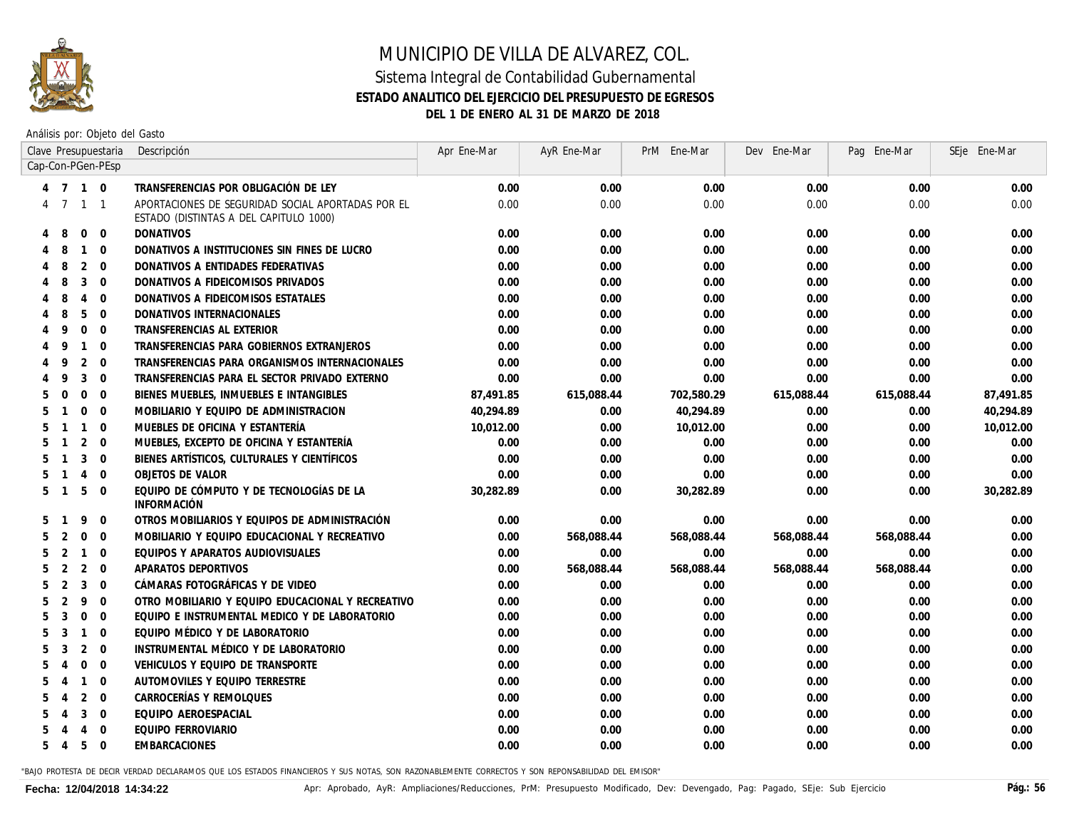

Análisis por: Objeto del Gasto

|                |              |                | Clave Presupuestaria | Descripción                                                                                 | Apr Ene-Mar | AyR Ene-Mar | PrM Ene-Mar | Dev Ene-Mar | Pag Ene-Mar | SEje Ene-Mar |
|----------------|--------------|----------------|----------------------|---------------------------------------------------------------------------------------------|-------------|-------------|-------------|-------------|-------------|--------------|
|                |              |                | Cap-Con-PGen-PEsp    |                                                                                             |             |             |             |             |             |              |
|                | 4 7 1 0      |                |                      | TRANSFERENCIAS POR OBLIGACIÓN DE LEY                                                        | 0.00        | 0.00        | 0.00        | 0.00        | 0.00        | 0.00         |
|                | 4 7 1 1      |                |                      | APORTACIONES DE SEGURIDAD SOCIAL APORTADAS POR EL<br>ESTADO (DISTINTAS A DEL CAPITULO 1000) | 0.00        | 0.00        | 0.00        | 0.00        | 0.00        | 0.00         |
| 4              | 8            | $\mathbf 0$    | $\overline{0}$       | <b>DONATIVOS</b>                                                                            | 0.00        | 0.00        | 0.00        | 0.00        | 0.00        | 0.00         |
|                | 8            | $\mathbf{1}$   | $\overline{0}$       | DONATIVOS A INSTITUCIONES SIN FINES DE LUCRO                                                | 0.00        | 0.00        | 0.00        | 0.00        | 0.00        | 0.00         |
|                | 8            | 2              | $\Omega$             | DONATIVOS A ENTIDADES FEDERATIVAS                                                           | 0.00        | 0.00        | 0.00        | 0.00        | 0.00        | 0.00         |
|                | 8            | 3              | $\Omega$             | DONATIVOS A FIDEICOMISOS PRIVADOS                                                           | 0.00        | 0.00        | 0.00        | 0.00        | 0.00        | 0.00         |
|                | 8            | $\overline{4}$ | $\mathbf{0}$         | DONATIVOS A FIDEICOMISOS ESTATALES                                                          | 0.00        | 0.00        | 0.00        | 0.00        | 0.00        | 0.00         |
|                | 8            | 5              | $\overline{0}$       | DONATIVOS INTERNACIONALES                                                                   | 0.00        | 0.00        | 0.00        | 0.00        | 0.00        | 0.00         |
|                | q            | $\mathbf{0}$   | $\overline{0}$       | TRANSFERENCIAS AL EXTERIOR                                                                  | 0.00        | 0.00        | 0.00        | 0.00        | 0.00        | 0.00         |
|                | 9            | $\mathbf{1}$   | $\Omega$             | TRANSFERENCIAS PARA GOBIERNOS EXTRANJEROS                                                   | 0.00        | 0.00        | 0.00        | 0.00        | 0.00        | 0.00         |
|                | 9            | 2              | $\Omega$             | TRANSFERENCIAS PARA ORGANISMOS INTERNACIONALES                                              | 0.00        | 0.00        | 0.00        | 0.00        | 0.00        | 0.00         |
|                | 9            | 3              | $\overline{0}$       | TRANSFERENCIAS PARA EL SECTOR PRIVADO EXTERNO                                               | 0.00        | 0.00        | 0.00        | 0.00        | 0.00        | 0.00         |
| 5              | $\Omega$     | $\mathbf 0$    | $\overline{0}$       | BIENES MUEBLES, INMUEBLES E INTANGIBLES                                                     | 87,491.85   | 615,088.44  | 702,580.29  | 615,088.44  | 615,088.44  | 87,491.85    |
| 5              |              | $\mathbf 0$    | $\overline{0}$       | MOBILIARIO Y EQUIPO DE ADMINISTRACION                                                       | 40,294.89   | 0.00        | 40,294.89   | 0.00        | 0.00        | 40,294.89    |
| 5              |              | $\mathbf{1}$   | $\Omega$             | MUEBLES DE OFICINA Y ESTANTERÍA                                                             | 10,012.00   | 0.00        | 10,012.00   | 0.00        | 0.00        | 10,012.00    |
| 5              |              | 2              | $\Omega$             | MUEBLES, EXCEPTO DE OFICINA Y ESTANTERÍA                                                    | 0.00        | 0.00        | 0.00        | 0.00        | 0.00        | 0.00         |
| 5              |              | 3              | $\overline{0}$       | BIENES ARTÍSTICOS, CULTURALES Y CIENTÍFICOS                                                 | 0.00        | 0.00        | 0.00        | 0.00        | 0.00        | 0.00         |
| 5              |              | $\overline{4}$ | $\overline{0}$       | OBJETOS DE VALOR                                                                            | 0.00        | 0.00        | 0.00        | 0.00        | 0.00        | 0.00         |
| 5 <sup>5</sup> | $\mathbf{1}$ | 5              | $\Omega$             | EQUIPO DE CÓMPUTO Y DE TECNOLOGÍAS DE LA<br><b>INFORMACIÓN</b>                              | 30,282.89   | 0.00        | 30,282.89   | 0.00        | 0.00        | 30,282.89    |
| 5              |              | 9              | $\Omega$             | OTROS MOBILIARIOS Y EQUIPOS DE ADMINISTRACIÓN                                               | 0.00        | 0.00        | 0.00        | 0.00        | 0.00        | 0.00         |
| 5              | 2            | $\mathbf 0$    | $\Omega$             | MOBILIARIO Y EQUIPO EDUCACIONAL Y RECREATIVO                                                | 0.00        | 568,088.44  | 568,088.44  | 568,088.44  | 568,088.44  | 0.00         |
| 5              | 2            | $\mathbf{1}$   | $\overline{0}$       | EQUIPOS Y APARATOS AUDIOVISUALES                                                            | 0.00        | 0.00        | 0.00        | 0.00        | 0.00        | 0.00         |
| 5              | 2            | $\overline{2}$ | $\Omega$             | APARATOS DEPORTIVOS                                                                         | 0.00        | 568,088.44  | 568,088.44  | 568,088.44  | 568,088.44  | 0.00         |
| 5              | 2            | 3              | $\Omega$             | CÁMARAS FOTOGRÁFICAS Y DE VIDEO                                                             | 0.00        | 0.00        | 0.00        | 0.00        | 0.00        | 0.00         |
| 5              | 2            | 9              | $\mathbf{0}$         | OTRO MOBILIARIO Y EQUIPO EDUCACIONAL Y RECREATIVO                                           | 0.00        | 0.00        | 0.00        | 0.00        | 0.00        | 0.00         |
| 5              | 3            | $\mathbf 0$    | $\overline{0}$       | EQUIPO E INSTRUMENTAL MEDICO Y DE LABORATORIO                                               | 0.00        | 0.00        | 0.00        | 0.00        | 0.00        | 0.00         |
| 5              | 3            | $\mathbf{1}$   | $\Omega$             | EQUIPO MÉDICO Y DE LABORATORIO                                                              | 0.00        | 0.00        | 0.00        | 0.00        | 0.00        | 0.00         |
| 5              | 3            | 2              | $\Omega$             | INSTRUMENTAL MÉDICO Y DE LABORATORIO                                                        | 0.00        | 0.00        | 0.00        | 0.00        | 0.00        | 0.00         |
| 5              | 4            | $\Omega$       | $\Omega$             | VEHICULOS Y EQUIPO DE TRANSPORTE                                                            | 0.00        | 0.00        | 0.00        | 0.00        | 0.00        | 0.00         |
| 5              | 4            | $\mathbf{1}$   | $\mathbf{0}$         | AUTOMOVILES Y EQUIPO TERRESTRE                                                              | $0.00\,$    | 0.00        | 0.00        | 0.00        | 0.00        | 0.00         |
| 5              |              | 2              | $\overline{0}$       | CARROCERÍAS Y REMOLQUES                                                                     | 0.00        | 0.00        | 0.00        | 0.00        | 0.00        | 0.00         |
|                |              | 3              | $\overline{0}$       | EQUIPO AEROESPACIAL                                                                         | 0.00        | 0.00        | 0.00        | 0.00        | 0.00        | 0.00         |
|                |              | 4              | $\Omega$             | EQUIPO FERROVIARIO                                                                          | 0.00        | 0.00        | 0.00        | 0.00        | 0.00        | 0.00         |
| 5              | 4            | 5              | $\mathbf{0}$         | EMBARCACIONES                                                                               | 0.00        | 0.00        | 0.00        | 0.00        | 0.00        | 0.00         |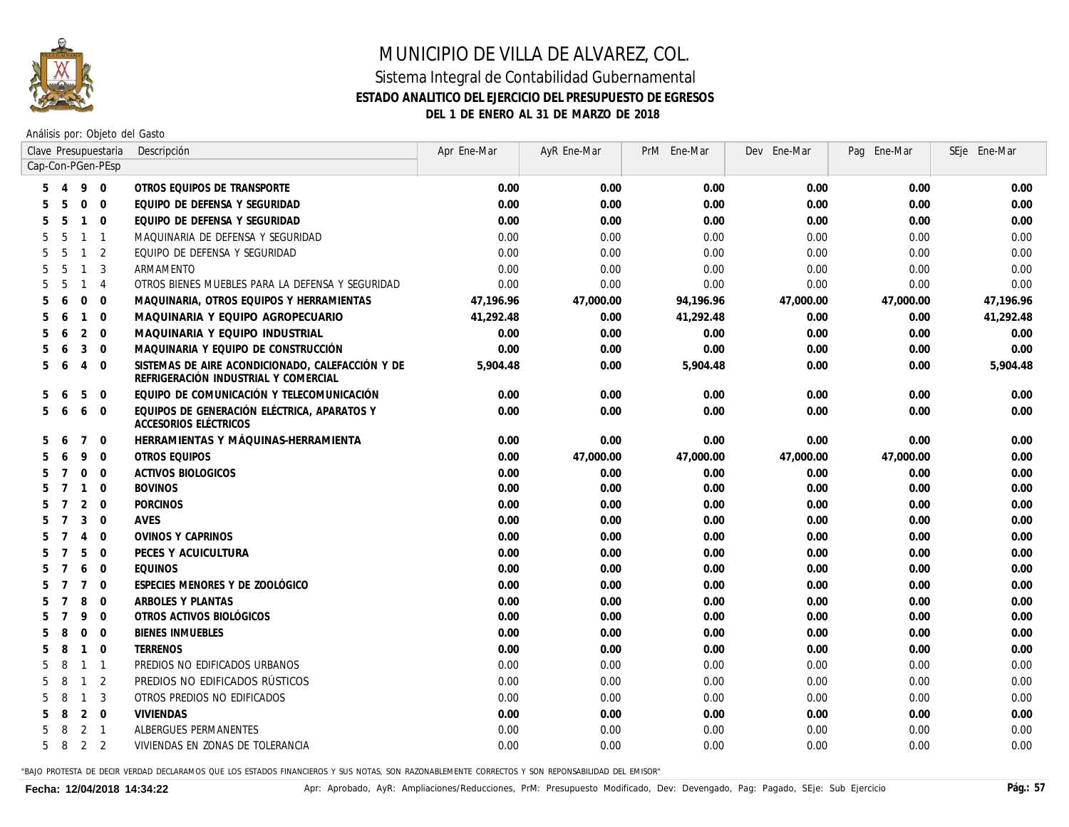

Análisis por: Objeto del Gasto

|                   |                |                | Clave Presupuestaria | Descripción                                                                              | Apr Ene-Mar | AyR Ene-Mar | PrM Ene-Mar | Dev Ene-Mar | Pag Ene-Mar | SEje Ene-Mar |
|-------------------|----------------|----------------|----------------------|------------------------------------------------------------------------------------------|-------------|-------------|-------------|-------------|-------------|--------------|
| Cap-Con-PGen-PEsp |                |                |                      |                                                                                          |             |             |             |             |             |              |
|                   | $\overline{4}$ | 9              | $\Omega$             | OTROS EQUIPOS DE TRANSPORTE                                                              | 0.00        | 0.00        | 0.00        | 0.00        | 0.00        | 0.00         |
|                   | 5              | $\mathbf 0$    | $\overline{0}$       | EQUIPO DE DEFENSA Y SEGURIDAD                                                            | 0.00        | 0.00        | 0.00        | 0.00        | 0.00        | 0.00         |
|                   | .5             | $\mathbf{1}$   | $\overline{0}$       | EQUIPO DE DEFENSA Y SEGURIDAD                                                            | 0.00        | 0.00        | 0.00        | 0.00        | 0.00        | 0.00         |
|                   | 5              | $\mathbf{1}$   | $\overline{1}$       | MAQUINARIA DE DEFENSA Y SEGURIDAD                                                        | 0.00        | 0.00        | 0.00        | 0.00        | 0.00        | 0.00         |
|                   | 5              | $\mathbf{1}$   | $\overline{2}$       | EQUIPO DE DEFENSA Y SEGURIDAD                                                            | 0.00        | 0.00        | 0.00        | 0.00        | 0.00        | 0.00         |
|                   | .5             | $\mathbf{1}$   | 3                    | ARMAMENTO                                                                                | 0.00        | 0.00        | 0.00        | 0.00        | 0.00        | 0.00         |
| 5                 | 5              | $\mathbf{1}$   | $\overline{4}$       | OTROS BIENES MUEBLES PARA LA DEFENSA Y SEGURIDAD                                         | 0.00        | 0.00        | 0.00        | 0.00        | 0.00        | 0.00         |
|                   | 6              | $\Omega$       | $\Omega$             | MAQUINARIA, OTROS EQUIPOS Y HERRAMIENTAS                                                 | 47,196.96   | 47,000.00   | 94,196.96   | 47,000.00   | 47,000.00   | 47,196.96    |
|                   | 6              | $\mathbf{1}$   | $\overline{0}$       | MAQUINARIA Y EQUIPO AGROPECUARIO                                                         | 41,292.48   | 0.00        | 41,292.48   | 0.00        | 0.00        | 41,292.48    |
|                   | 6              | $\overline{2}$ | $\overline{0}$       | MAQUINARIA Y EQUIPO INDUSTRIAL                                                           | 0.00        | 0.00        | 0.00        | 0.00        | 0.00        | 0.00         |
|                   | 6              | 3              | $\Omega$             | MAQUINARIA Y EQUIPO DE CONSTRUCCIÓN                                                      | 0.00        | 0.00        | 0.00        | 0.00        | 0.00        | 0.00         |
| 5                 | 6              | $\overline{4}$ | $\Omega$             | SISTEMAS DE AIRE ACONDICIONADO, CALEFACCIÓN Y DE<br>REFRIGERACIÓN INDUSTRIAL Y COMERCIAL | 5,904.48    | 0.00        | 5,904.48    | 0.00        | 0.00        | 5,904.48     |
| 5                 |                | 5              | $\mathbf 0$          | EQUIPO DE COMUNICACIÓN Y TELECOMUNICACIÓN                                                | 0.00        | 0.00        | 0.00        | 0.00        | 0.00        | 0.00         |
| 5                 | -6             | 6              | $\Omega$             | EQUIPOS DE GENERACIÓN ELÉCTRICA, APARATOS Y<br>ACCESORIOS ELÉCTRICOS                     | 0.00        | 0.00        | 0.00        | 0.00        | 0.00        | 0.00         |
| 5                 | -6             | $\overline{7}$ | $\overline{0}$       | HERRAMIENTAS Y MÁQUINAS-HERRAMIENTA                                                      | 0.00        | 0.00        | 0.00        | 0.00        | 0.00        | 0.00         |
|                   |                | 9              | $\mathbf{0}$         | OTROS EQUIPOS                                                                            | 0.00        | 47,000.00   | 47,000.00   | 47,000.00   | 47,000.00   | 0.00         |
|                   |                | $\Omega$       | $\Omega$             | <b>ACTIVOS BIOLOGICOS</b>                                                                | 0.00        | 0.00        | 0.00        | 0.00        | 0.00        | 0.00         |
|                   |                | $\mathbf{1}$   | $\overline{0}$       | <b>BOVINOS</b>                                                                           | 0.00        | 0.00        | 0.00        | 0.00        | 0.00        | 0.00         |
|                   |                | $\overline{2}$ | $\overline{0}$       | <b>PORCINOS</b>                                                                          | 0.00        | 0.00        | 0.00        | 0.00        | 0.00        | 0.00         |
|                   |                | 3              | $\Omega$             | AVES                                                                                     | 0.00        | 0.00        | 0.00        | 0.00        | 0.00        | 0.00         |
|                   |                | $\overline{4}$ | $\mathbf{0}$         | <b>OVINOS Y CAPRINOS</b>                                                                 | 0.00        | 0.00        | 0.00        | 0.00        | 0.00        | 0.00         |
|                   |                | 5              | $\overline{0}$       | PECES Y ACUICULTURA                                                                      | 0.00        | 0.00        | 0.00        | 0.00        | 0.00        | 0.00         |
|                   |                | 6              | $\overline{0}$       | <b>EQUINOS</b>                                                                           | 0.00        | 0.00        | 0.00        | 0.00        | 0.00        | 0.00         |
|                   |                | $\overline{7}$ | $\Omega$             | ESPECIES MENORES Y DE ZOOLÓGICO                                                          | 0.00        | 0.00        | 0.00        | 0.00        | 0.00        | 0.00         |
|                   |                | 8              | $\overline{0}$       | ARBOLES Y PLANTAS                                                                        | 0.00        | 0.00        | 0.00        | 0.00        | 0.00        | 0.00         |
|                   |                | 9              | $\overline{0}$       | OTROS ACTIVOS BIOLÓGICOS                                                                 | 0.00        | 0.00        | 0.00        | 0.00        | 0.00        | 0.00         |
|                   | 8              | $\Omega$       | $\Omega$             | <b>BIENES INMUEBLES</b>                                                                  | 0.00        | 0.00        | 0.00        | 0.00        | 0.00        | 0.00         |
|                   | 8              | $\mathbf{1}$   | $\overline{0}$       | <b>TERRENOS</b>                                                                          | 0.00        | 0.00        | 0.00        | 0.00        | 0.00        | 0.00         |
|                   | 8              | $\mathbf{1}$   | $\overline{1}$       | PREDIOS NO EDIFICADOS URBANOS                                                            | 0.00        | 0.00        | 0.00        | 0.00        | 0.00        | 0.00         |
|                   | 8              | $\mathbf{1}$   | 2                    | PREDIOS NO EDIFICADOS RÚSTICOS                                                           | 0.00        | 0.00        | 0.00        | 0.00        | 0.00        | 0.00         |
|                   | 8              | $\mathbf{1}$   | 3                    | OTROS PREDIOS NO EDIFICADOS                                                              | 0.00        | 0.00        | 0.00        | 0.00        | 0.00        | 0.00         |
|                   | 8              |                | $2 \quad 0$          | <b>VIVIENDAS</b>                                                                         | 0.00        | 0.00        | 0.00        | 0.00        | 0.00        | 0.00         |
|                   | 8              | 2 <sub>1</sub> |                      | ALBERGUES PERMANENTES                                                                    | 0.00        | 0.00        | 0.00        | 0.00        | 0.00        | 0.00         |
| 5                 | 8              | 2 <sub>2</sub> |                      | VIVIENDAS EN ZONAS DE TOLERANCIA                                                         | 0.00        | 0.00        | 0.00        | 0.00        | 0.00        | 0.00         |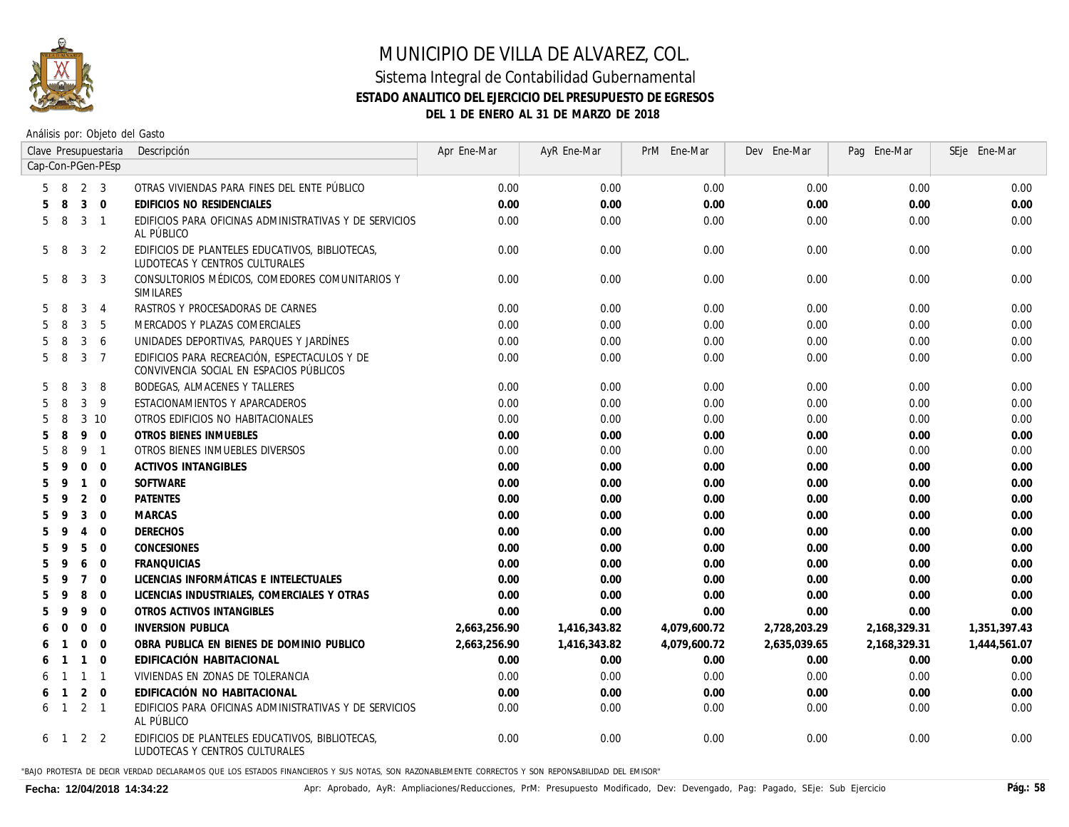

#### Sistema Integral de Contabilidad Gubernamental **ESTADO ANALITICO DEL EJERCICIO DEL PRESUPUESTO DE EGRESOS DEL 1 DE ENERO AL 31 DE MARZO DE 2018**

Análisis por: Objeto del Gasto

|    |                |                | Clave Presupuestaria | Descripción                                                                             | Apr Ene-Mar  | AyR Ene-Mar  | PrM Ene-Mar  | Dev Ene-Mar  | Pag Ene-Mar  | SEje Ene-Mar |
|----|----------------|----------------|----------------------|-----------------------------------------------------------------------------------------|--------------|--------------|--------------|--------------|--------------|--------------|
|    |                |                | Cap-Con-PGen-PEsp    |                                                                                         |              |              |              |              |              |              |
| 5  | -8             | 2              | 3                    | OTRAS VIVIENDAS PARA FINES DEL ENTE PÚBLICO                                             | 0.00         | 0.00         | 0.00         | 0.00         | 0.00         | 0.00         |
|    | 8              | $\mathbf{3}$   | $\overline{0}$       | EDIFICIOS NO RESIDENCIALES                                                              | 0.00         | 0.00         | 0.00         | 0.00         | 0.00         | 0.00         |
| 5  | -8             | 3              | $\overline{1}$       | EDIFICIOS PARA OFICINAS ADMINISTRATIVAS Y DE SERVICIOS<br>AL PÚBLICO                    | 0.00         | 0.00         | 0.00         | 0.00         | 0.00         | 0.00         |
| 5  | -8             | $\mathbf{3}$   | 2                    | EDIFICIOS DE PLANTELES EDUCATIVOS, BIBLIOTECAS,<br>LUDOTECAS Y CENTROS CULTURALES       | 0.00         | 0.00         | 0.00         | 0.00         | 0.00         | 0.00         |
| 5  | -8             | 3              | 3                    | CONSULTORIOS MÉDICOS, COMEDORES COMUNITARIOS Y<br>SIMILARES                             | 0.00         | 0.00         | 0.00         | 0.00         | 0.00         | 0.00         |
|    | 8              | 3              | $\overline{4}$       | RASTROS Y PROCESADORAS DE CARNES                                                        | 0.00         | 0.00         | 0.00         | 0.00         | 0.00         | 0.00         |
|    | 8              | 3              | 5                    | MERCADOS Y PLAZAS COMERCIALES                                                           | 0.00         | 0.00         | 0.00         | 0.00         | 0.00         | 0.00         |
|    | 8              | 3              | 6                    | UNIDADES DEPORTIVAS, PARQUES Y JARDÍNES                                                 | 0.00         | 0.00         | 0.00         | 0.00         | 0.00         | 0.00         |
| 5  | 8              | 3              | $\overline{7}$       | EDIFICIOS PARA RECREACIÓN, ESPECTACULOS Y DE<br>CONVIVENCIA SOCIAL EN ESPACIOS PÚBLICOS | 0.00         | 0.00         | 0.00         | 0.00         | 0.00         | 0.00         |
|    | 8              | 3              | 8                    | BODEGAS, ALMACENES Y TALLERES                                                           | 0.00         | 0.00         | 0.00         | 0.00         | 0.00         | 0.00         |
|    | 8              | 3              | 9                    | ESTACIONAMIENTOS Y APARCADEROS                                                          | 0.00         | 0.00         | 0.00         | 0.00         | 0.00         | 0.00         |
|    | 8              |                | $3 \t10$             | OTROS EDIFICIOS NO HABITACIONALES                                                       | 0.00         | 0.00         | 0.00         | 0.00         | 0.00         | 0.00         |
| 5  | 8              | 9              | $\mathbf 0$          | OTROS BIENES INMUEBLES                                                                  | 0.00         | 0.00         | 0.00         | 0.00         | 0.00         | 0.00         |
| 5  | 8              | 9              | $\overline{1}$       | OTROS BIENES INMUEBLES DIVERSOS                                                         | 0.00         | 0.00         | 0.00         | 0.00         | 0.00         | 0.00         |
| 5  | 9              | $\mathbf{0}$   | $\Omega$             | <b>ACTIVOS INTANGIBLES</b>                                                              | 0.00         | 0.00         | 0.00         | 0.00         | 0.00         | 0.00         |
| 5  | 9              | $\overline{1}$ | $\mathbf 0$          | SOFTWARE                                                                                | 0.00         | 0.00         | 0.00         | 0.00         | 0.00         | 0.00         |
| 5  | 9              | 2              | $\Omega$             | <b>PATENTES</b>                                                                         | 0.00         | 0.00         | 0.00         | 0.00         | 0.00         | 0.00         |
|    | 9              | 3              | $\mathbf 0$          | <b>MARCAS</b>                                                                           | 0.00         | 0.00         | 0.00         | 0.00         | 0.00         | 0.00         |
| 5  | 9              | 4              | $\mathbf 0$          | <b>DERECHOS</b>                                                                         | 0.00         | 0.00         | 0.00         | 0.00         | 0.00         | 0.00         |
| 5  | 9              | 5              | $\mathbf 0$          | <b>CONCESIONES</b>                                                                      | 0.00         | 0.00         | 0.00         | 0.00         | 0.00         | 0.00         |
| 5  | 9              | 6              | $\Omega$             | <b>FRANQUICIAS</b>                                                                      | 0.00         | 0.00         | 0.00         | 0.00         | 0.00         | 0.00         |
| .5 | 9              | $\overline{7}$ | $\mathbf 0$          | LICENCIAS INFORMÁTICAS E INTELECTUALES                                                  | 0.00         | 0.00         | 0.00         | 0.00         | 0.00         | 0.00         |
|    | 9              | 8              | $\mathbf 0$          | LICENCIAS INDUSTRIALES, COMERCIALES Y OTRAS                                             | 0.00         | 0.00         | 0.00         | 0.00         | 0.00         | 0.00         |
|    | 9              | 9              | $\Omega$             | OTROS ACTIVOS INTANGIBLES                                                               | 0.00         | 0.00         | 0.00         | 0.00         | 0.00         | 0.00         |
|    | $\Omega$       | $\Omega$       | $\Omega$             | <b>INVERSION PUBLICA</b>                                                                | 2,663,256.90 | 1,416,343.82 | 4,079,600.72 | 2,728,203.29 | 2,168,329.31 | 1,351,397.43 |
|    |                | $\mathbf 0$    | $\mathbf{0}$         | OBRA PUBLICA EN BIENES DE DOMINIO PUBLICO                                               | 2,663,256.90 | 1,416,343.82 | 4,079,600.72 | 2,635,039.65 | 2,168,329.31 | 1,444,561.07 |
| 6  |                | $\overline{1}$ | $\mathbf 0$          | EDIFICACIÓN HABITACIONAL                                                                | 0.00         | 0.00         | 0.00         | 0.00         | 0.00         | 0.00         |
| 6  |                | $\overline{1}$ | $\overline{1}$       | VIVIENDAS EN ZONAS DE TOLERANCIA                                                        | 0.00         | 0.00         | 0.00         | 0.00         | 0.00         | 0.00         |
| 6  | $\overline{1}$ | 2              | $\Omega$             | EDIFICACIÓN NO HABITACIONAL                                                             | 0.00         | 0.00         | 0.00         | 0.00         | 0.00         | 0.00         |
| 6  | $\overline{1}$ | $2 \quad 1$    |                      | EDIFICIOS PARA OFICINAS ADMINISTRATIVAS Y DE SERVICIOS<br>AL PÚBLICO                    | 0.00         | 0.00         | 0.00         | 0.00         | 0.00         | 0.00         |
|    | 6 1            | 2 2            |                      | EDIFICIOS DE PLANTELES EDUCATIVOS. BIBLIOTECAS.<br>LUDOTECAS Y CENTROS CULTURALES       | 0.00         | 0.00         | 0.00         | 0.00         | 0.00         | 0.00         |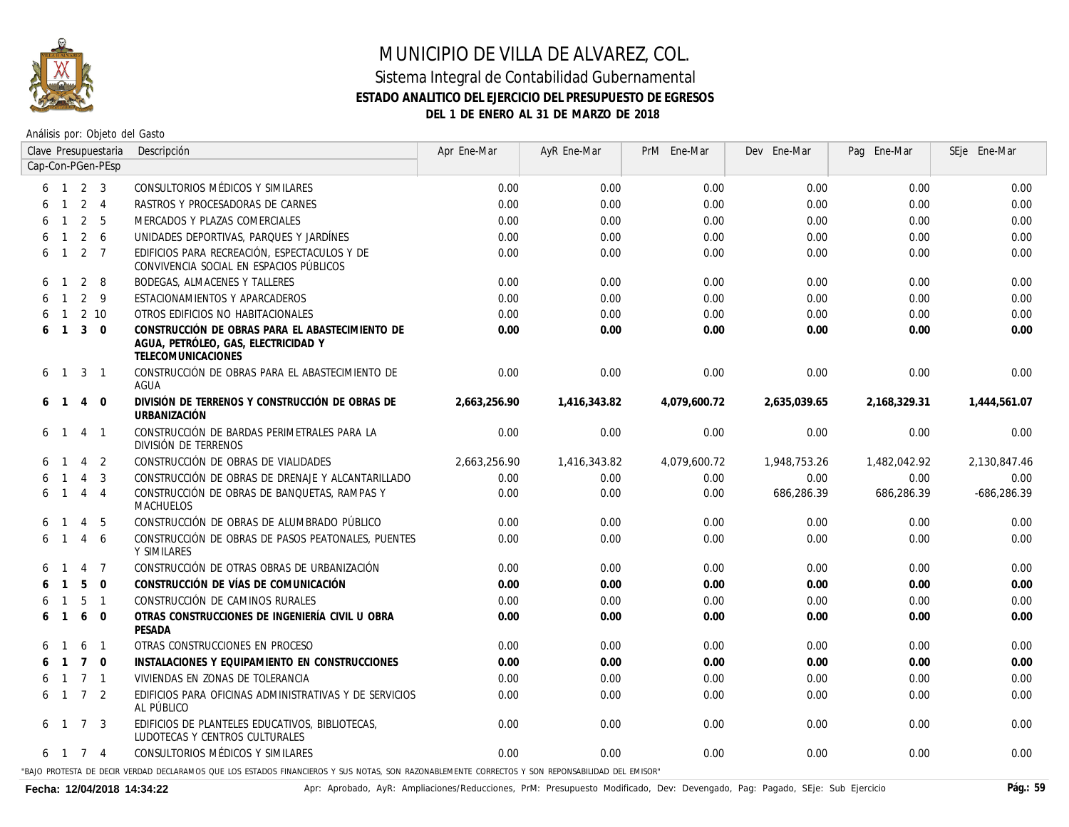

Análisis por: Objeto del Gasto

| Clave Presupuestaria                  | Descripción                                                                                                                                      | Apr Ene-Mar  | AyR Ene-Mar  | PrM Ene-Mar  | Dev Ene-Mar  | Pag Ene-Mar  | SEje Ene-Mar |
|---------------------------------------|--------------------------------------------------------------------------------------------------------------------------------------------------|--------------|--------------|--------------|--------------|--------------|--------------|
| Cap-Con-PGen-PEsp                     |                                                                                                                                                  |              |              |              |              |              |              |
| 2 <sup>3</sup><br>$\overline{1}$<br>6 | CONSULTORIOS MÉDICOS Y SIMILARES                                                                                                                 | 0.00         | 0.00         | 0.00         | 0.00         | 0.00         | 0.00         |
| 2 <sub>1</sub><br>6                   | RASTROS Y PROCESADORAS DE CARNES                                                                                                                 | 0.00         | 0.00         | 0.00         | 0.00         | 0.00         | 0.00         |
| 2 <sub>5</sub><br>6                   | MERCADOS Y PLAZAS COMERCIALES                                                                                                                    | 0.00         | 0.00         | 0.00         | 0.00         | 0.00         | 0.00         |
| $2\overline{6}$<br>6<br>$\mathbf{1}$  | UNIDADES DEPORTIVAS, PARQUES Y JARDÍNES                                                                                                          | 0.00         | 0.00         | 0.00         | 0.00         | 0.00         | 0.00         |
| 2 <sub>7</sub><br>$\overline{1}$<br>6 | EDIFICIOS PARA RECREACIÓN. ESPECTACULOS Y DE<br>CONVIVENCIA SOCIAL EN ESPACIOS PÚBLICOS                                                          | 0.00         | 0.00         | 0.00         | 0.00         | 0.00         | 0.00         |
| 2 8<br>6<br>-1                        | <b>BODEGAS, ALMACENES Y TALLERES</b>                                                                                                             | 0.00         | 0.00         | 0.00         | 0.00         | 0.00         | 0.00         |
| $2 \quad 9$<br>$\mathbf{1}$<br>6      | ESTACIONAMIENTOS Y APARCADEROS                                                                                                                   | 0.00         | 0.00         | 0.00         | 0.00         | 0.00         | 0.00         |
| 2 <sub>10</sub><br>6<br>$\mathbf{1}$  | OTROS EDIFICIOS NO HABITACIONALES                                                                                                                | 0.00         | 0.00         | 0.00         | 0.00         | 0.00         | 0.00         |
| $3 \quad 0$<br>6<br>$\overline{1}$    | CONSTRUCCIÓN DE OBRAS PARA EL ABASTECIMIENTO DE<br>AGUA, PETRÓLEO, GAS, ELECTRICIDAD Y<br>TELECOMUNICACIONES                                     | 0.00         | 0.00         | 0.00         | 0.00         | 0.00         | 0.00         |
| 3 <sub>1</sub><br>6<br>$\overline{1}$ | CONSTRUCCIÓN DE OBRAS PARA EL ABASTECIMIENTO DE<br>AGUA                                                                                          | 0.00         | 0.00         | 0.00         | 0.00         | 0.00         | 0.00         |
| 4 0<br>6<br>-1                        | DIVISIÓN DE TERRENOS Y CONSTRUCCIÓN DE OBRAS DE<br><b>URBANIZACIÓN</b>                                                                           | 2,663,256.90 | 1,416,343.82 | 4,079,600.72 | 2,635,039.65 | 2,168,329.31 | 1,444,561.07 |
| 4 1<br>6                              | CONSTRUCCIÓN DE BARDAS PERIMETRALES PARA LA<br>DIVISIÓN DE TERRENOS                                                                              | 0.00         | 0.00         | 0.00         | 0.00         | 0.00         | 0.00         |
| 4 2                                   | CONSTRUCCIÓN DE OBRAS DE VIALIDADES                                                                                                              | 2,663,256.90 | 1,416,343.82 | 4,079,600.72 | 1,948,753.26 | 1,482,042.92 | 2,130,847.46 |
| $\overline{3}$<br>4                   | CONSTRUCCIÓN DE OBRAS DE DRENAJE Y ALCANTARILLADO                                                                                                | 0.00         | 0.00         | 0.00         | 0.00         | 0.00         | 0.00         |
| 4 4<br>$\mathbf{1}$<br>6              | CONSTRUCCIÓN DE OBRAS DE BANQUETAS, RAMPAS Y<br><b>MACHUELOS</b>                                                                                 | 0.00         | 0.00         | 0.00         | 686,286.39   | 686,286.39   | -686,286.39  |
| $-5$<br>4<br>6<br>-1                  | CONSTRUCCIÓN DE OBRAS DE ALUMBRADO PÚBLICO                                                                                                       | 0.00         | 0.00         | 0.00         | 0.00         | 0.00         | 0.00         |
| 4 6<br>6                              | CONSTRUCCIÓN DE OBRAS DE PASOS PEATONALES, PUENTES<br>Y SIMILARES                                                                                | 0.00         | 0.00         | 0.00         | 0.00         | 0.00         | 0.00         |
| $\overline{4}$<br>$\overline{7}$<br>6 | CONSTRUCCIÓN DE OTRAS OBRAS DE URBANIZACIÓN                                                                                                      | 0.00         | 0.00         | 0.00         | 0.00         | 0.00         | 0.00         |
| $5 \quad 0$<br>6                      | CONSTRUCCIÓN DE VÍAS DE COMUNICACIÓN                                                                                                             | 0.00         | 0.00         | 0.00         | 0.00         | 0.00         | 0.00         |
| 5 <sub>1</sub><br>6                   | CONSTRUCCIÓN DE CAMINOS RURALES                                                                                                                  | 0.00         | 0.00         | 0.00         | 0.00         | 0.00         | 0.00         |
| 6 0<br>6                              | OTRAS CONSTRUCCIONES DE INGENIERÍA CIVIL U OBRA<br>PESADA                                                                                        | 0.00         | 0.00         | 0.00         | 0.00         | 0.00         | 0.00         |
| 6 <sub>1</sub><br>6                   | OTRAS CONSTRUCCIONES EN PROCESO                                                                                                                  | 0.00         | 0.00         | 0.00         | 0.00         | 0.00         | 0.00         |
| $7\quad 0$<br>6                       | INSTALACIONES Y EQUIPAMIENTO EN CONSTRUCCIONES                                                                                                   | 0.00         | 0.00         | 0.00         | 0.00         | 0.00         | 0.00         |
| 7 <sub>1</sub><br>6<br>-1             | VIVIENDAS EN ZONAS DE TOLERANCIA                                                                                                                 | 0.00         | 0.00         | 0.00         | 0.00         | 0.00         | 0.00         |
| 7 <sup>2</sup><br>$\overline{1}$<br>6 | EDIFICIOS PARA OFICINAS ADMINISTRATIVAS Y DE SERVICIOS<br>AL PÚBLICO                                                                             | 0.00         | 0.00         | 0.00         | 0.00         | 0.00         | 0.00         |
| 7 3<br>6<br>$\overline{1}$            | EDIFICIOS DE PLANTELES EDUCATIVOS, BIBLIOTECAS,<br>LUDOTECAS Y CENTROS CULTURALES                                                                | 0.00         | 0.00         | 0.00         | 0.00         | 0.00         | 0.00         |
| 7 4<br>6 1                            | CONSULTORIOS MÉDICOS Y SIMILARES                                                                                                                 | 0.00         | 0.00         | 0.00         | 0.00         | 0.00         | 0.00         |
|                                       | "BAJO PROTESTA DE DECIR VERDAD DECLARAMOS QUE LOS ESTADOS FINANCIEROS Y SUS NOTAS, SON RAZONABLEMENTE CORRECTOS Y SON REPONSABILIDAD DEL EMISOR" |              |              |              |              |              |              |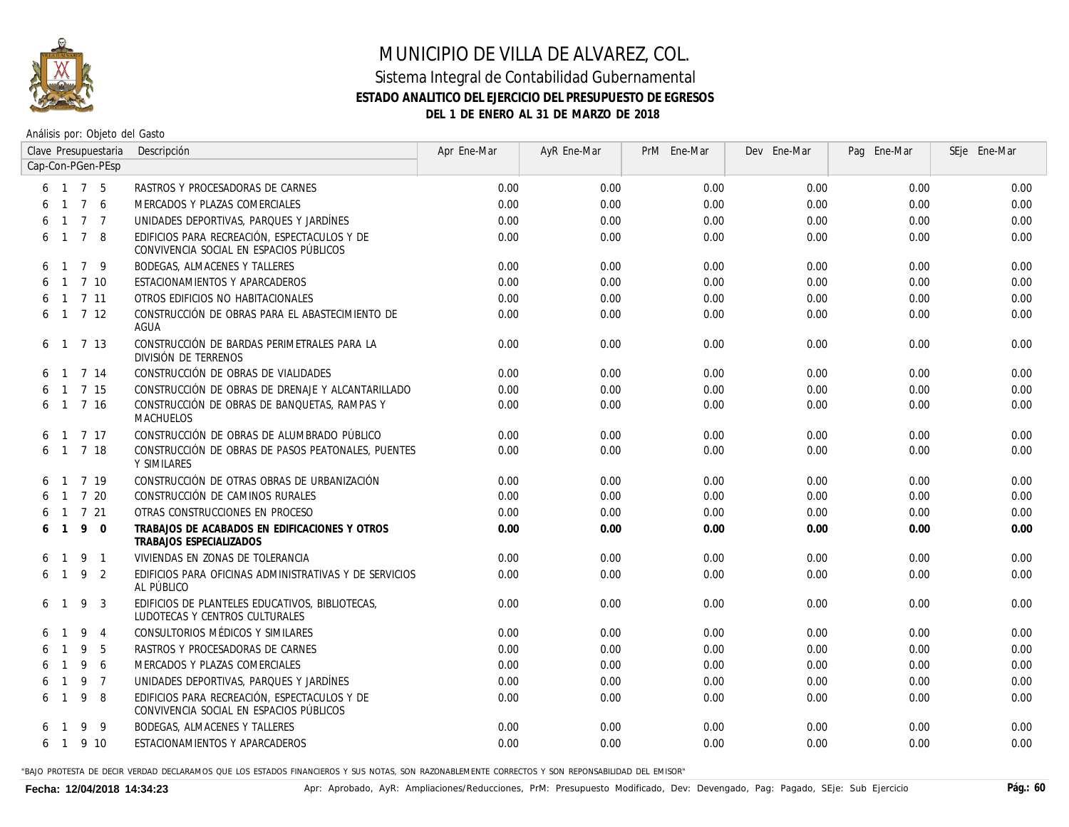

Análisis por: Objeto del Gasto

|    |                |                 | Clave Presupuestaria | Descripción                                                                             | Apr Ene-Mar | AyR Ene-Mar | PrM Ene-Mar | Dev Ene-Mar | Pag Ene-Mar | SEje Ene-Mar |
|----|----------------|-----------------|----------------------|-----------------------------------------------------------------------------------------|-------------|-------------|-------------|-------------|-------------|--------------|
|    |                |                 | Cap-Con-PGen-PEsp    |                                                                                         |             |             |             |             |             |              |
|    |                |                 | 6 1 7 5              | RASTROS Y PROCESADORAS DE CARNES                                                        | 0.00        | 0.00        | 0.00        | 0.00        | 0.00        | 0.00         |
|    |                | $1\quad 7$      | - 6                  | MERCADOS Y PLAZAS COMERCIALES                                                           | 0.00        | 0.00        | 0.00        | 0.00        | 0.00        | 0.00         |
|    | $\overline{1}$ |                 | 7 <sub>7</sub>       | UNIDADES DEPORTIVAS. PARQUES Y JARDÍNES                                                 | 0.00        | 0.00        | 0.00        | 0.00        | 0.00        | 0.00         |
|    | $\overline{1}$ | $7\overline{ }$ | - 8                  | EDIFICIOS PARA RECREACIÓN. ESPECTACULOS Y DE<br>CONVIVENCIA SOCIAL EN ESPACIOS PÚBLICOS | 0.00        | 0.00        | 0.00        | 0.00        | 0.00        | 0.00         |
| 6. | $\overline{1}$ | $\overline{7}$  | -9                   | <b>BODEGAS, ALMACENES Y TALLERES</b>                                                    | 0.00        | 0.00        | 0.00        | 0.00        | 0.00        | 0.00         |
|    | $\overline{1}$ |                 | 7 10                 | ESTACIONAMIENTOS Y APARCADEROS                                                          | 0.00        | 0.00        | 0.00        | 0.00        | 0.00        | 0.00         |
|    |                |                 | $6$ 1 7 11           | OTROS EDIFICIOS NO HABITACIONALES                                                       | 0.00        | 0.00        | 0.00        | 0.00        | 0.00        | 0.00         |
|    |                |                 | $6 \t1 \t7 \t12$     | CONSTRUCCIÓN DE OBRAS PARA EL ABASTECIMIENTO DE<br>AGUA                                 | 0.00        | 0.00        | 0.00        | 0.00        | 0.00        | 0.00         |
| 6  |                |                 | $1 \t7 \t13$         | CONSTRUCCIÓN DE BARDAS PERIMETRALES PARA LA<br>DIVISIÓN DE TERRENOS                     | 0.00        | 0.00        | 0.00        | 0.00        | 0.00        | 0.00         |
|    | $\overline{1}$ |                 | 7 14                 | CONSTRUCCIÓN DE OBRAS DE VIALIDADES                                                     | 0.00        | 0.00        | 0.00        | 0.00        | 0.00        | 0.00         |
|    | $\overline{1}$ |                 | 7 15                 | CONSTRUCCIÓN DE OBRAS DE DRENAJE Y ALCANTARILLADO                                       | 0.00        | 0.00        | 0.00        | 0.00        | 0.00        | 0.00         |
| 6  |                |                 | 1 7 16               | CONSTRUCCIÓN DE OBRAS DE BANQUETAS, RAMPAS Y<br>MACHUELOS                               | 0.00        | 0.00        | 0.00        | 0.00        | 0.00        | 0.00         |
| 6  | $\overline{1}$ |                 | 7 17                 | CONSTRUCCIÓN DE OBRAS DE ALUMBRADO PÚBLICO                                              | 0.00        | 0.00        | 0.00        | 0.00        | 0.00        | 0.00         |
| 6  | $\overline{1}$ |                 | 7 18                 | CONSTRUCCIÓN DE OBRAS DE PASOS PEATONALES, PUENTES<br>Y SIMILARES                       | 0.00        | 0.00        | 0.00        | 0.00        | 0.00        | 0.00         |
|    |                |                 | 1 7 19               | CONSTRUCCIÓN DE OTRAS OBRAS DE URBANIZACIÓN                                             | 0.00        | 0.00        | 0.00        | 0.00        | 0.00        | 0.00         |
|    |                |                 | 7 20                 | CONSTRUCCIÓN DE CAMINOS RURALES                                                         | 0.00        | 0.00        | 0.00        | 0.00        | 0.00        | 0.00         |
|    | $\overline{1}$ |                 | 7 21                 | OTRAS CONSTRUCCIONES EN PROCESO                                                         | 0.00        | 0.00        | 0.00        | 0.00        | 0.00        | 0.00         |
|    | $\mathbf{1}$   | 9               | $\Omega$             | TRABAJOS DE ACABADOS EN EDIFICACIONES Y OTROS<br><b>TRABAJOS ESPECIALIZADOS</b>         | 0.00        | 0.00        | 0.00        | 0.00        | 0.00        | 0.00         |
| 6  | $\overline{1}$ | 9               | $\overline{1}$       | VIVIENDAS EN ZONAS DE TOLERANCIA                                                        | 0.00        | 0.00        | 0.00        | 0.00        | 0.00        | 0.00         |
|    | 6 1            | 9               | -2                   | EDIFICIOS PARA OFICINAS ADMINISTRATIVAS Y DE SERVICIOS<br>AL PÚBLICO                    | 0.00        | 0.00        | 0.00        | 0.00        | 0.00        | 0.00         |
| 6  | $\overline{1}$ | 9               | 3                    | EDIFICIOS DE PLANTELES EDUCATIVOS, BIBLIOTECAS,<br>LUDOTECAS Y CENTROS CULTURALES       | 0.00        | 0.00        | 0.00        | 0.00        | 0.00        | 0.00         |
|    |                | 9               | $\overline{4}$       | CONSULTORIOS MÉDICOS Y SIMILARES                                                        | 0.00        | 0.00        | 0.00        | 0.00        | 0.00        | 0.00         |
|    |                | 9               | 5                    | RASTROS Y PROCESADORAS DE CARNES                                                        | 0.00        | 0.00        | 0.00        | 0.00        | 0.00        | 0.00         |
|    |                | 9               | 6                    | MERCADOS Y PLAZAS COMERCIALES                                                           | 0.00        | 0.00        | 0.00        | 0.00        | 0.00        | 0.00         |
|    |                | 9               | $\overline{7}$       | UNIDADES DEPORTIVAS, PARQUES Y JARDÍNES                                                 | 0.00        | 0.00        | 0.00        | 0.00        | 0.00        | 0.00         |
| 6  |                | 9               | 8                    | EDIFICIOS PARA RECREACIÓN. ESPECTACULOS Y DE<br>CONVIVENCIA SOCIAL EN ESPACIOS PÚBLICOS | 0.00        | 0.00        | 0.00        | 0.00        | 0.00        | 0.00         |
|    |                | 9               | - 9                  | <b>BODEGAS, ALMACENES Y TALLERES</b>                                                    | 0.00        | 0.00        | 0.00        | 0.00        | 0.00        | 0.00         |
|    | 6 1            |                 | 9 10                 | ESTACIONAMIENTOS Y APARCADEROS                                                          | 0.00        | 0.00        | 0.00        | 0.00        | 0.00        | 0.00         |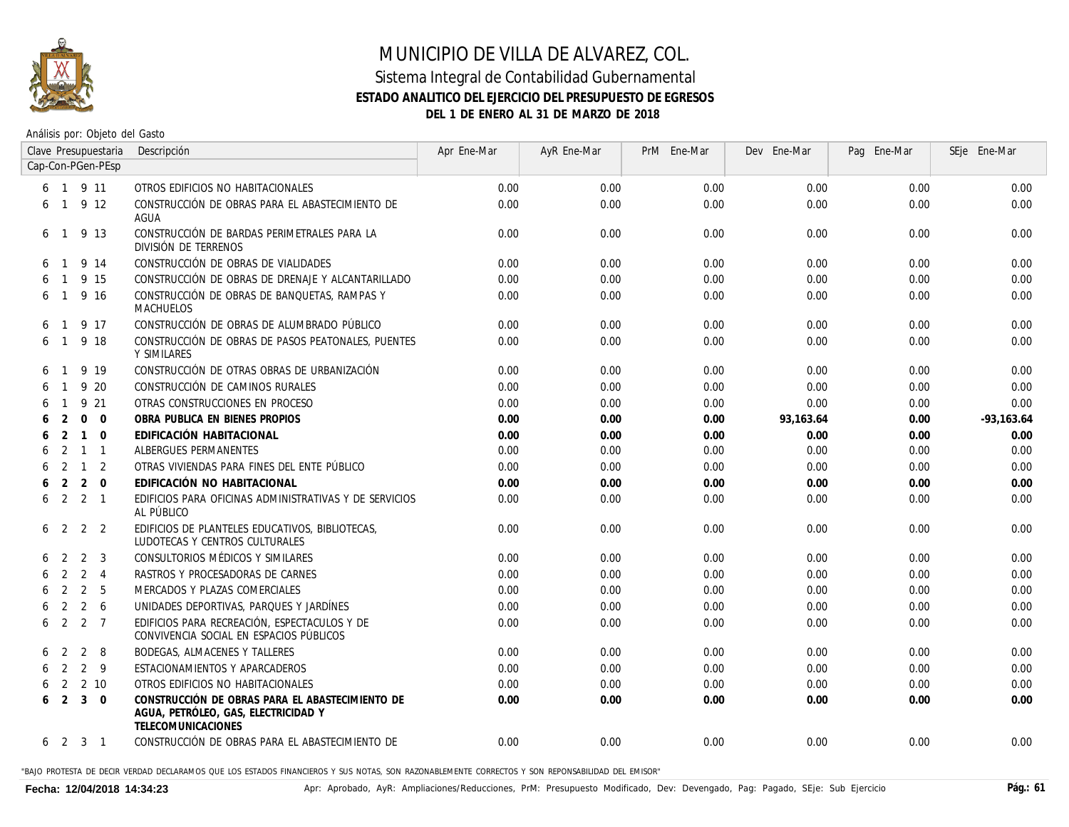

Análisis por: Objeto del Gasto

|   |                |                | Clave Presupuestaria | Descripción                                                                                                  | Apr Ene-Mar | AyR Ene-Mar | PrM Ene-Mar | Dev Ene-Mar | Pag Ene-Mar | SEje Ene-Mar |
|---|----------------|----------------|----------------------|--------------------------------------------------------------------------------------------------------------|-------------|-------------|-------------|-------------|-------------|--------------|
|   |                |                | Cap-Con-PGen-PEsp    |                                                                                                              |             |             |             |             |             |              |
|   |                |                | 6 1 9 11             | OTROS EDIFICIOS NO HABITACIONALES                                                                            | 0.00        | 0.00        | 0.00        | 0.00        | 0.00        | 0.00         |
| 6 |                |                | $1 \t9 \t12$         | CONSTRUCCIÓN DE OBRAS PARA EL ABASTECIMIENTO DE<br>AGUA                                                      | 0.00        | 0.00        | 0.00        | 0.00        | 0.00        | 0.00         |
| 6 | -1             |                | 9 13                 | CONSTRUCCIÓN DE BARDAS PERIMETRALES PARA LA<br>DIVISIÓN DE TERRENOS                                          | 0.00        | 0.00        | 0.00        | 0.00        | 0.00        | 0.00         |
| 6 |                |                | 9 14                 | CONSTRUCCIÓN DE OBRAS DE VIALIDADES                                                                          | 0.00        | 0.00        | 0.00        | 0.00        | 0.00        | 0.00         |
| 6 |                |                | 9 15                 | CONSTRUCCIÓN DE OBRAS DE DRENAJE Y ALCANTARILLADO                                                            | 0.00        | 0.00        | 0.00        | 0.00        | 0.00        | 0.00         |
| 6 | $\mathbf{1}$   |                | 9 16                 | CONSTRUCCIÓN DE OBRAS DE BANQUETAS, RAMPAS Y<br>MACHUELOS                                                    | 0.00        | 0.00        | 0.00        | 0.00        | 0.00        | 0.00         |
| 6 |                |                | 9 17                 | CONSTRUCCIÓN DE OBRAS DE ALUMBRADO PÚBLICO                                                                   | 0.00        | 0.00        | 0.00        | 0.00        | 0.00        | 0.00         |
| 6 |                |                | 9 18                 | CONSTRUCCIÓN DE OBRAS DE PASOS PEATONALES, PUENTES<br>Y SIMILARES                                            | 0.00        | 0.00        | 0.00        | 0.00        | 0.00        | 0.00         |
| 6 |                |                | 9 19                 | CONSTRUCCIÓN DE OTRAS OBRAS DE URBANIZACIÓN                                                                  | 0.00        | 0.00        | 0.00        | 0.00        | 0.00        | 0.00         |
|   |                |                | 9 20                 | CONSTRUCCIÓN DE CAMINOS RURALES                                                                              | 0.00        | 0.00        | 0.00        | 0.00        | 0.00        | 0.00         |
|   |                |                | 9 21                 | OTRAS CONSTRUCCIONES EN PROCESO                                                                              | 0.00        | 0.00        | 0.00        | 0.00        | 0.00        | 0.00         |
|   | 2              | $\mathbf{0}$   | $\overline{0}$       | OBRA PUBLICA EN BIENES PROPIOS                                                                               | 0.00        | 0.00        | 0.00        | 93,163.64   | 0.00        | $-93,163.64$ |
|   | 2              | $\mathbf{1}$   | $\mathbf 0$          | EDIFICACIÓN HABITACIONAL                                                                                     | 0.00        | 0.00        | 0.00        | 0.00        | 0.00        | 0.00         |
| 6 | 2              | $\mathbf{1}$   | $\overline{1}$       | ALBERGUES PERMANENTES                                                                                        | 0.00        | 0.00        | 0.00        | 0.00        | 0.00        | 0.00         |
| 6 | 2              | $\mathbf{1}$   | 2                    | OTRAS VIVIENDAS PARA FINES DEL ENTE PÚBLICO                                                                  | 0.00        | 0.00        | 0.00        | 0.00        | 0.00        | 0.00         |
| 6 | 2              | $\overline{2}$ | $\overline{0}$       | EDIFICACIÓN NO HABITACIONAL                                                                                  | 0.00        | 0.00        | 0.00        | 0.00        | 0.00        | 0.00         |
| 6 |                |                | $2 \quad 2 \quad 1$  | EDIFICIOS PARA OFICINAS ADMINISTRATIVAS Y DE SERVICIOS<br>AL PÚBLICO                                         | 0.00        | 0.00        | 0.00        | 0.00        | 0.00        | 0.00         |
| 6 | 2              | 2              | -2                   | EDIFICIOS DE PLANTELES EDUCATIVOS, BIBLIOTECAS,<br>LUDOTECAS Y CENTROS CULTURALES                            | 0.00        | 0.00        | 0.00        | 0.00        | 0.00        | 0.00         |
|   | $\mathcal{L}$  | 2              | 3                    | CONSULTORIOS MÉDICOS Y SIMILARES                                                                             | 0.00        | 0.00        | 0.00        | 0.00        | 0.00        | 0.00         |
|   | $\mathcal{L}$  | $\overline{2}$ | $\overline{4}$       | RASTROS Y PROCESADORAS DE CARNES                                                                             | 0.00        | 0.00        | 0.00        | 0.00        | 0.00        | 0.00         |
|   | 2              |                | 2 <sub>5</sub>       | MERCADOS Y PLAZAS COMERCIALES                                                                                | 0.00        | 0.00        | 0.00        | 0.00        | 0.00        | 0.00         |
| 6 | 2              | 2              | 6                    | UNIDADES DEPORTIVAS, PARQUES Y JARDÍNES                                                                      | 0.00        | 0.00        | 0.00        | 0.00        | 0.00        | 0.00         |
| 6 | 2              |                | 2 7                  | EDIFICIOS PARA RECREACIÓN. ESPECTACULOS Y DE<br>CONVIVENCIA SOCIAL EN ESPACIOS PÚBLICOS                      | 0.00        | 0.00        | 0.00        | 0.00        | 0.00        | 0.00         |
| 6 | 2              | 2              | -8                   | BODEGAS, ALMACENES Y TALLERES                                                                                | 0.00        | 0.00        | 0.00        | 0.00        | 0.00        | 0.00         |
|   | 2              | 2              | - 9                  | ESTACIONAMIENTOS Y APARCADEROS                                                                               | 0.00        | 0.00        | 0.00        | 0.00        | 0.00        | 0.00         |
|   | 2              |                | 2 <sub>10</sub>      | OTROS EDIFICIOS NO HABITACIONALES                                                                            | 0.00        | 0.00        | 0.00        | 0.00        | 0.00        | 0.00         |
| 6 | $\overline{2}$ | 3              | $\overline{0}$       | CONSTRUCCIÓN DE OBRAS PARA EL ABASTECIMIENTO DE<br>AGUA, PETRÓLEO, GAS, ELECTRICIDAD Y<br>TELECOMUNICACIONES | 0.00        | 0.00        | 0.00        | 0.00        | 0.00        | 0.00         |
| 6 | 2              | 3              | $\overline{1}$       | CONSTRUCCIÓN DE OBRAS PARA EL ABASTECIMIENTO DE                                                              | 0.00        | 0.00        | 0.00        | 0.00        | 0.00        | 0.00         |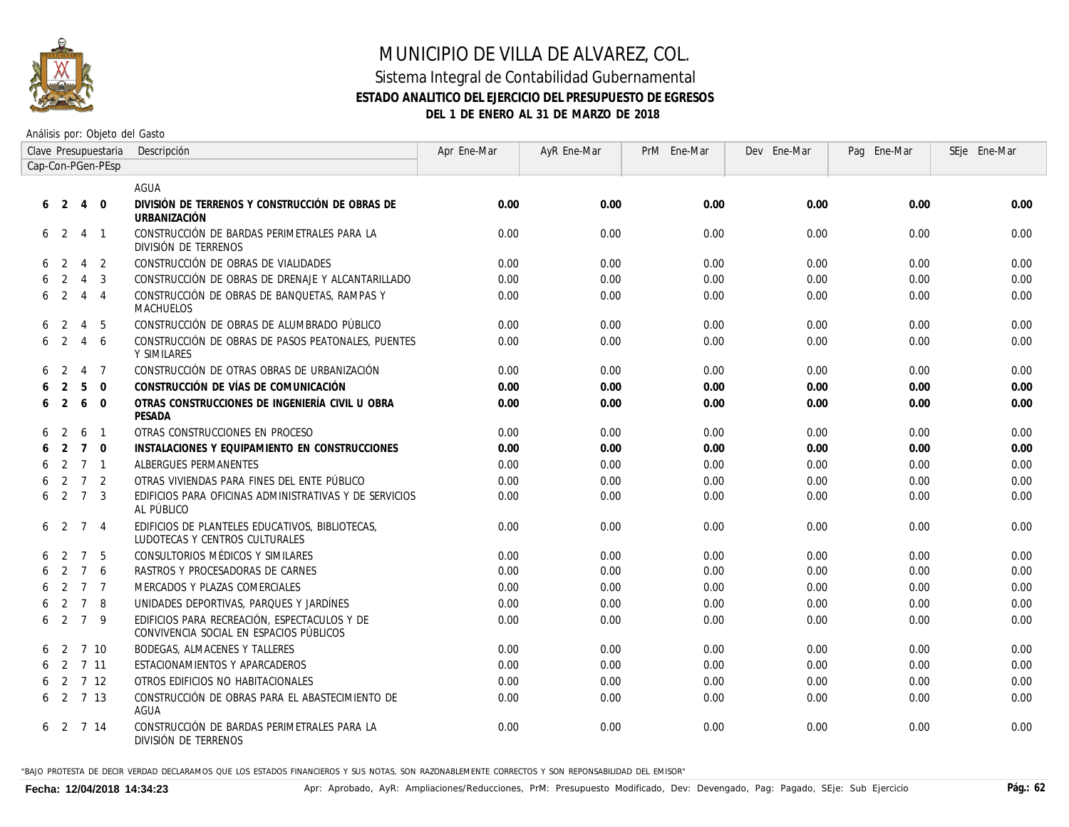

#### Sistema Integral de Contabilidad Gubernamental **ESTADO ANALITICO DEL EJERCICIO DEL PRESUPUESTO DE EGRESOS DEL 1 DE ENERO AL 31 DE MARZO DE 2018**

Análisis por: Objeto del Gasto

|   |                |                | Clave Presupuestaria | Descripción                                                                             | Apr Ene-Mar | AyR Ene-Mar | PrM Ene-Mar | Dev Ene-Mar | Pag Ene-Mar | SEje Ene-Mar |
|---|----------------|----------------|----------------------|-----------------------------------------------------------------------------------------|-------------|-------------|-------------|-------------|-------------|--------------|
|   |                |                | Cap-Con-PGen-PEsp    |                                                                                         |             |             |             |             |             |              |
|   |                |                |                      | AGUA                                                                                    |             |             |             |             |             |              |
| 6 | 2              | $\overline{4}$ | $\Omega$             | DIVISIÓN DE TERRENOS Y CONSTRUCCIÓN DE OBRAS DE<br><b>URBANIZACIÓN</b>                  | 0.00        | 0.00        | 0.00        | 0.00        | 0.00        | 0.00         |
|   | 6 <sub>2</sub> | $\overline{4}$ | $\mathbf{1}$         | CONSTRUCCIÓN DE BARDAS PERIMETRALES PARA LA<br>DIVISIÓN DE TERRENOS                     | 0.00        | 0.00        | 0.00        | 0.00        | 0.00        | 0.00         |
| 6 | -2             | $\overline{4}$ | 2                    | CONSTRUCCIÓN DE OBRAS DE VIALIDADES                                                     | 0.00        | 0.00        | 0.00        | 0.00        | 0.00        | 0.00         |
|   | 2              | $\overline{4}$ | 3                    | CONSTRUCCIÓN DE OBRAS DE DRENAJE Y ALCANTARILLADO                                       | 0.00        | 0.00        | 0.00        | 0.00        | 0.00        | 0.00         |
| 6 | -2             | 4              | $\overline{4}$       | CONSTRUCCIÓN DE OBRAS DE BANQUETAS, RAMPAS Y<br><i>MACHUELOS</i>                        | 0.00        | 0.00        | 0.00        | 0.00        | 0.00        | 0.00         |
|   | -2             | $\overline{4}$ | 5                    | CONSTRUCCIÓN DE OBRAS DE ALUMBRADO PÚBLICO                                              | 0.00        | 0.00        | 0.00        | 0.00        | 0.00        | 0.00         |
| 6 | 2              | $\overline{4}$ | 6                    | CONSTRUCCIÓN DE OBRAS DE PASOS PEATONALES, PUENTES<br>Y SIMILARES                       | 0.00        | 0.00        | 0.00        | 0.00        | 0.00        | 0.00         |
| 6 | $\overline{2}$ | $\overline{4}$ | $\overline{7}$       | CONSTRUCCIÓN DE OTRAS OBRAS DE URBANIZACIÓN                                             | 0.00        | 0.00        | 0.00        | 0.00        | 0.00        | 0.00         |
|   | 2              | 5              | $\Omega$             | CONSTRUCCIÓN DE VÍAS DE COMUNICACIÓN                                                    | 0.00        | 0.00        | 0.00        | 0.00        | 0.00        | 0.00         |
| 6 | $\overline{2}$ | 6              | $\mathbf 0$          | OTRAS CONSTRUCCIONES DE INGENIERÍA CIVIL U OBRA<br>PESADA                               | 0.00        | 0.00        | 0.00        | 0.00        | 0.00        | 0.00         |
|   | 2              | 6              | $\mathbf{1}$         | OTRAS CONSTRUCCIONES EN PROCESO                                                         | 0.00        | 0.00        | 0.00        | 0.00        | 0.00        | 0.00         |
| 6 | 2              | $\overline{7}$ | $\mathbf 0$          | INSTALACIONES Y EQUIPAMIENTO EN CONSTRUCCIONES                                          | 0.00        | 0.00        | 0.00        | 0.00        | 0.00        | 0.00         |
| 6 | 2              | $\overline{7}$ | $\overline{1}$       | ALBERGUES PERMANENTES                                                                   | 0.00        | 0.00        | 0.00        | 0.00        | 0.00        | 0.00         |
| 6 | 2              | $\overline{7}$ | 2                    | OTRAS VIVIENDAS PARA FINES DEL ENTE PÚBLICO                                             | 0.00        | 0.00        | 0.00        | 0.00        | 0.00        | 0.00         |
| 6 | $\overline{2}$ | $\overline{7}$ | 3                    | EDIFICIOS PARA OFICINAS ADMINISTRATIVAS Y DE SERVICIOS<br>AL PÚBLICO                    | 0.00        | 0.00        | 0.00        | 0.00        | 0.00        | 0.00         |
| 6 | -2             | $\overline{7}$ | $\overline{4}$       | EDIFICIOS DE PLANTELES EDUCATIVOS, BIBLIOTECAS.<br>LUDOTECAS Y CENTROS CULTURALES       | 0.00        | 0.00        | 0.00        | 0.00        | 0.00        | 0.00         |
|   | $\overline{2}$ | $\overline{7}$ | 5                    | CONSULTORIOS MÉDICOS Y SIMILARES                                                        | 0.00        | 0.00        | 0.00        | 0.00        | 0.00        | 0.00         |
|   | 2              | $\overline{7}$ | 6                    | RASTROS Y PROCESADORAS DE CARNES                                                        | 0.00        | 0.00        | 0.00        | 0.00        | 0.00        | 0.00         |
|   | $\mathfrak{D}$ | $\overline{7}$ | $\overline{7}$       | MERCADOS Y PLAZAS COMERCIALES                                                           | 0.00        | 0.00        | 0.00        | 0.00        | 0.00        | 0.00         |
|   | 2              | $\overline{7}$ | 8                    | UNIDADES DEPORTIVAS, PARQUES Y JARDÍNES                                                 | 0.00        | 0.00        | 0.00        | 0.00        | 0.00        | 0.00         |
| 6 | 2              | $\overline{7}$ | 9                    | EDIFICIOS PARA RECREACIÓN. ESPECTACULOS Y DE<br>CONVIVENCIA SOCIAL EN ESPACIOS PÚBLICOS | 0.00        | 0.00        | 0.00        | 0.00        | 0.00        | 0.00         |
| 6 | 2              |                | 7 10                 | BODEGAS, ALMACENES Y TALLERES                                                           | 0.00        | 0.00        | 0.00        | 0.00        | 0.00        | 0.00         |
|   | 62711          |                |                      | ESTACIONAMIENTOS Y APARCADEROS                                                          | 0.00        | 0.00        | 0.00        | 0.00        | 0.00        | 0.00         |
|   | 6 <sub>2</sub> |                | 7 12                 | OTROS EDIFICIOS NO HABITACIONALES                                                       | 0.00        | 0.00        | 0.00        | 0.00        | 0.00        | 0.00         |
|   | 62713          |                |                      | CONSTRUCCIÓN DE OBRAS PARA EL ABASTECIMIENTO DE<br>AGUA                                 | 0.00        | 0.00        | 0.00        | 0.00        | 0.00        | 0.00         |
|   | 6 2 7 14       |                |                      | CONSTRUCCIÓN DE BARDAS PERIMETRALES PARA LA<br>DIVISIÓN DE TERRENOS                     | 0.00        | 0.00        | 0.00        | 0.00        | 0.00        | 0.00         |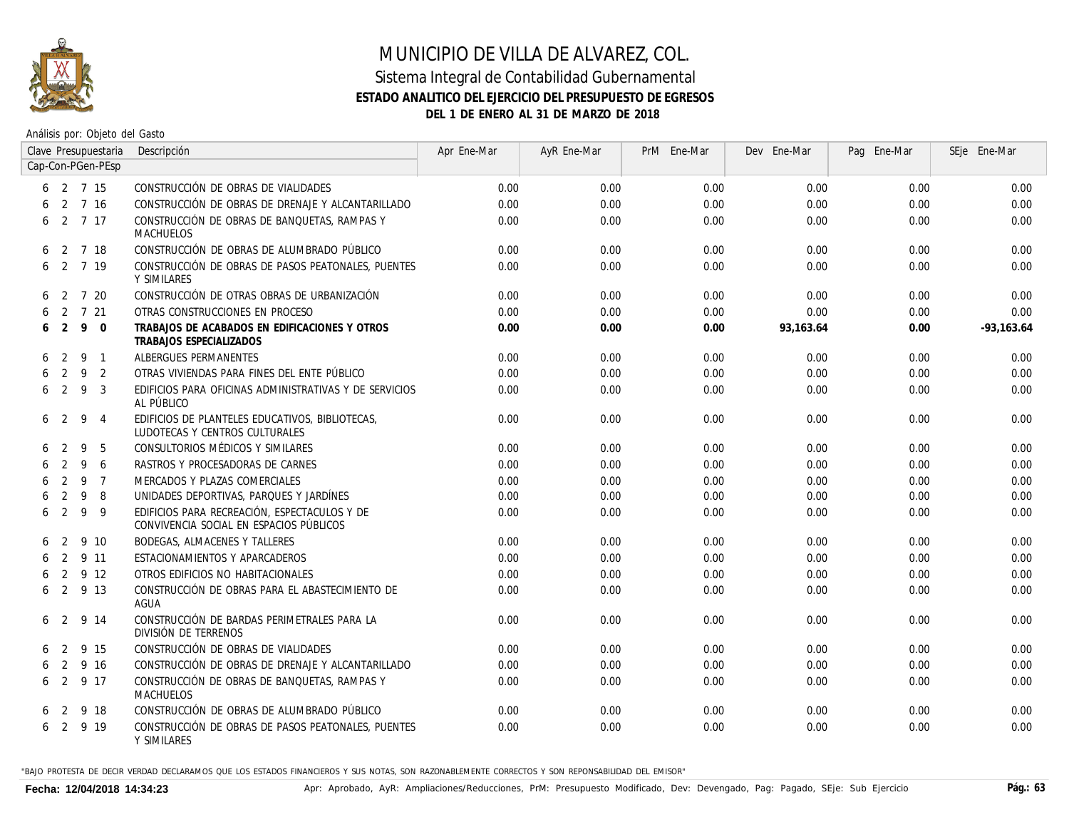

# MUNICIPIO DE VILLA DE ALVAREZ, COL. Sistema Integral de Contabilidad Gubernamental

# **ESTADO ANALITICO DEL EJERCICIO DEL PRESUPUESTO DE EGRESOS**

**DEL 1 DE ENERO AL 31 DE MARZO DE 2018**

Análisis por: Objeto del Gasto

|   |                |     | Clave Presupuestaria      | Descripción                                                                             | Apr Ene-Mar | AyR Ene-Mar | PrM Ene-Mar | Dev Ene-Mar | Pag Ene-Mar | SEje Ene-Mar |
|---|----------------|-----|---------------------------|-----------------------------------------------------------------------------------------|-------------|-------------|-------------|-------------|-------------|--------------|
|   |                |     | Cap-Con-PGen-PEsp         |                                                                                         |             |             |             |             |             |              |
|   |                |     | $6\quad 2\quad 7\quad 15$ | CONSTRUCCIÓN DE OBRAS DE VIALIDADES                                                     | 0.00        | 0.00        | 0.00        | 0.00        | 0.00        | 0.00         |
|   |                |     | 2 7 16                    | CONSTRUCCIÓN DE OBRAS DE DRENAJE Y ALCANTARILLADO                                       | 0.00        | 0.00        | 0.00        | 0.00        | 0.00        | 0.00         |
|   |                |     | 62717                     | CONSTRUCCIÓN DE OBRAS DE BANQUETAS, RAMPAS Y<br>MACHUELOS                               | 0.00        | 0.00        | 0.00        | 0.00        | 0.00        | 0.00         |
|   | $6 \quad 2$    |     | 7 18                      | CONSTRUCCIÓN DE OBRAS DE ALUMBRADO PÚBLICO                                              | 0.00        | 0.00        | 0.00        | 0.00        | 0.00        | 0.00         |
| 6 |                |     | 2 7 19                    | CONSTRUCCIÓN DE OBRAS DE PASOS PEATONALES, PUENTES<br>Y SIMILARES                       | 0.00        | 0.00        | 0.00        | 0.00        | 0.00        | 0.00         |
|   | 6 2            |     | 7 20                      | CONSTRUCCIÓN DE OTRAS OBRAS DE URBANIZACIÓN                                             | 0.00        | 0.00        | 0.00        | 0.00        | 0.00        | 0.00         |
| 6 |                |     | 2 7 21                    | OTRAS CONSTRUCCIONES EN PROCESO                                                         | 0.00        | 0.00        | 0.00        | 0.00        | 0.00        | 0.00         |
|   | 6 <sub>2</sub> | 9   | $\overline{0}$            | TRABAJOS DE ACABADOS EN EDIFICACIONES Y OTROS<br><b>TRABAJOS ESPECIALIZADOS</b>         | 0.00        | 0.00        | 0.00        | 93,163.64   | 0.00        | $-93,163.64$ |
| 6 | 2              | - 9 | $\overline{1}$            | ALBERGUES PERMANENTES                                                                   | 0.00        | 0.00        | 0.00        | 0.00        | 0.00        | 0.00         |
|   | 2              | 9   | 2                         | OTRAS VIVIENDAS PARA FINES DEL ENTE PÚBLICO                                             | 0.00        | 0.00        | 0.00        | 0.00        | 0.00        | 0.00         |
|   | $6 \quad 2$    | 9   | 3                         | EDIFICIOS PARA OFICINAS ADMINISTRATIVAS Y DE SERVICIOS<br>AL PÚBLICO                    | 0.00        | 0.00        | 0.00        | 0.00        | 0.00        | 0.00         |
|   | 6 <sub>2</sub> | 9   | $\overline{4}$            | EDIFICIOS DE PLANTELES EDUCATIVOS, BIBLIOTECAS,<br>LUDOTECAS Y CENTROS CULTURALES       | 0.00        | 0.00        | 0.00        | 0.00        | 0.00        | 0.00         |
| 6 | $\mathcal{L}$  | 9   | 5                         | CONSULTORIOS MÉDICOS Y SIMILARES                                                        | 0.00        | 0.00        | 0.00        | 0.00        | 0.00        | 0.00         |
| 6 | 2              | 9   | 6                         | RASTROS Y PROCESADORAS DE CARNES                                                        | 0.00        | 0.00        | 0.00        | 0.00        | 0.00        | 0.00         |
| 6 | 2              | -9  | $\overline{7}$            | MERCADOS Y PLAZAS COMERCIALES                                                           | 0.00        | 0.00        | 0.00        | 0.00        | 0.00        | 0.00         |
|   | 2              | 9   | 8                         | UNIDADES DEPORTIVAS, PARQUES Y JARDÍNES                                                 | 0.00        | 0.00        | 0.00        | 0.00        | 0.00        | 0.00         |
|   | 6 <sub>2</sub> | 9   | 9                         | EDIFICIOS PARA RECREACIÓN. ESPECTACULOS Y DE<br>CONVIVENCIA SOCIAL EN ESPACIOS PÚBLICOS | 0.00        | 0.00        | 0.00        | 0.00        | 0.00        | 0.00         |
|   | $\mathcal{P}$  |     | 9 10                      | BODEGAS, ALMACENES Y TALLERES                                                           | 0.00        | 0.00        | 0.00        | 0.00        | 0.00        | 0.00         |
| 6 | 2              |     | 9 11                      | ESTACIONAMIENTOS Y APARCADEROS                                                          | 0.00        | 0.00        | 0.00        | 0.00        | 0.00        | 0.00         |
| 6 | 2              |     | 9 12                      | OTROS EDIFICIOS NO HABITACIONALES                                                       | 0.00        | 0.00        | 0.00        | 0.00        | 0.00        | 0.00         |
|   | 6 <sub>2</sub> |     | 9 13                      | CONSTRUCCIÓN DE OBRAS PARA EL ABASTECIMIENTO DE<br>AGUA                                 | 0.00        | 0.00        | 0.00        | 0.00        | 0.00        | 0.00         |
| 6 | $\overline{2}$ |     | 9 14                      | CONSTRUCCIÓN DE BARDAS PERIMETRALES PARA LA<br>DIVISIÓN DE TERRENOS                     | 0.00        | 0.00        | 0.00        | 0.00        | 0.00        | 0.00         |
|   | $\overline{2}$ |     | 9 15                      | CONSTRUCCIÓN DE OBRAS DE VIALIDADES                                                     | 0.00        | 0.00        | 0.00        | 0.00        | 0.00        | 0.00         |
|   | 2              |     | 9 16                      | CONSTRUCCIÓN DE OBRAS DE DRENAJE Y ALCANTARILLADO                                       | 0.00        | 0.00        | 0.00        | 0.00        | 0.00        | 0.00         |
| 6 | 2              |     | 9 17                      | CONSTRUCCIÓN DE OBRAS DE BANQUETAS, RAMPAS Y<br><b>MACHUELOS</b>                        | 0.00        | 0.00        | 0.00        | 0.00        | 0.00        | 0.00         |
| 6 | - 2            |     | 9 18                      | CONSTRUCCIÓN DE OBRAS DE ALUMBRADO PÚBLICO                                              | 0.00        | 0.00        | 0.00        | 0.00        | 0.00        | 0.00         |
|   |                |     | 6 2 9 19                  | CONSTRUCCIÓN DE OBRAS DE PASOS PEATONALES, PUENTES<br>Y SIMILARES                       | 0.00        | 0.00        | 0.00        | 0.00        | 0.00        | 0.00         |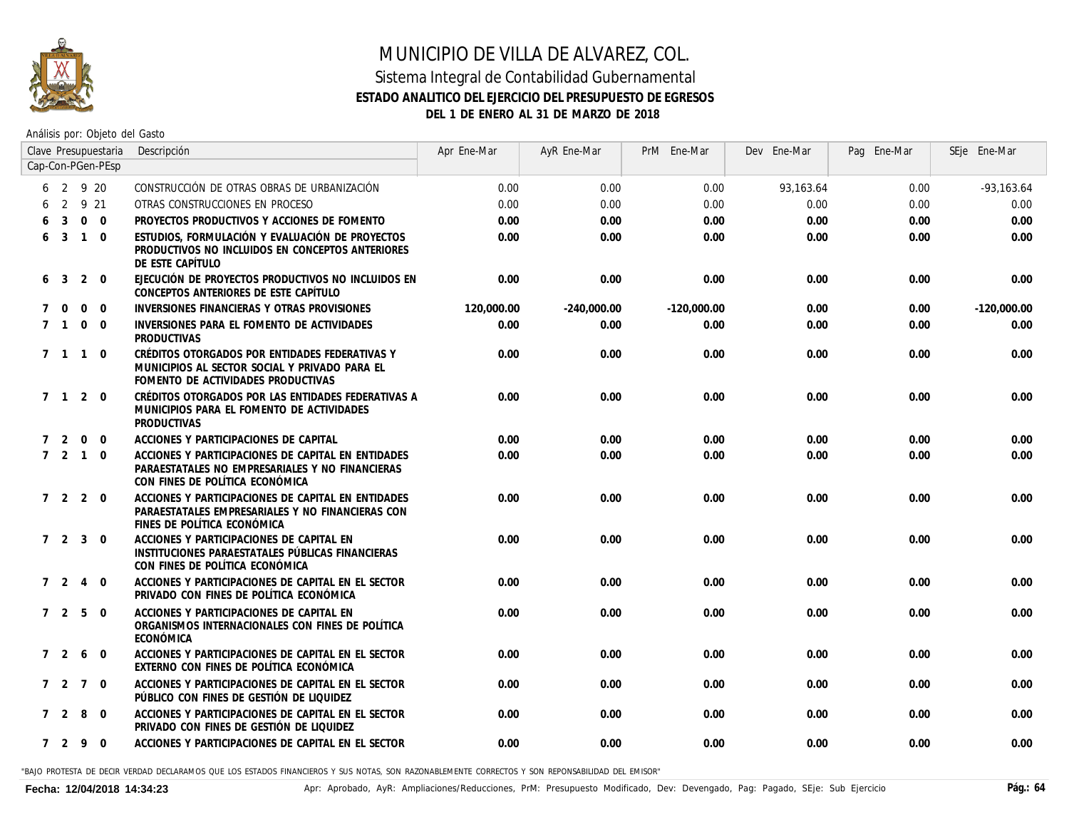

# MUNICIPIO DE VILLA DE ALVAREZ, COL. Sistema Integral de Contabilidad Gubernamental **ESTADO ANALITICO DEL EJERCICIO DEL PRESUPUESTO DE EGRESOS**

**DEL 1 DE ENERO AL 31 DE MARZO DE 2018**

Análisis por: Objeto del Gasto

|             |                   |                   | Clave Presupuestaria | Descripción                                                                                                                              | Apr Ene-Mar | AyR Ene-Mar   | PrM Ene-Mar   | Dev Ene-Mar | Pag Ene-Mar | SEje Ene-Mar  |
|-------------|-------------------|-------------------|----------------------|------------------------------------------------------------------------------------------------------------------------------------------|-------------|---------------|---------------|-------------|-------------|---------------|
|             |                   |                   | Cap-Con-PGen-PEsp    |                                                                                                                                          |             |               |               |             |             |               |
|             |                   | 6 2 9 20          |                      | CONSTRUCCIÓN DE OTRAS OBRAS DE URBANIZACIÓN                                                                                              | 0.00        | 0.00          | 0.00          | 93,163.64   | 0.00        | $-93, 163.64$ |
|             | 2                 | 9 21              |                      | OTRAS CONSTRUCCIONES EN PROCESO                                                                                                          | 0.00        | 0.00          | 0.00          | 0.00        | 0.00        | 0.00          |
|             | 3                 | $\mathbf 0$       | $\overline{0}$       | PROYECTOS PRODUCTIVOS Y ACCIONES DE FOMENTO                                                                                              | 0.00        | 0.00          | 0.00          | 0.00        | 0.00        | 0.00          |
| 6           | $\overline{3}$    | $\overline{1}$    | $\Omega$             | ESTUDIOS, FORMULACIÓN Y EVALUACIÓN DE PROYECTOS<br>PRODUCTIVOS NO INCLUIDOS EN CONCEPTOS ANTERIORES<br>DE ESTE CAPÍTULO                  | 0.00        | 0.00          | 0.00          | 0.00        | 0.00        | 0.00          |
| 6           | $\overline{3}$    | 2                 | $\mathbf 0$          | EJECUCIÓN DE PROYECTOS PRODUCTIVOS NO INCLUIDOS EN<br>CONCEPTOS ANTERIORES DE ESTE CAPÍTULO                                              | 0.00        | 0.00          | 0.00          | 0.00        | 0.00        | 0.00          |
| $7^{\circ}$ | $\overline{0}$    | $\mathbf 0$       | $\mathbf 0$          | INVERSIONES FINANCIERAS Y OTRAS PROVISIONES                                                                                              | 120,000.00  | $-240,000.00$ | $-120,000.00$ | 0.00        | 0.00        | $-120,000.00$ |
|             | 7 1               | $\overline{0}$    | $\Omega$             | INVERSIONES PARA EL FOMENTO DE ACTIVIDADES<br><b>PRODUCTIVAS</b>                                                                         | 0.00        | 0.00          | 0.00          | 0.00        | 0.00        | 0.00          |
|             | 7 1               | $\overline{1}$    | $\mathbf 0$          | CRÉDITOS OTORGADOS POR ENTIDADES FEDERATIVAS Y<br>MUNICIPIOS AL SECTOR SOCIAL Y PRIVADO PARA EL<br>FOMENTO DE ACTIVIDADES PRODUCTIVAS    | 0.00        | 0.00          | 0.00          | 0.00        | 0.00        | 0.00          |
|             | 7 1               | 2                 | $\mathbf 0$          | CRÉDITOS OTORGADOS POR LAS ENTIDADES FEDERATIVAS A<br>MUNICIPIOS PARA EL FOMENTO DE ACTIVIDADES<br>PRODUCTIVAS                           | 0.00        | 0.00          | 0.00          | 0.00        | 0.00        | 0.00          |
| 7           | 2                 | $\overline{0}$    | $\mathbf 0$          | ACCIONES Y PARTICIPACIONES DE CAPITAL                                                                                                    | 0.00        | 0.00          | 0.00          | 0.00        | 0.00        | 0.00          |
|             | $7\quad 2\quad 1$ |                   | $\mathbf 0$          | ACCIONES Y PARTICIPACIONES DE CAPITAL EN ENTIDADES<br>PARAESTATALES NO EMPRESARIALES Y NO FINANCIERAS<br>CON FINES DE POLÍTICA ECONÓMICA | 0.00        | 0.00          | 0.00          | 0.00        | 0.00        | 0.00          |
|             |                   | $7\quad 2\quad 2$ | $\Omega$             | ACCIONES Y PARTICIPACIONES DE CAPITAL EN ENTIDADES<br>PARAESTATALES EMPRESARIALES Y NO FINANCIERAS CON<br>FINES DE POLÍTICA ECONÓMICA    | 0.00        | 0.00          | 0.00          | 0.00        | 0.00        | 0.00          |
|             |                   | 7 2 3 0           |                      | ACCIONES Y PARTICIPACIONES DE CAPITAL EN<br>INSTITUCIONES PARAESTATALES PÚBLICAS FINANCIERAS<br>CON FINES DE POLÍTICA ECONÓMICA          | 0.00        | 0.00          | 0.00          | 0.00        | 0.00        | 0.00          |
|             | $7\quad2$         | $\overline{4}$    | $\Omega$             | ACCIONES Y PARTICIPACIONES DE CAPITAL EN EL SECTOR<br>PRIVADO CON FINES DE POLÍTICA ECONÓMICA                                            | 0.00        | 0.00          | 0.00          | 0.00        | 0.00        | 0.00          |
|             |                   | $7\quad 2\quad 5$ | $\Omega$             | ACCIONES Y PARTICIPACIONES DE CAPITAL EN<br>ORGANISMOS INTERNACIONALES CON FINES DE POLÍTICA<br>ECONÓMICA                                | 0.00        | 0.00          | 0.00          | 0.00        | 0.00        | 0.00          |
|             | 7 2               | 6                 | $\mathbf 0$          | ACCIONES Y PARTICIPACIONES DE CAPITAL EN EL SECTOR<br>EXTERNO CON FINES DE POLÍTICA ECONÓMICA                                            | 0.00        | 0.00          | 0.00          | 0.00        | 0.00        | 0.00          |
|             | 7 2               | $\overline{7}$    | $\overline{0}$       | ACCIONES Y PARTICIPACIONES DE CAPITAL EN EL SECTOR<br>PÚBLICO CON FINES DE GESTIÓN DE LIQUIDEZ                                           | 0.00        | 0.00          | 0.00          | 0.00        | 0.00        | 0.00          |
|             | $7\quad2$         | 8                 | $\mathbf 0$          | ACCIONES Y PARTICIPACIONES DE CAPITAL EN EL SECTOR<br>PRIVADO CON FINES DE GESTIÓN DE LIQUIDEZ                                           | 0.00        | 0.00          | 0.00          | 0.00        | 0.00        | 0.00          |
|             | 7 2 9             |                   | $\overline{0}$       | ACCIONES Y PARTICIPACIONES DE CAPITAL EN EL SECTOR                                                                                       | 0.00        | 0.00          | 0.00          | 0.00        | 0.00        | 0.00          |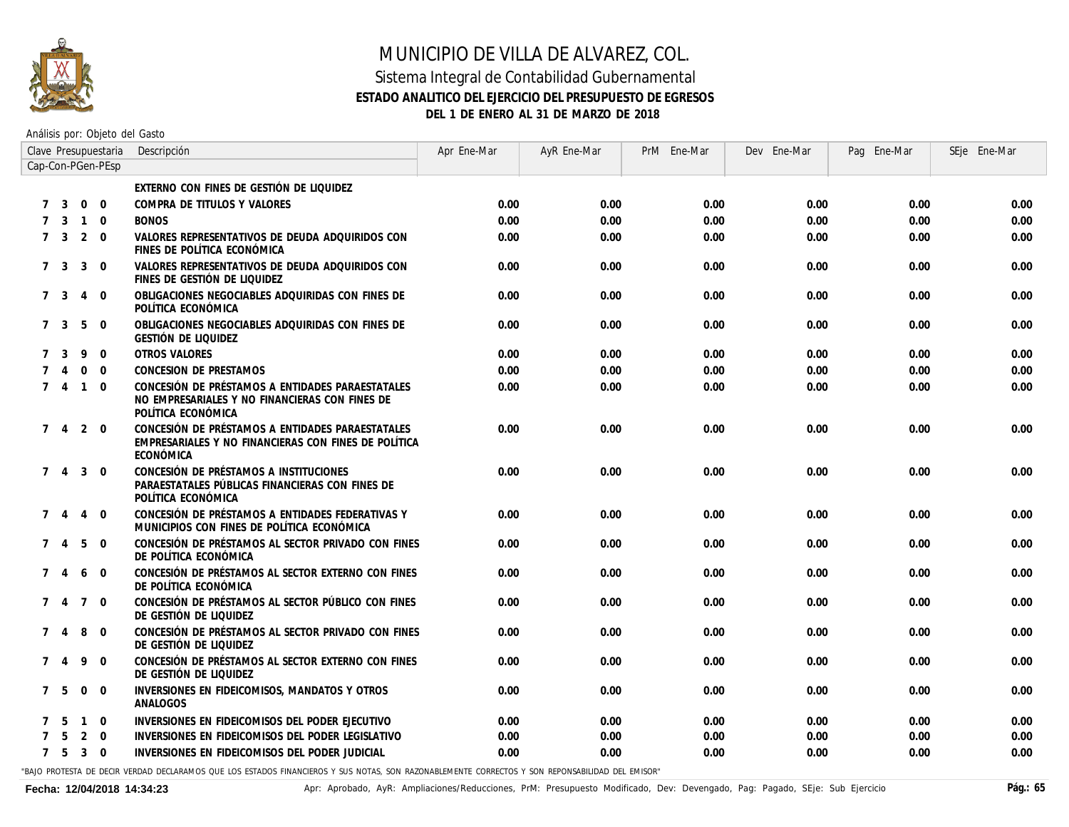

#### Sistema Integral de Contabilidad Gubernamental **ESTADO ANALITICO DEL EJERCICIO DEL PRESUPUESTO DE EGRESOS DEL 1 DE ENERO AL 31 DE MARZO DE 2018**

Análisis por: Objeto del Gasto

|               |                |                | Clave Presupuestaria | Descripción                                                                                                              | Apr Ene-Mar | AyR Ene-Mar | PrM Ene-Mar | Dev Ene-Mar | Pag Ene-Mar | SEje Ene-Mar |
|---------------|----------------|----------------|----------------------|--------------------------------------------------------------------------------------------------------------------------|-------------|-------------|-------------|-------------|-------------|--------------|
|               |                |                | Cap-Con-PGen-PEsp    |                                                                                                                          |             |             |             |             |             |              |
|               |                |                |                      | EXTERNO CON FINES DE GESTIÓN DE LIQUIDEZ                                                                                 |             |             |             |             |             |              |
|               | 3              | $\overline{0}$ | $\overline{0}$       | COMPRA DE TITULOS Y VALORES                                                                                              | 0.00        | 0.00        | 0.00        | 0.00        | 0.00        | 0.00         |
|               | 3              | $\mathbf{1}$   | $\mathbf 0$          | <b>BONOS</b>                                                                                                             | 0.00        | 0.00        | 0.00        | 0.00        | 0.00        | 0.00         |
| $7^{\circ}$   | 3              | 2              | $\Omega$             | VALORES REPRESENTATIVOS DE DEUDA ADQUIRIDOS CON<br>FINES DE POLÍTICA ECONÓMICA                                           | 0.00        | 0.00        | 0.00        | 0.00        | 0.00        | 0.00         |
|               | 7 <sup>3</sup> | $\mathbf{3}$   | $\mathbf 0$          | VALORES REPRESENTATIVOS DE DEUDA ADQUIRIDOS CON<br>FINES DE GESTIÓN DE LIQUIDEZ                                          | 0.00        | 0.00        | 0.00        | 0.00        | 0.00        | 0.00         |
|               | 7 3            | $\overline{4}$ | $\mathbf 0$          | OBLIGACIONES NEGOCIABLES ADQUIRIDAS CON FINES DE<br>POLÍTICA ECONÓMICA                                                   | 0.00        | 0.00        | 0.00        | 0.00        | 0.00        | 0.00         |
|               | 7 3            | 5              | $\mathbf 0$          | OBLIGACIONES NEGOCIABLES ADQUIRIDAS CON FINES DE<br>GESTIÓN DE LIQUIDEZ                                                  | 0.00        | 0.00        | 0.00        | 0.00        | 0.00        | 0.00         |
|               | 3              | 9              | $\Omega$             | <b>OTROS VALORES</b>                                                                                                     | 0.00        | 0.00        | 0.00        | 0.00        | 0.00        | 0.00         |
|               |                | $\Omega$       | $\Omega$             | CONCESION DE PRESTAMOS                                                                                                   | 0.00        | 0.00        | 0.00        | 0.00        | 0.00        | 0.00         |
| $7^{\circ}$   | $\overline{4}$ | $\overline{1}$ | $\Omega$             | CONCESIÓN DE PRÉSTAMOS A ENTIDADES PARAESTATALES<br>NO EMPRESARIALES Y NO FINANCIERAS CON FINES DE<br>POLÍTICA ECONÓMICA | 0.00        | 0.00        | 0.00        | 0.00        | 0.00        | 0.00         |
|               | 7 4            | 2              | $\overline{0}$       | CONCESIÓN DE PRÉSTAMOS A ENTIDADES PARAESTATALES<br>EMPRESARIALES Y NO FINANCIERAS CON FINES DE POLÍTICA<br>ECONÓMICA    | 0.00        | 0.00        | 0.00        | 0.00        | 0.00        | 0.00         |
|               | 7 <sub>4</sub> | 3              | $\mathbf 0$          | CONCESIÓN DE PRÉSTAMOS A INSTITUCIONES<br>PARAESTATALES PÚBLICAS FINANCIERAS CON FINES DE<br>POLÍTICA ECONÓMICA          | 0.00        | 0.00        | 0.00        | 0.00        | 0.00        | 0.00         |
|               | 74             | $\overline{4}$ | $\mathbf 0$          | CONCESIÓN DE PRÉSTAMOS A ENTIDADES FEDERATIVAS Y<br>MUNICIPIOS CON FINES DE POLÍTICA ECONÓMICA                           | 0.00        | 0.00        | 0.00        | 0.00        | 0.00        | 0.00         |
| $7^{\circ}$   | 4              | 5              | $\mathbf 0$          | CONCESIÓN DE PRÉSTAMOS AL SECTOR PRIVADO CON FINES<br>DE POLÍTICA ECONÓMICA                                              | 0.00        | 0.00        | 0.00        | 0.00        | 0.00        | 0.00         |
|               | $\overline{A}$ | 6              | $\mathbf 0$          | CONCESIÓN DE PRÉSTAMOS AL SECTOR EXTERNO CON FINES<br>DE POLÍTICA ECONÓMICA                                              | 0.00        | 0.00        | 0.00        | 0.00        | 0.00        | 0.00         |
| 7             | $\overline{4}$ | $\overline{7}$ | $\mathbf 0$          | CONCESIÓN DE PRÉSTAMOS AL SECTOR PÚBLICO CON FINES<br>DE GESTIÓN DE LIQUIDEZ                                             | 0.00        | 0.00        | 0.00        | 0.00        | 0.00        | 0.00         |
| $7^{\circ}$   | 4              | 8              | $\mathbf 0$          | CONCESIÓN DE PRÉSTAMOS AL SECTOR PRIVADO CON FINES<br>DE GESTIÓN DE LIQUIDEZ                                             | 0.00        | 0.00        | 0.00        | 0.00        | 0.00        | 0.00         |
| $\mathcal{I}$ | $\overline{A}$ | 9              | $\mathbf 0$          | CONCESIÓN DE PRÉSTAMOS AL SECTOR EXTERNO CON FINES<br>DE GESTIÓN DE LIQUIDEZ                                             | 0.00        | 0.00        | 0.00        | 0.00        | 0.00        | 0.00         |
| $7^{\circ}$   | 5              | $\mathbf 0$    | $\mathbf 0$          | INVERSIONES EN FIDEICOMISOS, MANDATOS Y OTROS<br>ANALOGOS                                                                | 0.00        | 0.00        | 0.00        | 0.00        | 0.00        | 0.00         |
|               |                | $\mathbf{1}$   | $\Omega$             | INVERSIONES EN FIDEICOMISOS DEL PODER EJECUTIVO                                                                          | 0.00        | 0.00        | 0.00        | 0.00        | 0.00        | 0.00         |
|               |                | 2              | $\mathbf 0$          | INVERSIONES EN FIDEICOMISOS DEL PODER LEGISLATIVO                                                                        | 0.00        | 0.00        | 0.00        | 0.00        | 0.00        | 0.00         |
|               | 7 5            | 3              | $\overline{0}$       | INVERSIONES EN FIDEICOMISOS DEL PODER JUDICIAL                                                                           | 0.00        | 0.00        | 0.00        | 0.00        | 0.00        | 0.00         |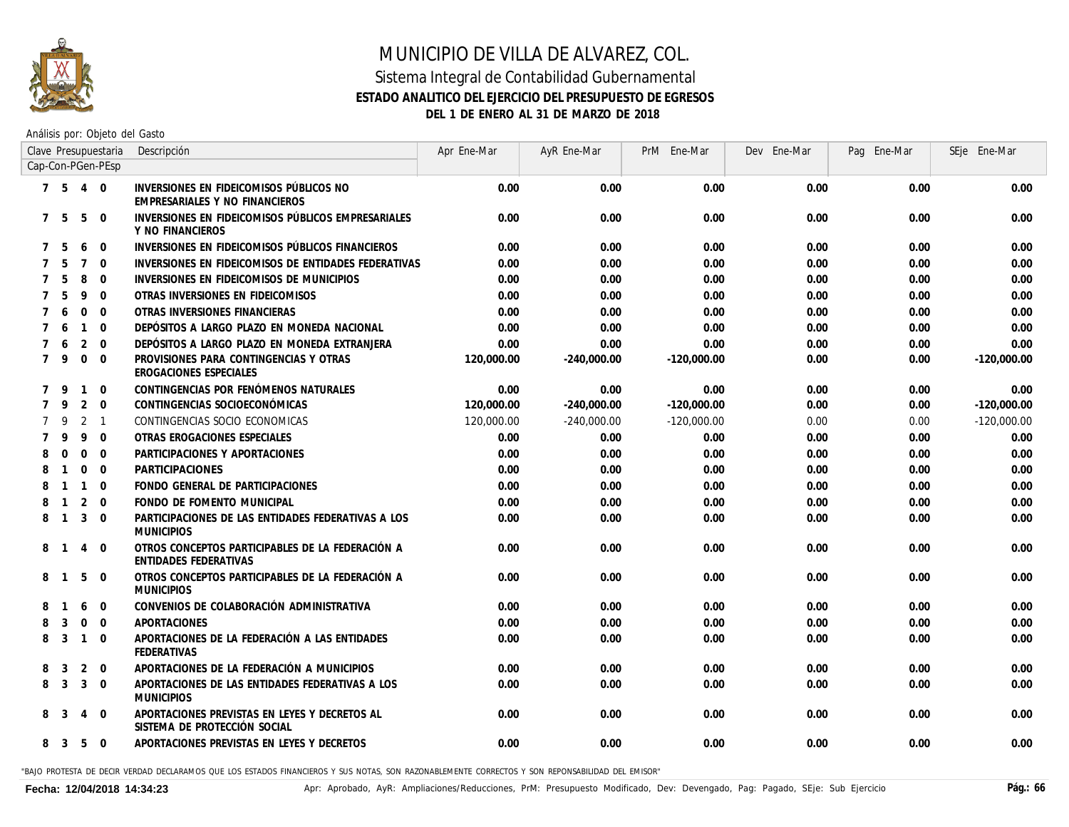

# MUNICIPIO DE VILLA DE ALVAREZ, COL. Sistema Integral de Contabilidad Gubernamental **ESTADO ANALITICO DEL EJERCICIO DEL PRESUPUESTO DE EGRESOS**

**DEL 1 DE ENERO AL 31 DE MARZO DE 2018**

Análisis por: Objeto del Gasto

|                |                |                | Clave Presupuestaria | Descripción                                                                   | Apr Ene-Mar | AyR Ene-Mar   | PrM Ene-Mar   | Dev Ene-Mar | Pag Ene-Mar | SEje Ene-Mar  |
|----------------|----------------|----------------|----------------------|-------------------------------------------------------------------------------|-------------|---------------|---------------|-------------|-------------|---------------|
|                |                |                | Cap-Con-PGen-PEsp    |                                                                               |             |               |               |             |             |               |
|                | 7 5            | 4 0            |                      | INVERSIONES EN FIDEICOMISOS PÚBLICOS NO<br>EMPRESARIALES Y NO FINANCIEROS     | 0.00        | 0.00          | 0.00          | 0.00        | 0.00        | 0.00          |
| $7^{\circ}$    | -5             | 5              | $\Omega$             | INVERSIONES EN FIDEICOMISOS PÚBLICOS EMPRESARIALES<br>Y NO FINANCIEROS        | 0.00        | 0.00          | 0.00          | 0.00        | 0.00        | 0.00          |
|                | 5              | 6              | $\Omega$             | INVERSIONES EN FIDEICOMISOS PÚBLICOS FINANCIEROS                              | 0.00        | 0.00          | 0.00          | 0.00        | 0.00        | 0.00          |
|                | 5              | $\overline{7}$ | $\Omega$             | INVERSIONES EN FIDEICOMISOS DE ENTIDADES FEDERATIVAS                          | 0.00        | 0.00          | 0.00          | 0.00        | 0.00        | 0.00          |
|                |                | 8              | $\Omega$             | INVERSIONES EN FIDEICOMISOS DE MUNICIPIOS                                     | 0.00        | 0.00          | 0.00          | 0.00        | 0.00        | 0.00          |
|                | 5              | 9              | $\mathbf{0}$         | OTRAS INVERSIONES EN FIDEICOMISOS                                             | 0.00        | 0.00          | 0.00          | 0.00        | 0.00        | 0.00          |
|                | 6              | $\mathbf{0}$   | $\mathbf{0}$         | OTRAS INVERSIONES FINANCIERAS                                                 | 0.00        | 0.00          | 0.00          | 0.00        | 0.00        | 0.00          |
|                | 6              | $\mathbf{1}$   | $\mathbf 0$          | DEPÓSITOS A LARGO PLAZO EN MONEDA NACIONAL                                    | 0.00        | 0.00          | 0.00          | 0.00        | 0.00        | 0.00          |
|                | 6              | $\overline{2}$ | $\Omega$             | DEPÓSITOS A LARGO PLAZO EN MONEDA EXTRANJERA                                  | 0.00        | 0.00          | 0.00          | 0.00        | 0.00        | 0.00          |
| $7^{\circ}$    | 9              | $\mathbf 0$    | $\mathbf 0$          | PROVISIONES PARA CONTINGENCIAS Y OTRAS<br>EROGACIONES ESPECIALES              | 120,000.00  | $-240,000.00$ | $-120,000.00$ | 0.00        | 0.00        | $-120,000.00$ |
| $\overline{7}$ | 9              | $\mathbf{1}$   | $\mathbf 0$          | CONTINGENCIAS POR FENÓMENOS NATURALES                                         | 0.00        | 0.00          | 0.00          | 0.00        | 0.00        | 0.00          |
| $7^{\circ}$    | 9              | $\overline{2}$ | $\Omega$             | CONTINGENCIAS SOCIOECONÓMICAS                                                 | 120,000.00  | $-240,000.00$ | $-120,000.00$ | 0.00        | 0.00        | $-120,000.00$ |
|                | 9              | 2              | $\overline{1}$       | CONTINGENCIAS SOCIO ECONOMICAS                                                | 120,000.00  | $-240,000.00$ | $-120,000.00$ | 0.00        | 0.00        | $-120,000.00$ |
|                | 9              | 9              | $\Omega$             | OTRAS EROGACIONES ESPECIALES                                                  | 0.00        | 0.00          | 0.00          | 0.00        | 0.00        | 0.00          |
| 8              | $\Omega$       | $\mathbf 0$    | $\mathbf 0$          | PARTICIPACIONES Y APORTACIONES                                                | 0.00        | 0.00          | 0.00          | 0.00        | 0.00        | 0.00          |
| 8              | $\mathbf{1}$   | $\mathbf 0$    | $\mathbf 0$          | <b>PARTICIPACIONES</b>                                                        | 0.00        | 0.00          | 0.00          | 0.00        | 0.00        | 0.00          |
|                | $\mathbf{1}$   | $\overline{1}$ | $\Omega$             | FONDO GENERAL DE PARTICIPACIONES                                              | 0.00        | 0.00          | 0.00          | 0.00        | 0.00        | 0.00          |
| 8              | $\mathbf{1}$   | 2              | $\Omega$             | FONDO DE FOMENTO MUNICIPAL                                                    | 0.00        | 0.00          | 0.00          | 0.00        | 0.00        | 0.00          |
| 8              | $\overline{1}$ | 3              | $\Omega$             | PARTICIPACIONES DE LAS ENTIDADES FEDERATIVAS A LOS<br><b>MUNICIPIOS</b>       | 0.00        | 0.00          | 0.00          | 0.00        | 0.00        | 0.00          |
| 8              |                | $\overline{4}$ | $\Omega$             | OTROS CONCEPTOS PARTICIPABLES DE LA FEDERACIÓN A<br>ENTIDADES FEDERATIVAS     | 0.00        | 0.00          | 0.00          | 0.00        | 0.00        | 0.00          |
| 8              | $\mathbf{1}$   | 5              | $\mathbf 0$          | OTROS CONCEPTOS PARTICIPABLES DE LA FEDERACIÓN A<br><b>MUNICIPIOS</b>         | 0.00        | 0.00          | 0.00          | 0.00        | 0.00        | 0.00          |
| 8              |                | 6              | $\mathbf{0}$         | CONVENIOS DE COLABORACIÓN ADMINISTRATIVA                                      | 0.00        | 0.00          | 0.00          | 0.00        | 0.00        | 0.00          |
| 8              | 3              | $\mathbf 0$    | $\mathbf{0}$         | APORTACIONES                                                                  | 0.00        | 0.00          | 0.00          | 0.00        | 0.00        | 0.00          |
| 8              | 3              | $\overline{1}$ | $\mathbf 0$          | APORTACIONES DE LA FEDERACIÓN A LAS ENTIDADES<br><b>FEDERATIVAS</b>           | 0.00        | 0.00          | 0.00          | 0.00        | 0.00        | 0.00          |
| 8              | 3              | 2              | $\mathbf 0$          | APORTACIONES DE LA FEDERACIÓN A MUNICIPIOS                                    | 0.00        | 0.00          | 0.00          | 0.00        | 0.00        | 0.00          |
| 8              | 3              | 3              | $\mathbf 0$          | APORTACIONES DE LAS ENTIDADES FEDERATIVAS A LOS<br><b>MUNICIPIOS</b>          | 0.00        | 0.00          | 0.00          | 0.00        | 0.00        | 0.00          |
| 8              | 3              | 4              | $\mathbf 0$          | APORTACIONES PREVISTAS EN LEYES Y DECRETOS AL<br>SISTEMA DE PROTECCIÓN SOCIAL | 0.00        | 0.00          | 0.00          | 0.00        | 0.00        | 0.00          |
| 8              | 3              | 5              | $\Omega$             | APORTACIONES PREVISTAS EN LEYES Y DECRETOS                                    | 0.00        | 0.00          | 0.00          | 0.00        | 0.00        | 0.00          |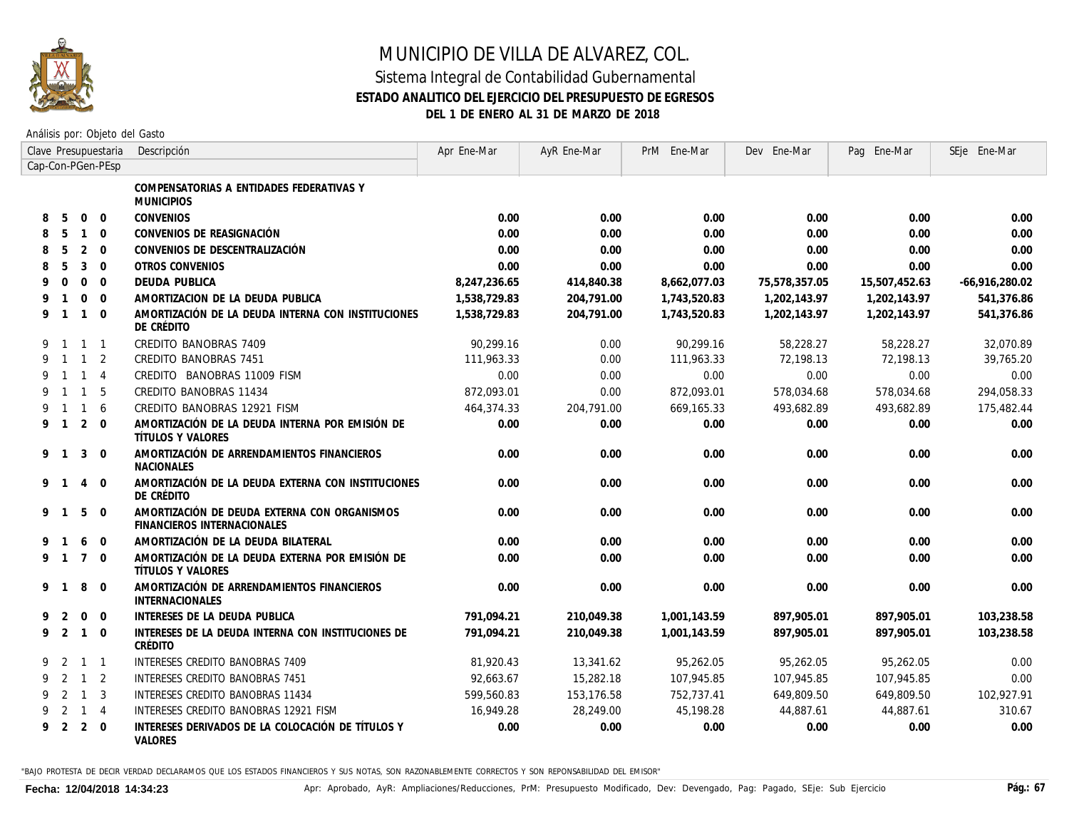

Análisis por: Objeto del Gasto

|   |                |                | Clave Presupuestaria | Descripción                                                                 | Apr Ene-Mar  | AyR Ene-Mar | PrM Ene-Mar  | Dev Ene-Mar   | Pag Ene-Mar   | SEje Ene-Mar     |
|---|----------------|----------------|----------------------|-----------------------------------------------------------------------------|--------------|-------------|--------------|---------------|---------------|------------------|
|   |                |                | Cap-Con-PGen-PEsp    |                                                                             |              |             |              |               |               |                  |
|   |                |                |                      | COMPENSATORIAS A ENTIDADES FEDERATIVAS Y<br><b>MUNICIPIOS</b>               |              |             |              |               |               |                  |
| 8 | 5              | $\Omega$       | $\overline{0}$       | <b>CONVENIOS</b>                                                            | 0.00         | 0.00        | 0.00         | 0.00          | 0.00          | 0.00             |
| 8 | -5             | $\mathbf{1}$   | $\Omega$             | CONVENIOS DE REASIGNACIÓN                                                   | 0.00         | 0.00        | 0.00         | 0.00          | 0.00          | 0.00             |
| 8 | 5              | $\overline{2}$ | $\overline{0}$       | CONVENIOS DE DESCENTRALIZACIÓN                                              | 0.00         | 0.00        | 0.00         | 0.00          | 0.00          | 0.00             |
| 8 | 5              | 3              | $\overline{0}$       | OTROS CONVENIOS                                                             | 0.00         | 0.00        | 0.00         | 0.00          | 0.00          | 0.00             |
| 9 | $\Omega$       | $\Omega$       | $\Omega$             | <b>DEUDA PUBLICA</b>                                                        | 8,247,236.65 | 414,840.38  | 8,662,077.03 | 75,578,357.05 | 15,507,452.63 | $-66,916,280.02$ |
| 9 | $\mathbf{1}$   | $\Omega$       | $\Omega$             | AMORTIZACION DE LA DEUDA PUBLICA                                            | 1,538,729.83 | 204,791.00  | 1,743,520.83 | 1,202,143.97  | 1,202,143.97  | 541.376.86       |
| 9 | $\overline{1}$ | $\mathbf{1}$   | $\Omega$             | AMORTIZACIÓN DE LA DEUDA INTERNA CON INSTITUCIONES<br>DE CRÉDITO            | 1,538,729.83 | 204,791.00  | 1,743,520.83 | 1,202,143.97  | 1,202,143.97  | 541,376.86       |
| 9 | $\overline{1}$ | $\mathbf{1}$   | $\overline{1}$       | CREDITO BANOBRAS 7409                                                       | 90.299.16    | 0.00        | 90.299.16    | 58.228.27     | 58.228.27     | 32.070.89        |
| 9 | $\overline{1}$ | $\mathbf{1}$   | 2                    | CREDITO BANOBRAS 7451                                                       | 111,963.33   | 0.00        | 111,963.33   | 72,198.13     | 72.198.13     | 39,765.20        |
| 9 | $\overline{1}$ | $\mathbf{1}$   | $\overline{4}$       | CREDITO BANOBRAS 11009 FISM                                                 | 0.00         | 0.00        | 0.00         | 0.00          | 0.00          | 0.00             |
| 9 | $\overline{1}$ | $\mathbf{1}$   | 5                    | CREDITO BANOBRAS 11434                                                      | 872,093.01   | 0.00        | 872,093.01   | 578,034.68    | 578,034.68    | 294,058.33       |
| 9 | $\overline{1}$ | $\mathbf{1}$   | 6                    | CREDITO BANOBRAS 12921 FISM                                                 | 464,374.33   | 204,791.00  | 669,165.33   | 493,682.89    | 493,682.89    | 175,482.44       |
| 9 | $\overline{1}$ | 2              | $\Omega$             | AMORTIZACIÓN DE LA DEUDA INTERNA POR EMISIÓN DE<br><b>TÍTULOS Y VALORES</b> | 0.00         | 0.00        | 0.00         | 0.00          | 0.00          | 0.00             |
| 9 | $\overline{1}$ | 3              | $\Omega$             | AMORTIZACIÓN DE ARRENDAMIENTOS FINANCIEROS<br><b>NACIONALES</b>             | 0.00         | 0.00        | 0.00         | 0.00          | 0.00          | 0.00             |
| 9 |                | $\overline{4}$ | $\Omega$             | AMORTIZACIÓN DE LA DEUDA EXTERNA CON INSTITUCIONES<br>DE CRÉDITO            | 0.00         | 0.00        | 0.00         | 0.00          | 0.00          | 0.00             |
| 9 | $\overline{1}$ | 5              | $\Omega$             | AMORTIZACIÓN DE DEUDA EXTERNA CON ORGANISMOS<br>FINANCIEROS INTERNACIONALES | 0.00         | 0.00        | 0.00         | 0.00          | 0.00          | 0.00             |
| 9 |                | 6              | $\Omega$             | AMORTIZACIÓN DE LA DEUDA BILATERAL                                          | 0.00         | 0.00        | 0.00         | 0.00          | 0.00          | 0.00             |
| 9 | $\overline{1}$ | $\overline{7}$ | $\Omega$             | AMORTIZACIÓN DE LA DEUDA EXTERNA POR EMISIÓN DE<br><b>TÍTULOS Y VALORES</b> | 0.00         | 0.00        | 0.00         | 0.00          | 0.00          | 0.00             |
| 9 | $\overline{1}$ | 8              | $\Omega$             | AMORTIZACIÓN DE ARRENDAMIENTOS FINANCIEROS<br><b>INTERNACIONALES</b>        | 0.00         | 0.00        | 0.00         | 0.00          | 0.00          | 0.00             |
| 9 | 2              | $\overline{0}$ | $\overline{0}$       | INTERESES DE LA DEUDA PUBLICA                                               | 791,094.21   | 210,049.38  | 1,001,143.59 | 897,905.01    | 897,905.01    | 103,238.58       |
| 9 | 2              | $\mathbf{1}$   | $\overline{0}$       | INTERESES DE LA DEUDA INTERNA CON INSTITUCIONES DE<br>CRÉDITO               | 791,094.21   | 210,049.38  | 1,001,143.59 | 897,905.01    | 897,905.01    | 103,238.58       |
| 9 | 2              |                | $1 \quad 1$          | INTERESES CREDITO BANOBRAS 7409                                             | 81.920.43    | 13,341.62   | 95,262.05    | 95,262.05     | 95,262.05     | 0.00             |
| 9 | 2              | $\mathbf{1}$   | $\overline{2}$       | INTERESES CREDITO BANOBRAS 7451                                             | 92.663.67    | 15,282.18   | 107,945.85   | 107,945.85    | 107,945.85    | 0.00             |
| 9 | 2              | $\mathbf{1}$   | 3                    | <b>INTERESES CREDITO BANOBRAS 11434</b>                                     | 599.560.83   | 153, 176.58 | 752,737.41   | 649,809.50    | 649,809.50    | 102,927.91       |
| 9 | 2              | $\mathbf{1}$   | $\overline{4}$       | INTERESES CREDITO BANOBRAS 12921 FISM                                       | 16,949.28    | 28,249.00   | 45,198.28    | 44,887.61     | 44,887.61     | 310.67           |
| 9 | 2              | $2 \quad 0$    |                      | INTERESES DERIVADOS DE LA COLOCACIÓN DE TÍTULOS Y<br>VALORES                | 0.00         | 0.00        | 0.00         | 0.00          | 0.00          | 0.00             |